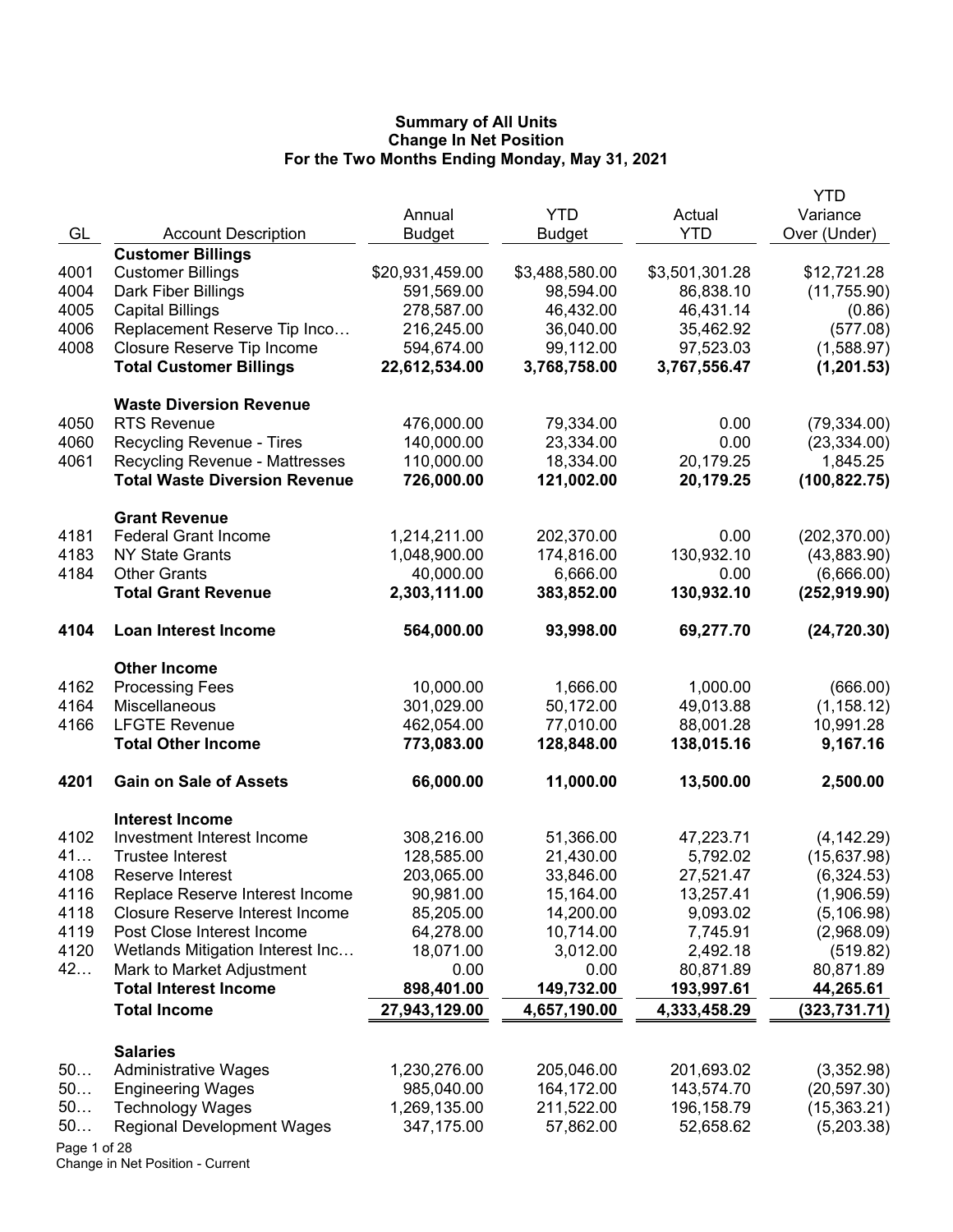|      |                                       |                 |                |                | YTD           |
|------|---------------------------------------|-----------------|----------------|----------------|---------------|
|      |                                       | Annual          | <b>YTD</b>     | Actual         | Variance      |
| GL   | <b>Account Description</b>            | <b>Budget</b>   | <b>Budget</b>  | <b>YTD</b>     | Over (Under)  |
|      | <b>Customer Billings</b>              |                 |                |                |               |
| 4001 | <b>Customer Billings</b>              | \$20,931,459.00 | \$3,488,580.00 | \$3,501,301.28 | \$12,721.28   |
| 4004 | Dark Fiber Billings                   | 591,569.00      | 98,594.00      | 86,838.10      | (11,755.90)   |
| 4005 | <b>Capital Billings</b>               | 278,587.00      | 46,432.00      | 46,431.14      | (0.86)        |
| 4006 | Replacement Reserve Tip Inco          | 216,245.00      | 36,040.00      | 35,462.92      | (577.08)      |
| 4008 | Closure Reserve Tip Income            | 594,674.00      | 99,112.00      | 97,523.03      | (1,588.97)    |
|      | <b>Total Customer Billings</b>        | 22,612,534.00   | 3,768,758.00   | 3,767,556.47   | (1, 201.53)   |
|      | <b>Waste Diversion Revenue</b>        |                 |                |                |               |
| 4050 | <b>RTS Revenue</b>                    | 476,000.00      | 79,334.00      | 0.00           | (79, 334.00)  |
| 4060 | Recycling Revenue - Tires             | 140,000.00      | 23,334.00      | 0.00           | (23, 334.00)  |
| 4061 | <b>Recycling Revenue - Mattresses</b> | 110,000.00      | 18,334.00      | 20,179.25      | 1,845.25      |
|      | <b>Total Waste Diversion Revenue</b>  | 726,000.00      | 121,002.00     | 20,179.25      | (100, 822.75) |
|      | <b>Grant Revenue</b>                  |                 |                |                |               |
| 4181 | <b>Federal Grant Income</b>           | 1,214,211.00    | 202,370.00     | 0.00           | (202, 370.00) |
| 4183 | <b>NY State Grants</b>                | 1,048,900.00    | 174,816.00     | 130,932.10     | (43,883.90)   |
| 4184 | <b>Other Grants</b>                   | 40,000.00       | 6,666.00       | 0.00           | (6,666.00)    |
|      | <b>Total Grant Revenue</b>            | 2,303,111.00    | 383,852.00     | 130,932.10     | (252, 919.90) |
| 4104 | <b>Loan Interest Income</b>           | 564,000.00      | 93,998.00      | 69,277.70      | (24, 720.30)  |
|      | <b>Other Income</b>                   |                 |                |                |               |
| 4162 | <b>Processing Fees</b>                | 10,000.00       | 1,666.00       | 1,000.00       | (666.00)      |
| 4164 | Miscellaneous                         | 301,029.00      | 50,172.00      | 49,013.88      | (1, 158.12)   |
| 4166 | <b>LFGTE Revenue</b>                  | 462,054.00      | 77,010.00      | 88,001.28      | 10,991.28     |
|      | <b>Total Other Income</b>             | 773,083.00      | 128,848.00     | 138,015.16     | 9,167.16      |
| 4201 | <b>Gain on Sale of Assets</b>         | 66,000.00       | 11,000.00      | 13,500.00      | 2,500.00      |
|      | <b>Interest Income</b>                |                 |                |                |               |
| 4102 | Investment Interest Income            | 308,216.00      | 51,366.00      | 47,223.71      | (4, 142.29)   |
| 41   | <b>Trustee Interest</b>               | 128,585.00      | 21,430.00      | 5,792.02       | (15,637.98)   |
| 4108 | Reserve Interest                      | 203,065.00      | 33,846.00      | 27,521.47      | (6,324.53)    |
| 4116 | Replace Reserve Interest Income       | 90,981.00       | 15,164.00      | 13,257.41      | (1,906.59)    |
| 4118 | Closure Reserve Interest Income       | 85,205.00       | 14,200.00      | 9,093.02       | (5, 106.98)   |
| 4119 | Post Close Interest Income            | 64,278.00       | 10,714.00      | 7,745.91       | (2,968.09)    |
| 4120 | Wetlands Mitigation Interest Inc      | 18,071.00       | 3,012.00       | 2,492.18       | (519.82)      |
| 42   | Mark to Market Adjustment             | 0.00            | 0.00           | 80,871.89      | 80,871.89     |
|      | <b>Total Interest Income</b>          | 898,401.00      | 149,732.00     | 193,997.61     | 44,265.61     |
|      | <b>Total Income</b>                   | 27,943,129.00   | 4,657,190.00   | 4,333,458.29   | (323, 731.71) |
|      | <b>Salaries</b>                       |                 |                |                |               |
| 50   | <b>Administrative Wages</b>           | 1,230,276.00    | 205,046.00     | 201,693.02     | (3,352.98)    |
| 50   | <b>Engineering Wages</b>              | 985,040.00      | 164,172.00     | 143,574.70     | (20, 597.30)  |
| 50   | <b>Technology Wages</b>               | 1,269,135.00    | 211,522.00     | 196,158.79     | (15,363.21)   |
| 50   | <b>Regional Development Wages</b>     | 347,175.00      | 57,862.00      | 52,658.62      | (5,203.38)    |
|      |                                       |                 |                |                |               |

Page 1 of 28 Change in Net Position - Current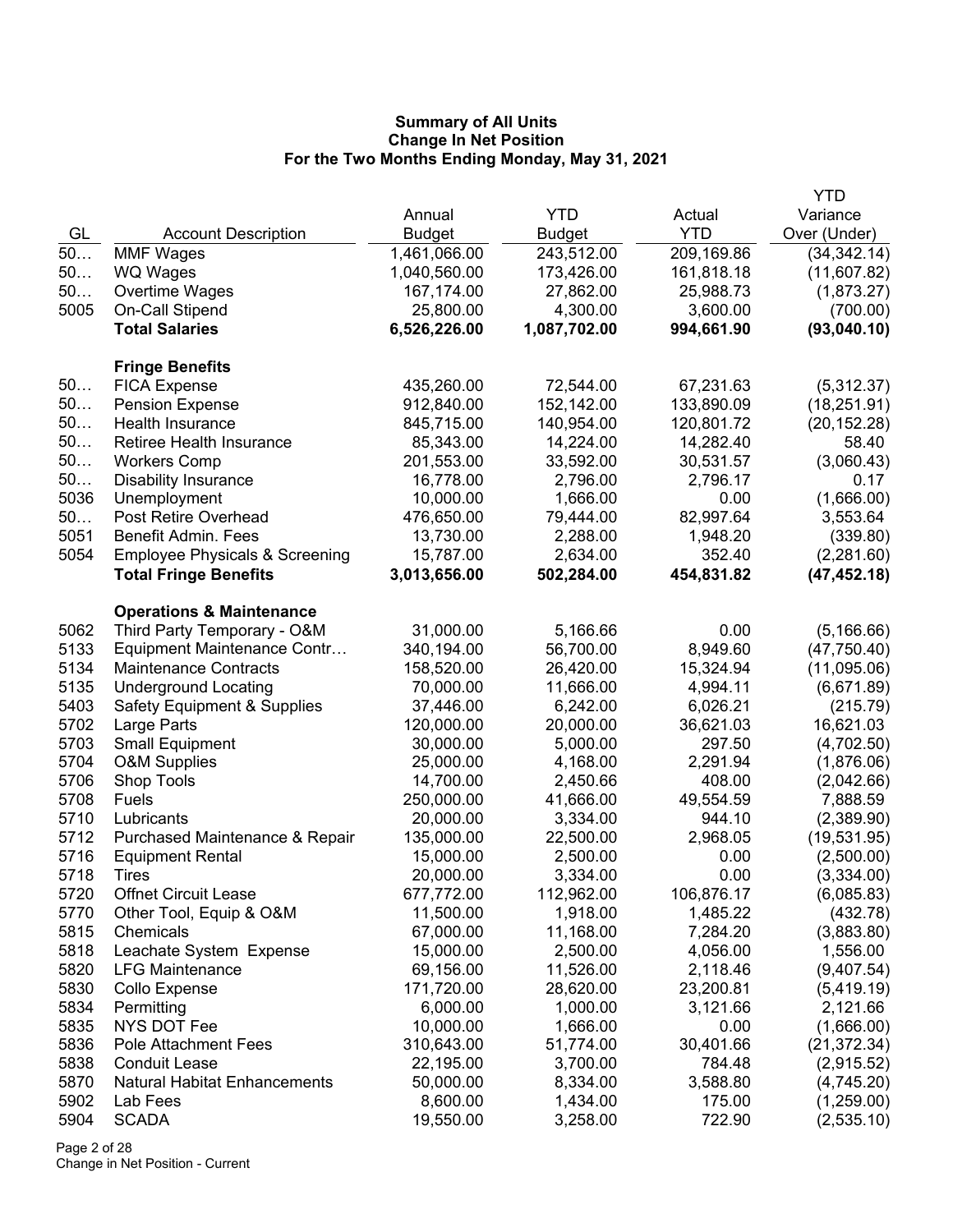|              |                                                           |                         |                       |                     | YTD                    |
|--------------|-----------------------------------------------------------|-------------------------|-----------------------|---------------------|------------------------|
|              |                                                           | Annual                  | <b>YTD</b>            | Actual              | Variance               |
| GL           | <b>Account Description</b>                                | Budget                  | Budget                | <b>YTD</b>          | Over (Under)           |
| 50           | <b>MMF Wages</b>                                          | 1,461,066.00            | 243,512.00            | 209,169.86          | (34, 342.14)           |
| 50           | <b>WQ Wages</b>                                           | 1,040,560.00            | 173,426.00            | 161,818.18          | (11,607.82)            |
| 50           | Overtime Wages                                            | 167,174.00              | 27,862.00             | 25,988.73           | (1,873.27)             |
| 5005         | On-Call Stipend                                           | 25,800.00               | 4,300.00              | 3,600.00            | (700.00)               |
|              | <b>Total Salaries</b>                                     | 6,526,226.00            | 1,087,702.00          | 994,661.90          | (93,040.10)            |
|              | <b>Fringe Benefits</b>                                    |                         |                       |                     |                        |
| 50           | <b>FICA Expense</b>                                       | 435,260.00              | 72,544.00             | 67,231.63           | (5,312.37)             |
| 50           | <b>Pension Expense</b>                                    | 912,840.00              | 152,142.00            | 133,890.09          | (18, 251.91)           |
| 50           | Health Insurance                                          | 845,715.00              | 140,954.00            | 120,801.72          | (20, 152.28)           |
| 50           | <b>Retiree Health Insurance</b>                           | 85,343.00               | 14,224.00             | 14,282.40           | 58.40                  |
| 50           | <b>Workers Comp</b>                                       | 201,553.00              | 33,592.00             | 30,531.57           | (3,060.43)             |
| 50           | <b>Disability Insurance</b>                               | 16,778.00               | 2,796.00              | 2,796.17            | 0.17                   |
| 5036         | Unemployment                                              | 10,000.00               | 1,666.00              | 0.00                | (1,666.00)             |
| 50           | Post Retire Overhead                                      | 476,650.00              | 79,444.00             | 82,997.64           | 3,553.64               |
| 5051         | <b>Benefit Admin. Fees</b>                                | 13,730.00               | 2,288.00              | 1,948.20            | (339.80)               |
| 5054         | <b>Employee Physicals &amp; Screening</b>                 | 15,787.00               | 2,634.00              | 352.40              | (2,281.60)             |
|              | <b>Total Fringe Benefits</b>                              | 3,013,656.00            | 502,284.00            | 454,831.82          | (47, 452.18)           |
|              | <b>Operations &amp; Maintenance</b>                       |                         |                       |                     |                        |
| 5062         | Third Party Temporary - O&M                               | 31,000.00               | 5,166.66              | 0.00                | (5, 166.66)            |
| 5133         | Equipment Maintenance Contr                               | 340,194.00              | 56,700.00             | 8,949.60            | (47, 750.40)           |
| 5134         | <b>Maintenance Contracts</b>                              | 158,520.00              | 26,420.00             | 15,324.94           | (11,095.06)            |
| 5135         | <b>Underground Locating</b>                               | 70,000.00               | 11,666.00             | 4,994.11            | (6,671.89)             |
| 5403<br>5702 | <b>Safety Equipment &amp; Supplies</b>                    | 37,446.00               | 6,242.00              | 6,026.21            | (215.79)               |
| 5703         | Large Parts                                               | 120,000.00              | 20,000.00             | 36,621.03           | 16,621.03              |
| 5704         | <b>Small Equipment</b>                                    | 30,000.00               | 5,000.00              | 297.50              | (4,702.50)             |
| 5706         | <b>O&amp;M Supplies</b>                                   | 25,000.00               | 4,168.00              | 2,291.94            | (1,876.06)             |
| 5708         | Shop Tools<br>Fuels                                       | 14,700.00               | 2,450.66              | 408.00              | (2,042.66)<br>7,888.59 |
| 5710         | Lubricants                                                | 250,000.00<br>20,000.00 | 41,666.00<br>3,334.00 | 49,554.59<br>944.10 | (2,389.90)             |
| 5712         |                                                           | 135,000.00              | 22,500.00             | 2,968.05            | (19, 531.95)           |
| 5716         | Purchased Maintenance & Repair<br><b>Equipment Rental</b> | 15,000.00               | 2,500.00              | 0.00                | (2,500.00)             |
| 5718         | Tires                                                     | 20,000.00               | 3,334.00              | 0.00                | (3,334.00)             |
| 5720         | <b>Offnet Circuit Lease</b>                               | 677,772.00              | 112,962.00            | 106,876.17          | (6,085.83)             |
| 5770         | Other Tool, Equip & O&M                                   | 11,500.00               | 1,918.00              | 1,485.22            | (432.78)               |
| 5815         | Chemicals                                                 | 67,000.00               | 11,168.00             | 7,284.20            | (3,883.80)             |
| 5818         | Leachate System Expense                                   | 15,000.00               | 2,500.00              | 4,056.00            | 1,556.00               |
| 5820         | <b>LFG Maintenance</b>                                    | 69,156.00               | 11,526.00             | 2,118.46            | (9,407.54)             |
| 5830         | Collo Expense                                             | 171,720.00              | 28,620.00             | 23,200.81           | (5,419.19)             |
| 5834         | Permitting                                                | 6,000.00                | 1,000.00              | 3,121.66            | 2,121.66               |
| 5835         | NYS DOT Fee                                               | 10,000.00               | 1,666.00              | 0.00                | (1,666.00)             |
| 5836         | <b>Pole Attachment Fees</b>                               | 310,643.00              | 51,774.00             | 30,401.66           | (21, 372.34)           |
| 5838         | <b>Conduit Lease</b>                                      | 22,195.00               | 3,700.00              | 784.48              | (2,915.52)             |
| 5870         | <b>Natural Habitat Enhancements</b>                       | 50,000.00               | 8,334.00              | 3,588.80            | (4,745.20)             |
| 5902         | Lab Fees                                                  | 8,600.00                | 1,434.00              | 175.00              | (1,259.00)             |
| 5904         | <b>SCADA</b>                                              | 19,550.00               | 3,258.00              | 722.90              | (2,535.10)             |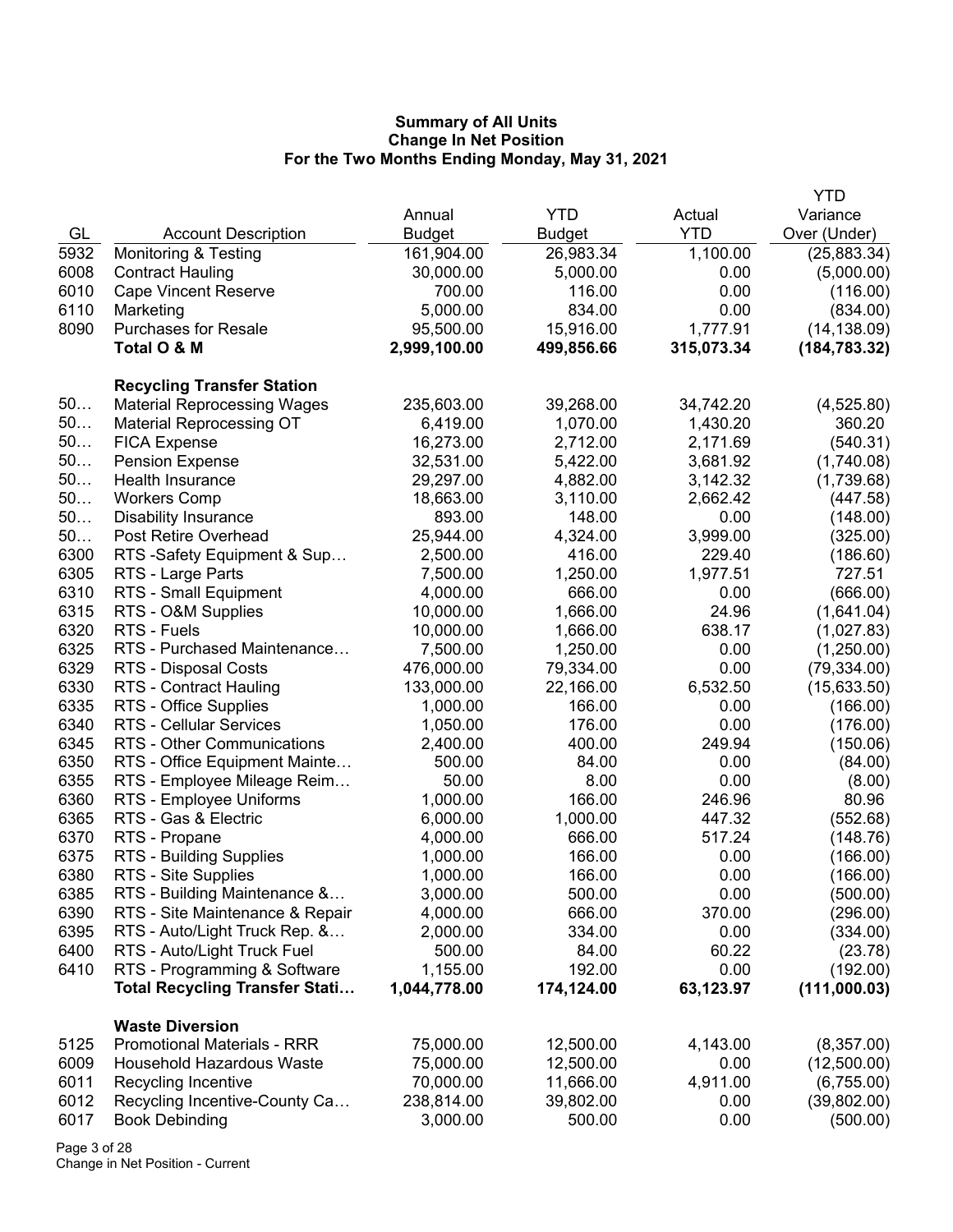|      |                                       |              |               |            | <b>YTD</b>    |
|------|---------------------------------------|--------------|---------------|------------|---------------|
|      |                                       | Annual       | <b>YTD</b>    | Actual     | Variance      |
| GL   | <b>Account Description</b>            | Budget       | <b>Budget</b> | <b>YTD</b> | Over (Under)  |
| 5932 | <b>Monitoring &amp; Testing</b>       | 161,904.00   | 26,983.34     | 1,100.00   | (25,883.34)   |
| 6008 | <b>Contract Hauling</b>               | 30,000.00    | 5,000.00      | 0.00       | (5,000.00)    |
| 6010 | <b>Cape Vincent Reserve</b>           | 700.00       | 116.00        | 0.00       | (116.00)      |
| 6110 | Marketing                             | 5,000.00     | 834.00        | 0.00       | (834.00)      |
| 8090 | <b>Purchases for Resale</b>           | 95,500.00    | 15,916.00     | 1,777.91   | (14, 138.09)  |
|      | Total O & M                           | 2,999,100.00 | 499,856.66    | 315,073.34 | (184, 783.32) |
|      | <b>Recycling Transfer Station</b>     |              |               |            |               |
| 50   | <b>Material Reprocessing Wages</b>    | 235,603.00   | 39,268.00     | 34,742.20  | (4,525.80)    |
| 50   | <b>Material Reprocessing OT</b>       | 6,419.00     | 1,070.00      | 1,430.20   | 360.20        |
| 50   | <b>FICA Expense</b>                   | 16,273.00    | 2,712.00      | 2,171.69   | (540.31)      |
| 50   | <b>Pension Expense</b>                | 32,531.00    | 5,422.00      | 3,681.92   | (1,740.08)    |
| 50   | Health Insurance                      | 29,297.00    | 4,882.00      | 3,142.32   | (1,739.68)    |
| 50   | <b>Workers Comp</b>                   | 18,663.00    | 3,110.00      | 2,662.42   | (447.58)      |
| 50   | <b>Disability Insurance</b>           | 893.00       | 148.00        | 0.00       | (148.00)      |
| 50   | Post Retire Overhead                  | 25,944.00    | 4,324.00      | 3,999.00   | (325.00)      |
| 6300 | RTS -Safety Equipment & Sup           | 2,500.00     | 416.00        | 229.40     | (186.60)      |
| 6305 | RTS - Large Parts                     | 7,500.00     | 1,250.00      | 1,977.51   | 727.51        |
| 6310 | RTS - Small Equipment                 | 4,000.00     | 666.00        | 0.00       | (666.00)      |
| 6315 | RTS - O&M Supplies                    | 10,000.00    | 1,666.00      | 24.96      | (1,641.04)    |
| 6320 | RTS - Fuels                           | 10,000.00    | 1,666.00      | 638.17     | (1,027.83)    |
| 6325 | RTS - Purchased Maintenance           | 7,500.00     | 1,250.00      | 0.00       | (1,250.00)    |
| 6329 | RTS - Disposal Costs                  | 476,000.00   | 79,334.00     | 0.00       | (79, 334.00)  |
| 6330 | <b>RTS - Contract Hauling</b>         | 133,000.00   | 22,166.00     | 6,532.50   | (15,633.50)   |
| 6335 | RTS - Office Supplies                 | 1,000.00     | 166.00        | 0.00       | (166.00)      |
| 6340 | <b>RTS - Cellular Services</b>        | 1,050.00     | 176.00        | 0.00       | (176.00)      |
| 6345 | RTS - Other Communications            | 2,400.00     | 400.00        | 249.94     | (150.06)      |
| 6350 | RTS - Office Equipment Mainte         | 500.00       | 84.00         | 0.00       | (84.00)       |
| 6355 | RTS - Employee Mileage Reim           | 50.00        | 8.00          | 0.00       | (8.00)        |
| 6360 | RTS - Employee Uniforms               | 1,000.00     | 166.00        | 246.96     | 80.96         |
| 6365 | RTS - Gas & Electric                  | 6,000.00     | 1,000.00      | 447.32     | (552.68)      |
| 6370 | RTS - Propane                         | 4,000.00     | 666.00        | 517.24     | (148.76)      |
| 6375 | RTS - Building Supplies               | 1,000.00     | 166.00        | 0.00       | (166.00)      |
| 6380 | RTS - Site Supplies                   | 1,000.00     | 166.00        | 0.00       | (166.00)      |
| 6385 | RTS - Building Maintenance &          | 3,000.00     | 500.00        | 0.00       | (500.00)      |
| 6390 | RTS - Site Maintenance & Repair       | 4,000.00     | 666.00        | 370.00     | (296.00)      |
| 6395 | RTS - Auto/Light Truck Rep. &         | 2,000.00     | 334.00        | 0.00       | (334.00)      |
| 6400 | RTS - Auto/Light Truck Fuel           | 500.00       | 84.00         | 60.22      | (23.78)       |
| 6410 | RTS - Programming & Software          | 1,155.00     | 192.00        | 0.00       | (192.00)      |
|      | <b>Total Recycling Transfer Stati</b> | 1,044,778.00 | 174,124.00    | 63,123.97  | (111,000.03)  |
|      | <b>Waste Diversion</b>                |              |               |            |               |
| 5125 | <b>Promotional Materials - RRR</b>    | 75,000.00    | 12,500.00     | 4,143.00   | (8,357.00)    |
| 6009 | <b>Household Hazardous Waste</b>      | 75,000.00    | 12,500.00     | 0.00       | (12,500.00)   |
| 6011 | Recycling Incentive                   | 70,000.00    | 11,666.00     | 4,911.00   | (6,755.00)    |
| 6012 | Recycling Incentive-County Ca         | 238,814.00   | 39,802.00     | 0.00       | (39,802.00)   |
| 6017 | <b>Book Debinding</b>                 | 3,000.00     | 500.00        | 0.00       | (500.00)      |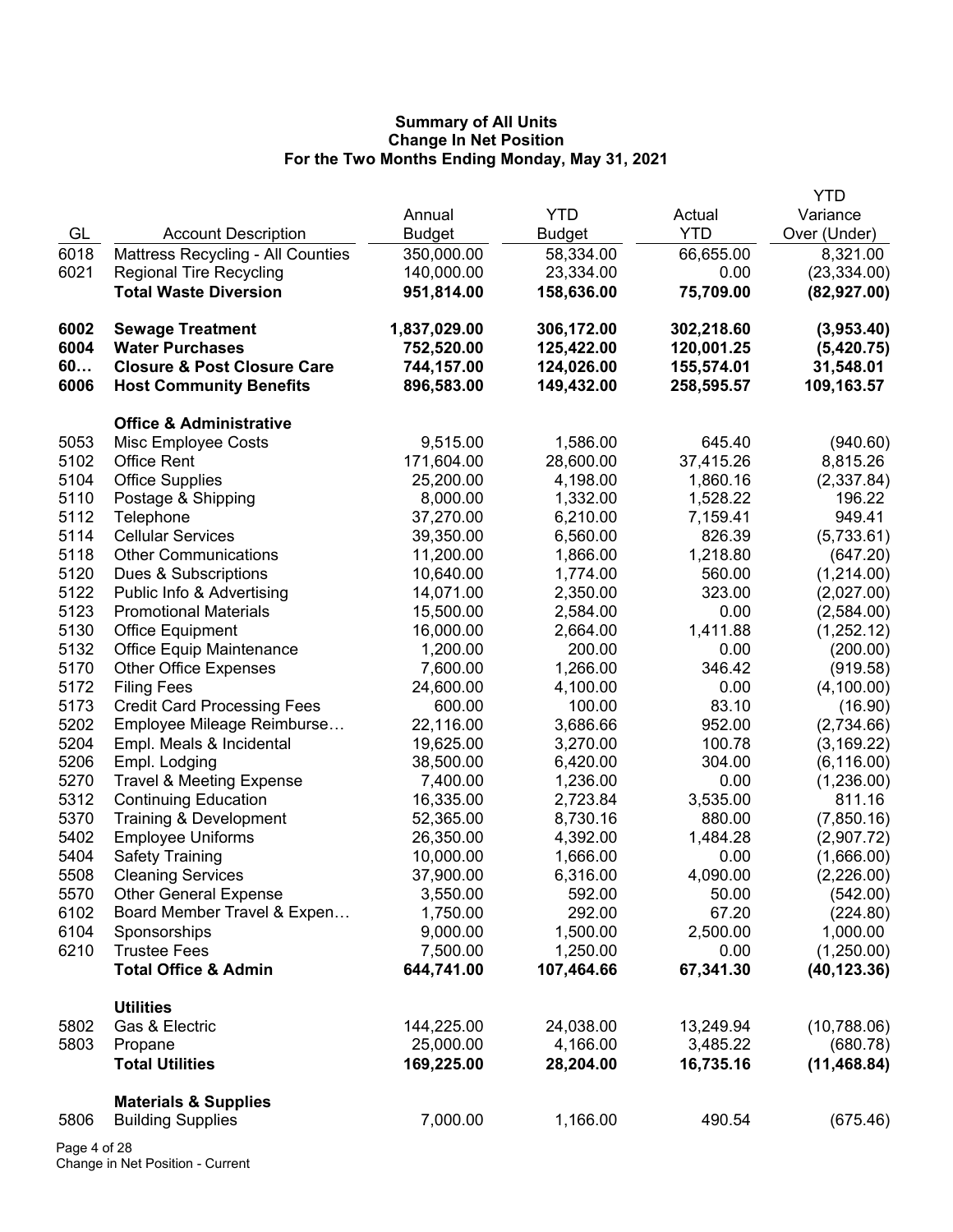|      |                                        |               |               |            | <b>YTD</b>   |
|------|----------------------------------------|---------------|---------------|------------|--------------|
|      |                                        | Annual        | <b>YTD</b>    | Actual     | Variance     |
| GL   | <b>Account Description</b>             | <b>Budget</b> | <b>Budget</b> | <b>YTD</b> | Over (Under) |
| 6018 | Mattress Recycling - All Counties      | 350,000.00    | 58,334.00     | 66,655.00  | 8,321.00     |
| 6021 | <b>Regional Tire Recycling</b>         | 140,000.00    | 23,334.00     | 0.00       | (23, 334.00) |
|      | <b>Total Waste Diversion</b>           | 951,814.00    | 158,636.00    | 75,709.00  | (82, 927.00) |
| 6002 | <b>Sewage Treatment</b>                | 1,837,029.00  | 306,172.00    | 302,218.60 | (3,953.40)   |
| 6004 | <b>Water Purchases</b>                 | 752,520.00    | 125,422.00    | 120,001.25 | (5,420.75)   |
| 60   | <b>Closure &amp; Post Closure Care</b> | 744,157.00    | 124,026.00    | 155,574.01 | 31,548.01    |
| 6006 | <b>Host Community Benefits</b>         | 896,583.00    | 149,432.00    | 258,595.57 | 109,163.57   |
|      | <b>Office &amp; Administrative</b>     |               |               |            |              |
| 5053 | Misc Employee Costs                    | 9,515.00      | 1,586.00      | 645.40     | (940.60)     |
| 5102 | <b>Office Rent</b>                     | 171,604.00    | 28,600.00     | 37,415.26  | 8,815.26     |
| 5104 | <b>Office Supplies</b>                 | 25,200.00     | 4,198.00      | 1,860.16   | (2,337.84)   |
| 5110 | Postage & Shipping                     | 8,000.00      | 1,332.00      | 1,528.22   | 196.22       |
| 5112 | Telephone                              | 37,270.00     | 6,210.00      | 7,159.41   | 949.41       |
| 5114 | <b>Cellular Services</b>               | 39,350.00     | 6,560.00      | 826.39     | (5,733.61)   |
| 5118 | <b>Other Communications</b>            | 11,200.00     | 1,866.00      | 1,218.80   | (647.20)     |
| 5120 | Dues & Subscriptions                   | 10,640.00     | 1,774.00      | 560.00     | (1,214.00)   |
| 5122 | Public Info & Advertising              | 14,071.00     | 2,350.00      | 323.00     | (2,027.00)   |
| 5123 | <b>Promotional Materials</b>           | 15,500.00     | 2,584.00      | 0.00       | (2,584.00)   |
| 5130 | Office Equipment                       | 16,000.00     | 2,664.00      | 1,411.88   | (1,252.12)   |
| 5132 | Office Equip Maintenance               | 1,200.00      | 200.00        | 0.00       | (200.00)     |
| 5170 | <b>Other Office Expenses</b>           | 7,600.00      | 1,266.00      | 346.42     | (919.58)     |
| 5172 | <b>Filing Fees</b>                     | 24,600.00     | 4,100.00      | 0.00       | (4,100.00)   |
| 5173 | <b>Credit Card Processing Fees</b>     | 600.00        | 100.00        | 83.10      | (16.90)      |
| 5202 | Employee Mileage Reimburse             | 22,116.00     | 3,686.66      | 952.00     | (2,734.66)   |
| 5204 | Empl. Meals & Incidental               | 19,625.00     | 3,270.00      | 100.78     | (3, 169.22)  |
| 5206 | Empl. Lodging                          | 38,500.00     | 6,420.00      | 304.00     | (6, 116.00)  |
| 5270 | <b>Travel &amp; Meeting Expense</b>    | 7,400.00      | 1,236.00      | 0.00       | (1,236.00)   |
| 5312 | <b>Continuing Education</b>            | 16,335.00     | 2,723.84      | 3,535.00   | 811.16       |
| 5370 | Training & Development                 | 52,365.00     | 8,730.16      | 880.00     | (7,850.16)   |
| 5402 | <b>Employee Uniforms</b>               | 26,350.00     | 4,392.00      | 1,484.28   | (2,907.72)   |
| 5404 | <b>Safety Training</b>                 | 10,000.00     | 1,666.00      | 0.00       | (1,666.00)   |
| 5508 | <b>Cleaning Services</b>               | 37,900.00     | 6,316.00      | 4,090.00   | (2,226.00)   |
| 5570 | <b>Other General Expense</b>           | 3,550.00      | 592.00        | 50.00      | (542.00)     |
| 6102 | Board Member Travel & Expen            | 1,750.00      | 292.00        | 67.20      | (224.80)     |
| 6104 | Sponsorships                           | 9,000.00      | 1,500.00      | 2,500.00   | 1,000.00     |
| 6210 | <b>Trustee Fees</b>                    | 7,500.00      | 1,250.00      | 0.00       | (1,250.00)   |
|      | <b>Total Office &amp; Admin</b>        | 644,741.00    | 107,464.66    | 67,341.30  | (40, 123.36) |
|      | <b>Utilities</b>                       |               |               |            |              |
| 5802 | Gas & Electric                         | 144,225.00    | 24,038.00     | 13,249.94  | (10,788.06)  |
| 5803 | Propane                                | 25,000.00     | 4,166.00      | 3,485.22   | (680.78)     |
|      | <b>Total Utilities</b>                 | 169,225.00    | 28,204.00     | 16,735.16  | (11, 468.84) |
|      | <b>Materials &amp; Supplies</b>        |               |               |            |              |
| 5806 | <b>Building Supplies</b>               | 7,000.00      | 1,166.00      | 490.54     | (675.46)     |
|      |                                        |               |               |            |              |

Page 4 of 28 Change in Net Position - Current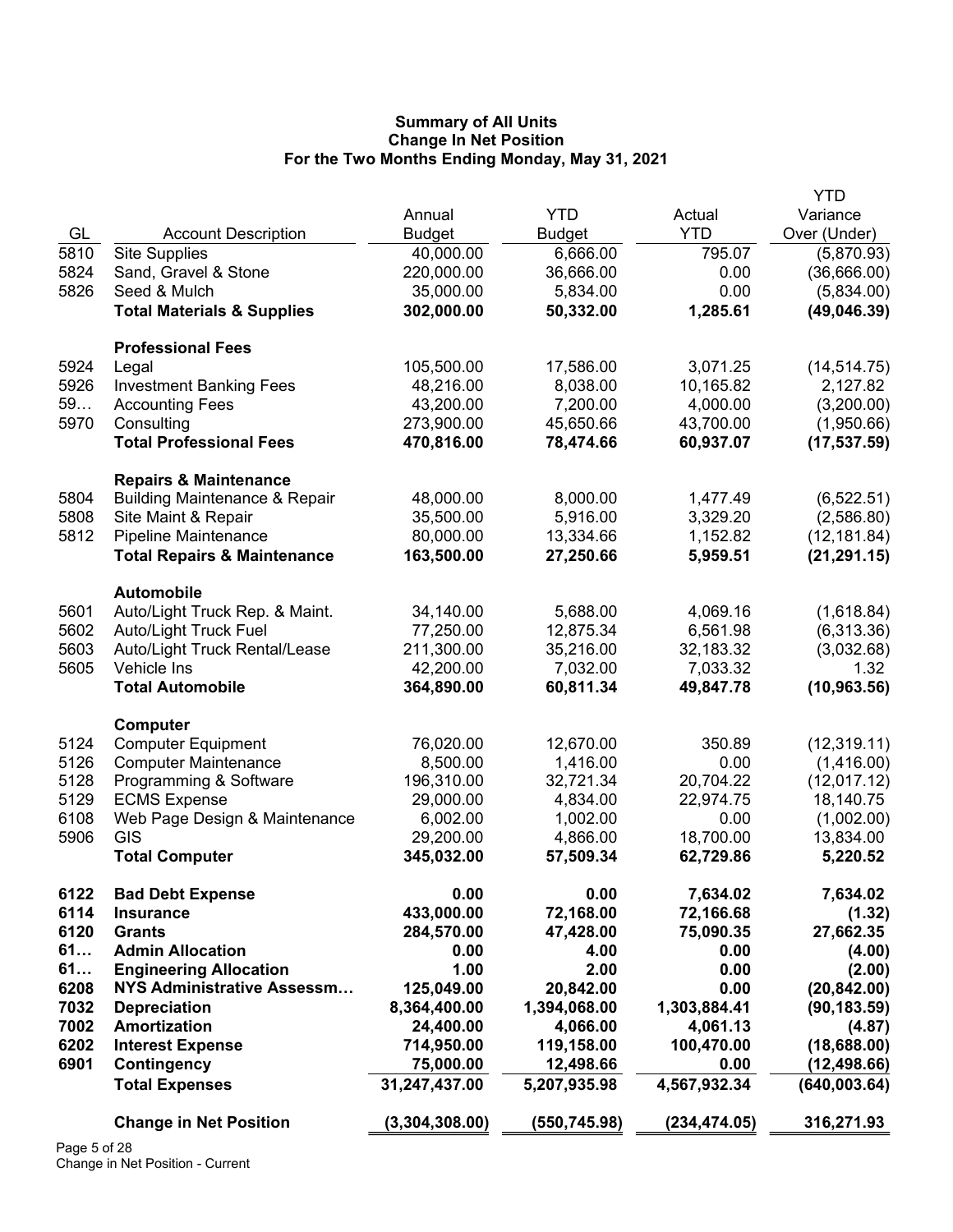|      |                                          |                |               |               | <b>YTD</b>   |
|------|------------------------------------------|----------------|---------------|---------------|--------------|
|      |                                          | Annual         | <b>YTD</b>    | Actual        | Variance     |
| GL   | <b>Account Description</b>               | <b>Budget</b>  | <b>Budget</b> | <b>YTD</b>    | Over (Under) |
| 5810 | <b>Site Supplies</b>                     | 40,000.00      | 6,666.00      | 795.07        | (5,870.93)   |
| 5824 | Sand, Gravel & Stone                     | 220,000.00     | 36,666.00     | 0.00          | (36,666.00)  |
| 5826 | Seed & Mulch                             | 35,000.00      | 5,834.00      | 0.00          | (5,834.00)   |
|      | <b>Total Materials &amp; Supplies</b>    | 302,000.00     | 50,332.00     | 1,285.61      | (49,046.39)  |
|      |                                          |                |               |               |              |
|      | <b>Professional Fees</b>                 |                |               |               |              |
| 5924 | Legal                                    | 105,500.00     | 17,586.00     | 3,071.25      | (14, 514.75) |
| 5926 | <b>Investment Banking Fees</b>           | 48,216.00      | 8,038.00      | 10,165.82     | 2,127.82     |
| 59   | <b>Accounting Fees</b>                   | 43,200.00      | 7,200.00      | 4,000.00      | (3,200.00)   |
| 5970 | Consulting                               | 273,900.00     | 45,650.66     | 43,700.00     | (1,950.66)   |
|      | <b>Total Professional Fees</b>           | 470,816.00     | 78,474.66     | 60,937.07     | (17, 537.59) |
|      |                                          |                |               |               |              |
|      | <b>Repairs &amp; Maintenance</b>         |                |               |               |              |
| 5804 | <b>Building Maintenance &amp; Repair</b> | 48,000.00      | 8,000.00      | 1,477.49      | (6, 522.51)  |
| 5808 | Site Maint & Repair                      | 35,500.00      | 5,916.00      | 3,329.20      | (2,586.80)   |
| 5812 | <b>Pipeline Maintenance</b>              | 80,000.00      | 13,334.66     | 1,152.82      | (12, 181.84) |
|      | <b>Total Repairs &amp; Maintenance</b>   | 163,500.00     | 27,250.66     | 5,959.51      | (21, 291.15) |
|      |                                          |                |               |               |              |
|      | <b>Automobile</b>                        |                |               |               |              |
| 5601 | Auto/Light Truck Rep. & Maint.           | 34,140.00      | 5,688.00      | 4,069.16      | (1,618.84)   |
| 5602 | <b>Auto/Light Truck Fuel</b>             | 77,250.00      | 12,875.34     | 6,561.98      | (6,313.36)   |
| 5603 | Auto/Light Truck Rental/Lease            | 211,300.00     | 35,216.00     | 32,183.32     | (3,032.68)   |
| 5605 | Vehicle Ins                              | 42,200.00      | 7,032.00      | 7,033.32      | 1.32         |
|      | <b>Total Automobile</b>                  | 364,890.00     | 60,811.34     | 49,847.78     | (10, 963.56) |
|      |                                          |                |               |               |              |
|      | Computer                                 |                |               |               |              |
| 5124 | <b>Computer Equipment</b>                | 76,020.00      | 12,670.00     | 350.89        | (12, 319.11) |
| 5126 | <b>Computer Maintenance</b>              | 8,500.00       | 1,416.00      | 0.00          | (1,416.00)   |
| 5128 | Programming & Software                   | 196,310.00     | 32,721.34     | 20,704.22     | (12,017.12)  |
| 5129 | <b>ECMS Expense</b>                      | 29,000.00      | 4,834.00      | 22,974.75     | 18,140.75    |
| 6108 | Web Page Design & Maintenance            | 6,002.00       | 1,002.00      | 0.00          | (1,002.00)   |
| 5906 | GIS                                      | 29,200.00      | 4,866.00      | 18,700.00     | 13,834.00    |
|      | <b>Total Computer</b>                    | 345,032.00     | 57,509.34     | 62,729.86     | 5,220.52     |
|      |                                          |                |               |               |              |
| 6122 | <b>Bad Debt Expense</b>                  | 0.00           | 0.00          | 7,634.02      | 7,634.02     |
| 6114 | <b>Insurance</b>                         | 433,000.00     | 72,168.00     | 72,166.68     | (1.32)       |
| 6120 | <b>Grants</b>                            | 284,570.00     | 47,428.00     | 75,090.35     | 27,662.35    |
| 61   | <b>Admin Allocation</b>                  | 0.00           | 4.00          | 0.00          | (4.00)       |
| 61   | <b>Engineering Allocation</b>            | 1.00           | 2.00          | 0.00          | (2.00)       |
| 6208 | NYS Administrative Assessm               | 125,049.00     | 20,842.00     | 0.00          | (20, 842.00) |
| 7032 | <b>Depreciation</b>                      | 8,364,400.00   | 1,394,068.00  | 1,303,884.41  | (90, 183.59) |
| 7002 | Amortization                             | 24,400.00      | 4,066.00      | 4,061.13      | (4.87)       |
| 6202 | <b>Interest Expense</b>                  | 714,950.00     | 119,158.00    | 100,470.00    | (18,688.00)  |
| 6901 | Contingency                              | 75,000.00      | 12,498.66     | 0.00          | (12, 498.66) |
|      | <b>Total Expenses</b>                    | 31,247,437.00  | 5,207,935.98  | 4,567,932.34  | (640,003.64) |
|      |                                          |                |               |               |              |
|      | <b>Change in Net Position</b>            | (3,304,308.00) | (550, 745.98) | (234, 474.05) | 316,271.93   |
|      |                                          |                |               |               |              |

Page 5 of 28 Change in Net Position - Current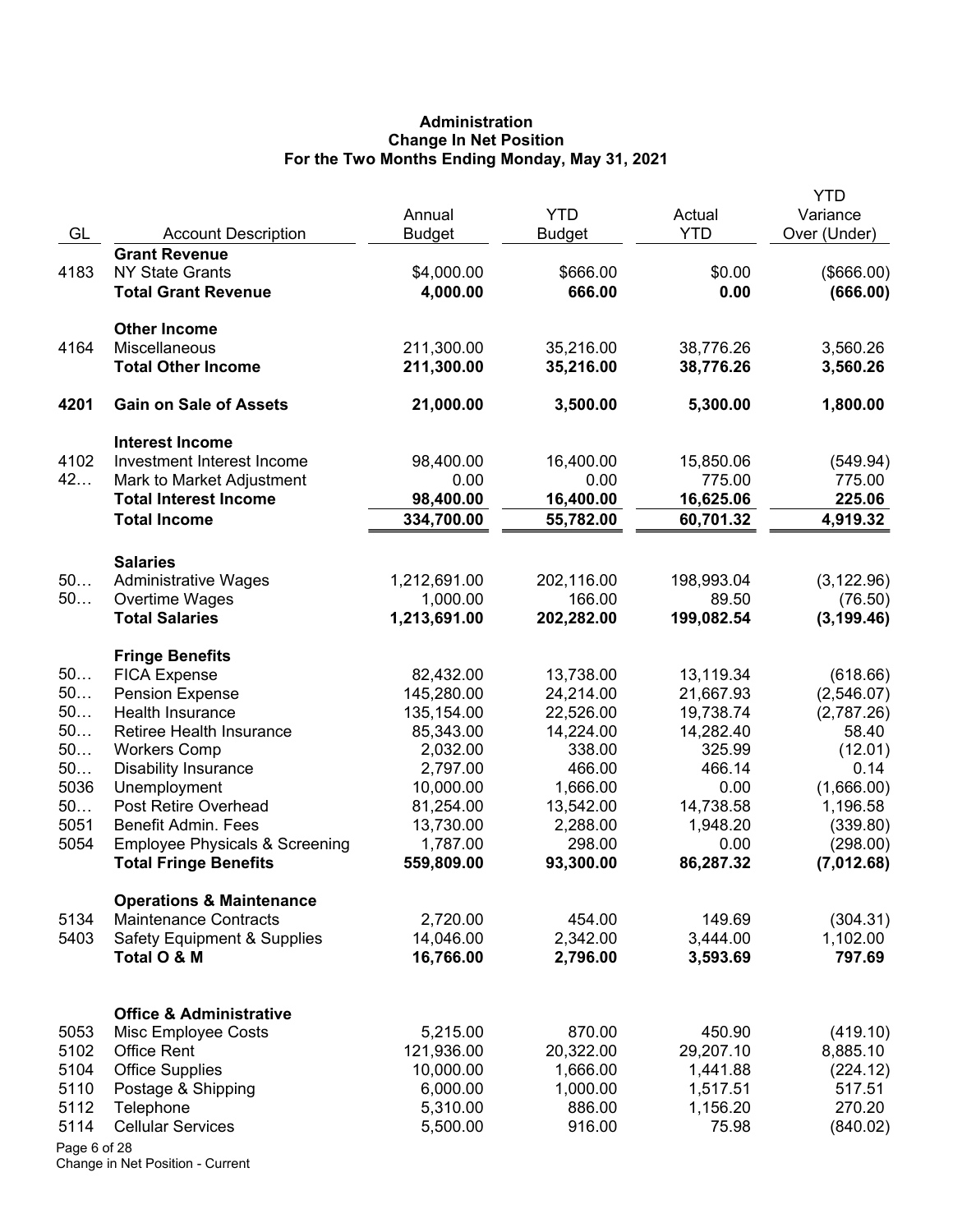# **Administration Change In Net Position For the Two Months Ending Monday, May 31, 2021**

|              |                                           | Annual        | <b>YTD</b>    | Actual     | <b>YTD</b>               |
|--------------|-------------------------------------------|---------------|---------------|------------|--------------------------|
| GL           | <b>Account Description</b>                | <b>Budget</b> | <b>Budget</b> | <b>YTD</b> | Variance<br>Over (Under) |
|              | <b>Grant Revenue</b>                      |               |               |            |                          |
| 4183         | <b>NY State Grants</b>                    | \$4,000.00    | \$666.00      | \$0.00     | (\$666.00)               |
|              | <b>Total Grant Revenue</b>                | 4,000.00      | 666.00        | 0.00       | (666.00)                 |
|              |                                           |               |               |            |                          |
|              | <b>Other Income</b>                       |               |               |            |                          |
| 4164         | Miscellaneous                             | 211,300.00    | 35,216.00     | 38,776.26  | 3,560.26                 |
|              | <b>Total Other Income</b>                 | 211,300.00    | 35,216.00     | 38,776.26  | 3,560.26                 |
| 4201         | <b>Gain on Sale of Assets</b>             | 21,000.00     | 3,500.00      | 5,300.00   | 1,800.00                 |
|              | <b>Interest Income</b>                    |               |               |            |                          |
| 4102         | Investment Interest Income                | 98,400.00     | 16,400.00     | 15,850.06  | (549.94)                 |
| 42           | Mark to Market Adjustment                 | 0.00          | 0.00          | 775.00     | 775.00                   |
|              | <b>Total Interest Income</b>              | 98,400.00     | 16,400.00     | 16,625.06  | 225.06                   |
|              | <b>Total Income</b>                       | 334,700.00    | 55,782.00     | 60,701.32  | 4,919.32                 |
|              | <b>Salaries</b>                           |               |               |            |                          |
| 50           | <b>Administrative Wages</b>               | 1,212,691.00  | 202,116.00    | 198,993.04 | (3, 122.96)              |
| 50           | Overtime Wages                            | 1,000.00      | 166.00        | 89.50      | (76.50)                  |
|              | <b>Total Salaries</b>                     | 1,213,691.00  | 202,282.00    | 199,082.54 | (3, 199.46)              |
|              | <b>Fringe Benefits</b>                    |               |               |            |                          |
| 50           | <b>FICA Expense</b>                       | 82,432.00     | 13,738.00     | 13,119.34  | (618.66)                 |
| 50           | <b>Pension Expense</b>                    | 145,280.00    | 24,214.00     | 21,667.93  | (2,546.07)               |
| 50           | Health Insurance                          | 135,154.00    | 22,526.00     | 19,738.74  | (2,787.26)               |
| 50           | Retiree Health Insurance                  | 85,343.00     | 14,224.00     | 14,282.40  | 58.40                    |
| 50           | <b>Workers Comp</b>                       | 2,032.00      | 338.00        | 325.99     | (12.01)                  |
| 50           | <b>Disability Insurance</b>               | 2,797.00      | 466.00        | 466.14     | 0.14                     |
| 5036         | Unemployment                              | 10,000.00     | 1,666.00      | 0.00       | (1,666.00)               |
| 50           | Post Retire Overhead                      | 81,254.00     | 13,542.00     | 14,738.58  | 1,196.58                 |
| 5051         | <b>Benefit Admin. Fees</b>                | 13,730.00     | 2,288.00      | 1,948.20   | (339.80)                 |
| 5054         | <b>Employee Physicals &amp; Screening</b> | 1,787.00      | 298.00        | 0.00       | (298.00)                 |
|              | <b>Total Fringe Benefits</b>              | 559,809.00    | 93,300.00     | 86,287.32  | (7,012.68)               |
|              | <b>Operations &amp; Maintenance</b>       |               |               |            |                          |
| 5134         | <b>Maintenance Contracts</b>              | 2,720.00      | 454.00        | 149.69     | (304.31)                 |
| 5403         | <b>Safety Equipment &amp; Supplies</b>    | 14,046.00     | 2,342.00      | 3,444.00   | 1,102.00                 |
|              | Total O & M                               | 16,766.00     | 2,796.00      | 3,593.69   | 797.69                   |
|              | <b>Office &amp; Administrative</b>        |               |               |            |                          |
| 5053         | Misc Employee Costs                       | 5,215.00      | 870.00        | 450.90     | (419.10)                 |
| 5102         | <b>Office Rent</b>                        | 121,936.00    | 20,322.00     | 29,207.10  | 8,885.10                 |
| 5104         | <b>Office Supplies</b>                    | 10,000.00     | 1,666.00      | 1,441.88   | (224.12)                 |
| 5110         | Postage & Shipping                        | 6,000.00      | 1,000.00      | 1,517.51   | 517.51                   |
| 5112         | Telephone                                 | 5,310.00      | 886.00        | 1,156.20   | 270.20                   |
| 5114         | <b>Cellular Services</b>                  | 5,500.00      | 916.00        | 75.98      | (840.02)                 |
| Page 6 of 28 |                                           |               |               |            |                          |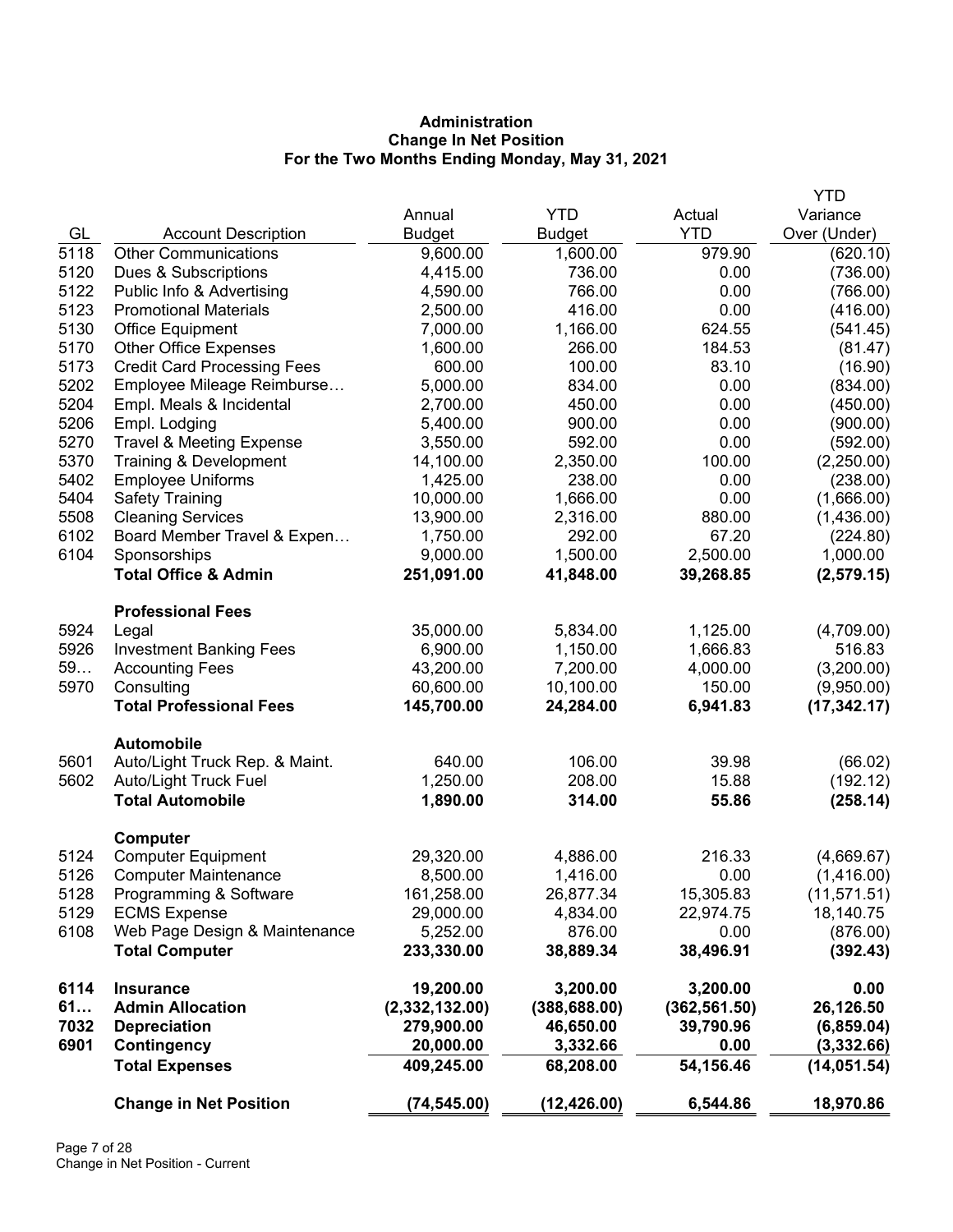# **Administration Change In Net Position For the Two Months Ending Monday, May 31, 2021**

|      |                                      |                         |                       |                   | <b>YTD</b>                 |
|------|--------------------------------------|-------------------------|-----------------------|-------------------|----------------------------|
|      |                                      | Annual                  | <b>YTD</b>            | Actual            | Variance                   |
| GL   | <b>Account Description</b>           | <b>Budget</b>           | <b>Budget</b>         | <b>YTD</b>        | Over (Under)               |
| 5118 | <b>Other Communications</b>          | 9,600.00                | 1,600.00              | 979.90            | (620.10)                   |
| 5120 | Dues & Subscriptions                 | 4,415.00                | 736.00                | 0.00              | (736.00)                   |
| 5122 | Public Info & Advertising            | 4,590.00                | 766.00                | 0.00              | (766.00)                   |
| 5123 | <b>Promotional Materials</b>         | 2,500.00                | 416.00                | 0.00              | (416.00)                   |
| 5130 | <b>Office Equipment</b>              | 7,000.00                | 1,166.00              | 624.55            | (541.45)                   |
| 5170 | <b>Other Office Expenses</b>         | 1,600.00                | 266.00                | 184.53            | (81.47)                    |
| 5173 | <b>Credit Card Processing Fees</b>   | 600.00                  | 100.00                | 83.10             | (16.90)                    |
| 5202 | Employee Mileage Reimburse           | 5,000.00                | 834.00                | 0.00              | (834.00)                   |
| 5204 | Empl. Meals & Incidental             | 2,700.00                | 450.00                | 0.00              | (450.00)                   |
| 5206 | Empl. Lodging                        | 5,400.00                | 900.00                | 0.00              | (900.00)                   |
| 5270 | <b>Travel &amp; Meeting Expense</b>  | 3,550.00                | 592.00                | 0.00              | (592.00)                   |
| 5370 | Training & Development               | 14,100.00               | 2,350.00              | 100.00            | (2,250.00)                 |
| 5402 | <b>Employee Uniforms</b>             | 1,425.00                | 238.00                | 0.00              | (238.00)                   |
| 5404 | <b>Safety Training</b>               | 10,000.00               | 1,666.00              | 0.00              | (1,666.00)                 |
| 5508 | <b>Cleaning Services</b>             | 13,900.00               | 2,316.00              | 880.00            | (1,436.00)                 |
| 6102 | Board Member Travel & Expen          | 1,750.00                | 292.00                | 67.20             | (224.80)                   |
| 6104 | Sponsorships                         | 9,000.00                | 1,500.00              | 2,500.00          | 1,000.00                   |
|      | <b>Total Office &amp; Admin</b>      | 251,091.00              | 41,848.00             | 39,268.85         | (2, 579.15)                |
|      | <b>Professional Fees</b>             |                         |                       |                   |                            |
| 5924 | Legal                                | 35,000.00               | 5,834.00              | 1,125.00          | (4,709.00)                 |
| 5926 | <b>Investment Banking Fees</b>       | 6,900.00                | 1,150.00              | 1,666.83          | 516.83                     |
| 59   | <b>Accounting Fees</b>               | 43,200.00               | 7,200.00              | 4,000.00          | (3,200.00)                 |
| 5970 | Consulting                           | 60,600.00               | 10,100.00             | 150.00            | (9,950.00)                 |
|      | <b>Total Professional Fees</b>       | 145,700.00              | 24,284.00             | 6,941.83          | (17, 342.17)               |
|      | <b>Automobile</b>                    |                         |                       |                   |                            |
| 5601 | Auto/Light Truck Rep. & Maint.       | 640.00                  | 106.00                | 39.98             | (66.02)                    |
| 5602 | Auto/Light Truck Fuel                | 1,250.00                | 208.00                | 15.88             | (192.12)                   |
|      | <b>Total Automobile</b>              | 1,890.00                | 314.00                | 55.86             | (258.14)                   |
|      | Computer                             |                         |                       |                   |                            |
| 5124 | <b>Computer Equipment</b>            | 29,320.00               | 4,886.00              | 216.33            | (4,669.67)                 |
| 5126 | <b>Computer Maintenance</b>          | 8,500.00                | 1,416.00              | 0.00              | (1,416.00)                 |
| 5128 | Programming & Software               | 161,258.00              | 26,877.34             | 15,305.83         | (11, 571.51)               |
| 5129 | <b>ECMS Expense</b>                  | 29,000.00               | 4,834.00              | 22,974.75         | 18,140.75                  |
| 6108 | Web Page Design & Maintenance        | 5,252.00                | 876.00                | 0.00              | (876.00)                   |
|      | <b>Total Computer</b>                | 233,330.00              | 38,889.34             | 38,496.91         | (392.43)                   |
| 6114 | <b>Insurance</b>                     | 19,200.00               | 3,200.00              | 3,200.00          | 0.00                       |
| 61   | <b>Admin Allocation</b>              | (2,332,132.00)          | (388, 688.00)         | (362, 561.50)     | 26,126.50                  |
| 7032 | <b>Depreciation</b>                  | 279,900.00              | 46,650.00             | 39,790.96         | (6, 859.04)                |
| 6901 | Contingency<br><b>Total Expenses</b> | 20,000.00<br>409,245.00 | 3,332.66<br>68,208.00 | 0.00<br>54,156.46 | (3,332.66)<br>(14, 051.54) |
|      |                                      |                         |                       |                   |                            |
|      | <b>Change in Net Position</b>        | (74, 545.00)            | (12, 426.00)          | 6,544.86          | 18,970.86                  |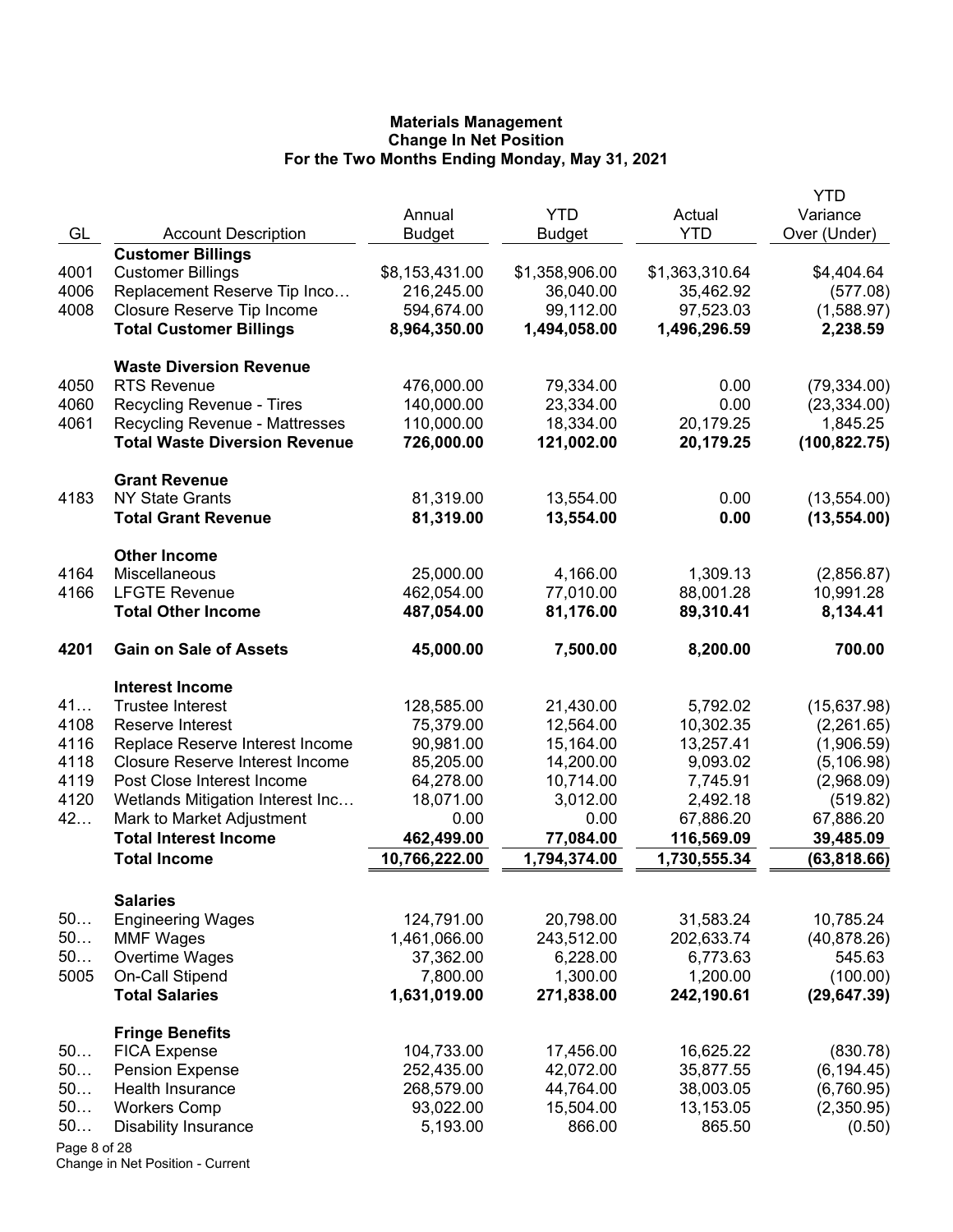|              |                                        | Annual                  | <b>YTD</b>            | Actual                | YTD<br>Variance         |
|--------------|----------------------------------------|-------------------------|-----------------------|-----------------------|-------------------------|
| GL           | <b>Account Description</b>             | <b>Budget</b>           | <b>Budget</b>         | <b>YTD</b>            | Over (Under)            |
|              | <b>Customer Billings</b>               |                         |                       |                       |                         |
| 4001         | <b>Customer Billings</b>               | \$8,153,431.00          | \$1,358,906.00        | \$1,363,310.64        | \$4,404.64              |
| 4006         | Replacement Reserve Tip Inco           | 216,245.00              | 36,040.00             | 35,462.92             | (577.08)                |
| 4008         | Closure Reserve Tip Income             | 594,674.00              | 99,112.00             | 97,523.03             | (1,588.97)              |
|              | <b>Total Customer Billings</b>         | 8,964,350.00            | 1,494,058.00          | 1,496,296.59          | 2,238.59                |
|              | <b>Waste Diversion Revenue</b>         |                         |                       |                       |                         |
| 4050         | <b>RTS Revenue</b>                     | 476,000.00              | 79,334.00             | 0.00                  | (79, 334.00)            |
| 4060         | Recycling Revenue - Tires              | 140,000.00              | 23,334.00             | 0.00                  | (23, 334.00)            |
| 4061         | <b>Recycling Revenue - Mattresses</b>  | 110,000.00              | 18,334.00             | 20,179.25             | 1,845.25                |
|              | <b>Total Waste Diversion Revenue</b>   | 726,000.00              | 121,002.00            | 20,179.25             | (100, 822.75)           |
|              | <b>Grant Revenue</b>                   |                         |                       |                       |                         |
| 4183         | <b>NY State Grants</b>                 | 81,319.00               | 13,554.00             | 0.00                  | (13,554.00)             |
|              | <b>Total Grant Revenue</b>             | 81,319.00               | 13,554.00             | 0.00                  | (13, 554.00)            |
|              | <b>Other Income</b>                    |                         |                       |                       |                         |
| 4164<br>4166 | Miscellaneous<br><b>LFGTE Revenue</b>  | 25,000.00<br>462,054.00 | 4,166.00<br>77,010.00 | 1,309.13<br>88,001.28 | (2,856.87)<br>10,991.28 |
|              | <b>Total Other Income</b>              | 487,054.00              | 81,176.00             | 89,310.41             | 8,134.41                |
| 4201         | <b>Gain on Sale of Assets</b>          | 45,000.00               | 7,500.00              | 8,200.00              | 700.00                  |
|              | <b>Interest Income</b>                 |                         |                       |                       |                         |
| 41           | <b>Trustee Interest</b>                | 128,585.00              | 21,430.00             | 5,792.02              | (15,637.98)             |
| 4108         | Reserve Interest                       | 75,379.00               | 12,564.00             | 10,302.35             | (2,261.65)              |
| 4116         | Replace Reserve Interest Income        | 90,981.00               | 15,164.00             | 13,257.41             | (1,906.59)              |
| 4118         | <b>Closure Reserve Interest Income</b> | 85,205.00               | 14,200.00             | 9,093.02              | (5, 106.98)             |
| 4119         | Post Close Interest Income             | 64,278.00               | 10,714.00             | 7,745.91              | (2,968.09)              |
| 4120         | Wetlands Mitigation Interest Inc       | 18,071.00               | 3,012.00              | 2,492.18              | (519.82)                |
| 42           | Mark to Market Adjustment              | 0.00                    | 0.00                  | 67,886.20             | 67,886.20               |
|              | <b>Total Interest Income</b>           | 462,499.00              | 77,084.00             | 116,569.09            | 39,485.09               |
|              | <b>Total Income</b>                    | 10,766,222.00           | 1,794,374.00          | 1,730,555.34          | (63, 818.66)            |
|              | <b>Salaries</b>                        |                         |                       |                       |                         |
| 50           | <b>Engineering Wages</b>               | 124,791.00              | 20,798.00             | 31,583.24             | 10,785.24               |
| 50           | <b>MMF Wages</b>                       | 1,461,066.00            | 243,512.00            | 202,633.74            | (40, 878.26)            |
| 50           | Overtime Wages                         | 37,362.00               | 6,228.00              | 6,773.63              | 545.63                  |
| 5005         | On-Call Stipend                        | 7,800.00                | 1,300.00              | 1,200.00              | (100.00)                |
|              | <b>Total Salaries</b>                  | 1,631,019.00            | 271,838.00            | 242,190.61            | (29, 647.39)            |
|              | <b>Fringe Benefits</b>                 |                         |                       |                       |                         |
| 50           | <b>FICA Expense</b>                    | 104,733.00              | 17,456.00             | 16,625.22             | (830.78)                |
| 50           | <b>Pension Expense</b>                 | 252,435.00              | 42,072.00             | 35,877.55             | (6, 194.45)             |
| 50           | Health Insurance                       | 268,579.00              | 44,764.00             | 38,003.05             | (6,760.95)              |
| 50           | <b>Workers Comp</b>                    | 93,022.00               | 15,504.00             | 13,153.05             | (2,350.95)              |
| 50           | <b>Disability Insurance</b>            | 5,193.00                | 866.00                | 865.50                | (0.50)                  |
| Page 8 of 28 |                                        |                         |                       |                       |                         |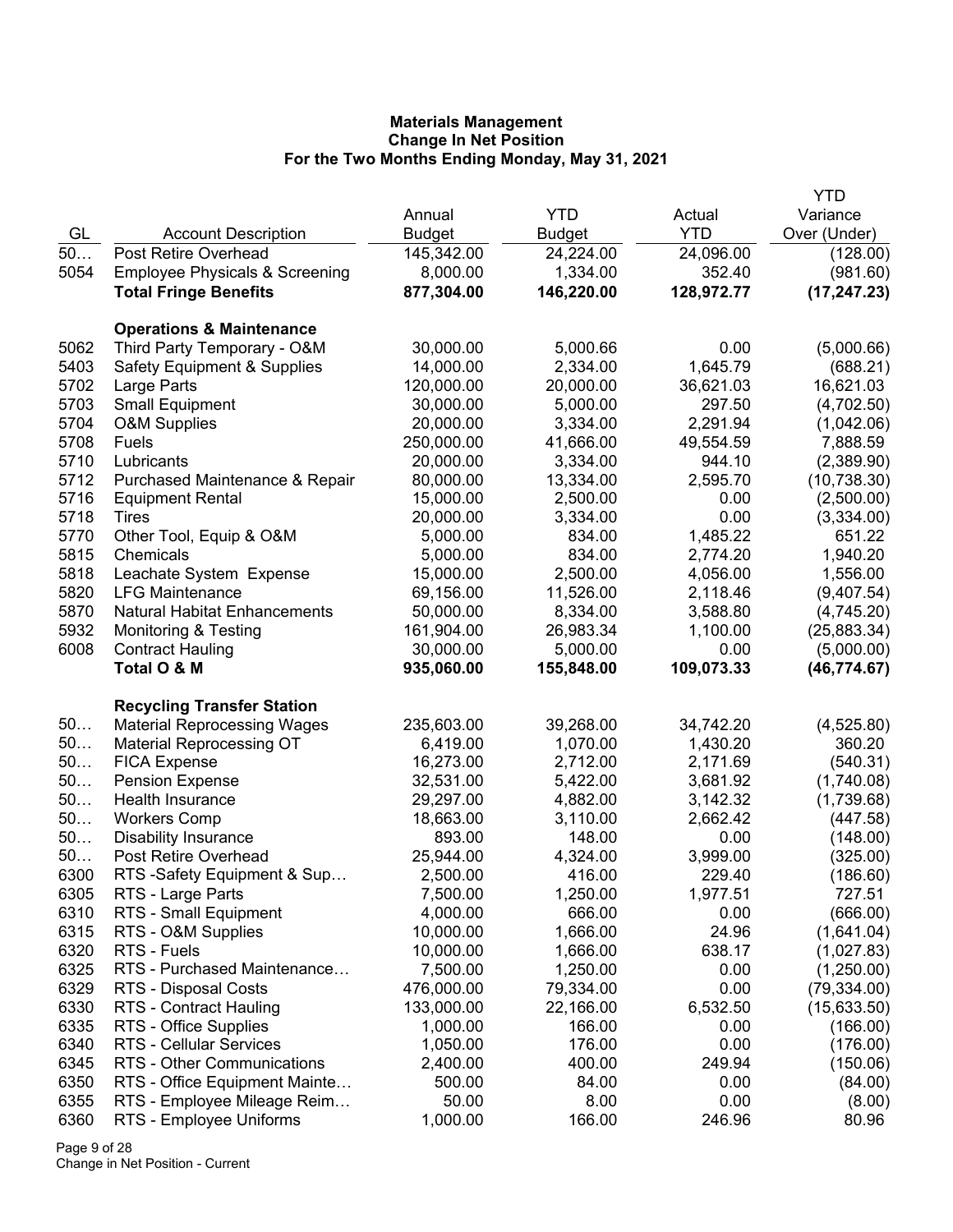|      |                                           |               |               |            | <b>YTD</b>   |
|------|-------------------------------------------|---------------|---------------|------------|--------------|
|      |                                           | Annual        | <b>YTD</b>    | Actual     | Variance     |
| GL   | <b>Account Description</b>                | <b>Budget</b> | <b>Budget</b> | <b>YTD</b> | Over (Under) |
| 50   | Post Retire Overhead                      | 145,342.00    | 24,224.00     | 24,096.00  | (128.00)     |
| 5054 | <b>Employee Physicals &amp; Screening</b> | 8,000.00      | 1,334.00      | 352.40     | (981.60)     |
|      | <b>Total Fringe Benefits</b>              | 877,304.00    | 146,220.00    | 128,972.77 | (17, 247.23) |
|      |                                           |               |               |            |              |
|      | <b>Operations &amp; Maintenance</b>       |               |               |            |              |
| 5062 | Third Party Temporary - O&M               | 30,000.00     | 5,000.66      | 0.00       | (5,000.66)   |
| 5403 | <b>Safety Equipment &amp; Supplies</b>    | 14,000.00     | 2,334.00      | 1,645.79   | (688.21)     |
| 5702 | Large Parts                               | 120,000.00    | 20,000.00     | 36,621.03  | 16,621.03    |
| 5703 | <b>Small Equipment</b>                    | 30,000.00     | 5,000.00      | 297.50     | (4,702.50)   |
| 5704 | <b>O&amp;M Supplies</b>                   | 20,000.00     | 3,334.00      | 2,291.94   | (1,042.06)   |
| 5708 | Fuels                                     | 250,000.00    | 41,666.00     | 49,554.59  | 7,888.59     |
| 5710 | Lubricants                                | 20,000.00     | 3,334.00      | 944.10     | (2,389.90)   |
| 5712 | Purchased Maintenance & Repair            | 80,000.00     | 13,334.00     | 2,595.70   | (10, 738.30) |
| 5716 | <b>Equipment Rental</b>                   | 15,000.00     | 2,500.00      | 0.00       | (2,500.00)   |
| 5718 | Tires                                     | 20,000.00     | 3,334.00      | 0.00       | (3,334.00)   |
| 5770 | Other Tool, Equip & O&M                   | 5,000.00      | 834.00        | 1,485.22   | 651.22       |
| 5815 | Chemicals                                 | 5,000.00      | 834.00        | 2,774.20   | 1,940.20     |
| 5818 | Leachate System Expense                   | 15,000.00     | 2,500.00      | 4,056.00   | 1,556.00     |
| 5820 | <b>LFG Maintenance</b>                    | 69,156.00     | 11,526.00     | 2,118.46   | (9,407.54)   |
| 5870 | <b>Natural Habitat Enhancements</b>       | 50,000.00     | 8,334.00      | 3,588.80   | (4,745.20)   |
| 5932 | Monitoring & Testing                      | 161,904.00    | 26,983.34     | 1,100.00   | (25,883.34)  |
| 6008 | <b>Contract Hauling</b>                   | 30,000.00     | 5,000.00      | 0.00       | (5,000.00)   |
|      | Total O & M                               | 935,060.00    | 155,848.00    | 109,073.33 | (46, 774.67) |
|      | <b>Recycling Transfer Station</b>         |               |               |            |              |
| 50   | <b>Material Reprocessing Wages</b>        | 235,603.00    | 39,268.00     | 34,742.20  | (4,525.80)   |
| 50   | <b>Material Reprocessing OT</b>           | 6,419.00      | 1,070.00      | 1,430.20   | 360.20       |
| 50   | <b>FICA Expense</b>                       | 16,273.00     | 2,712.00      | 2,171.69   | (540.31)     |
| 50   | <b>Pension Expense</b>                    | 32,531.00     | 5,422.00      | 3,681.92   | (1,740.08)   |
| 50   | Health Insurance                          | 29,297.00     | 4,882.00      | 3,142.32   | (1,739.68)   |
| 50   | <b>Workers Comp</b>                       | 18,663.00     | 3,110.00      | 2,662.42   | (447.58)     |
| 50   | <b>Disability Insurance</b>               | 893.00        | 148.00        | 0.00       | (148.00)     |
| 50   | Post Retire Overhead                      | 25,944.00     | 4,324.00      | 3,999.00   | (325.00)     |
| 6300 | RTS-Safety Equipment & Sup                | 2,500.00      | 416.00        | 229.40     | (186.60)     |
| 6305 | RTS - Large Parts                         | 7,500.00      | 1,250.00      | 1,977.51   | 727.51       |
| 6310 | RTS - Small Equipment                     | 4,000.00      | 666.00        | 0.00       | (666.00)     |
| 6315 | RTS - O&M Supplies                        | 10,000.00     | 1,666.00      | 24.96      | (1,641.04)   |
| 6320 | RTS - Fuels                               | 10,000.00     | 1,666.00      | 638.17     | (1,027.83)   |
| 6325 | RTS - Purchased Maintenance               | 7,500.00      | 1,250.00      | 0.00       | (1,250.00)   |
| 6329 | RTS - Disposal Costs                      | 476,000.00    | 79,334.00     | 0.00       | (79, 334.00) |
| 6330 | RTS - Contract Hauling                    | 133,000.00    | 22,166.00     | 6,532.50   | (15,633.50)  |
| 6335 | RTS - Office Supplies                     | 1,000.00      | 166.00        | 0.00       | (166.00)     |
| 6340 | RTS - Cellular Services                   | 1,050.00      | 176.00        | 0.00       | (176.00)     |
| 6345 | RTS - Other Communications                | 2,400.00      | 400.00        | 249.94     | (150.06)     |
| 6350 | RTS - Office Equipment Mainte             | 500.00        | 84.00         | 0.00       | (84.00)      |
| 6355 | RTS - Employee Mileage Reim               | 50.00         | 8.00          | 0.00       | (8.00)       |
| 6360 | RTS - Employee Uniforms                   | 1,000.00      | 166.00        | 246.96     | 80.96        |

Page 9 of 28 Change in Net Position - Current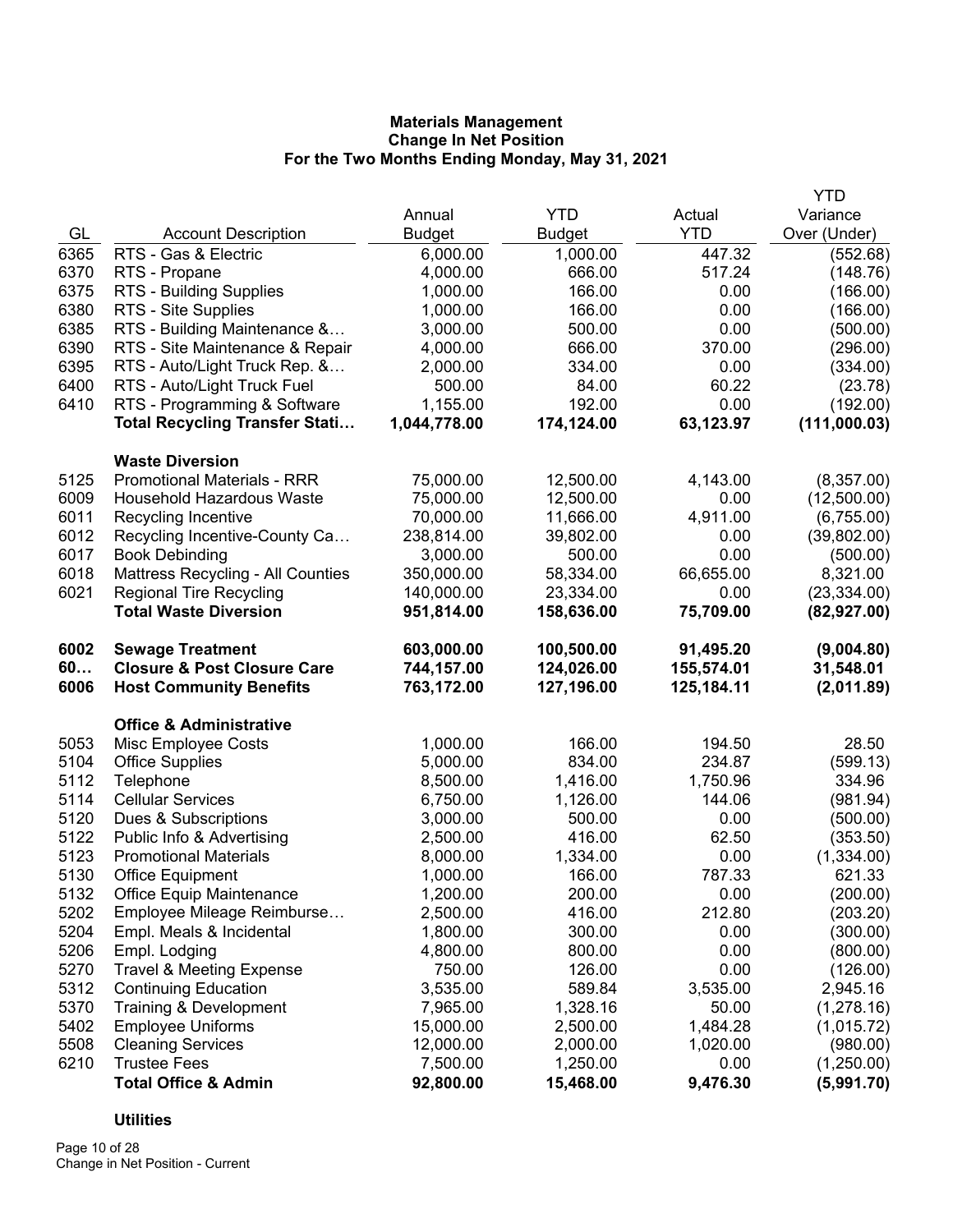|      |                                        |               |               |            | <b>YTD</b>   |
|------|----------------------------------------|---------------|---------------|------------|--------------|
|      |                                        | Annual        | <b>YTD</b>    | Actual     | Variance     |
| GL   | <b>Account Description</b>             | <b>Budget</b> | <b>Budget</b> | <b>YTD</b> | Over (Under) |
| 6365 | RTS - Gas & Electric                   | 6,000.00      | 1,000.00      | 447.32     | (552.68)     |
| 6370 | RTS - Propane                          | 4,000.00      | 666.00        | 517.24     | (148.76)     |
| 6375 | RTS - Building Supplies                | 1,000.00      | 166.00        | 0.00       | (166.00)     |
| 6380 | RTS - Site Supplies                    | 1,000.00      | 166.00        | 0.00       | (166.00)     |
| 6385 | RTS - Building Maintenance &           | 3,000.00      | 500.00        | 0.00       | (500.00)     |
| 6390 | RTS - Site Maintenance & Repair        | 4,000.00      | 666.00        | 370.00     | (296.00)     |
| 6395 | RTS - Auto/Light Truck Rep. &          | 2,000.00      | 334.00        | 0.00       | (334.00)     |
| 6400 | RTS - Auto/Light Truck Fuel            | 500.00        | 84.00         | 60.22      | (23.78)      |
| 6410 | RTS - Programming & Software           | 1,155.00      | 192.00        | 0.00       | (192.00)     |
|      | <b>Total Recycling Transfer Stati</b>  | 1,044,778.00  | 174,124.00    | 63,123.97  | (111,000.03) |
|      | <b>Waste Diversion</b>                 |               |               |            |              |
| 5125 | <b>Promotional Materials - RRR</b>     | 75,000.00     | 12,500.00     | 4,143.00   | (8,357.00)   |
| 6009 | <b>Household Hazardous Waste</b>       | 75,000.00     | 12,500.00     | 0.00       | (12,500.00)  |
| 6011 | Recycling Incentive                    | 70,000.00     | 11,666.00     | 4,911.00   | (6,755.00)   |
| 6012 | Recycling Incentive-County Ca          | 238,814.00    | 39,802.00     | 0.00       | (39,802.00)  |
| 6017 | <b>Book Debinding</b>                  | 3,000.00      | 500.00        | 0.00       | (500.00)     |
| 6018 | Mattress Recycling - All Counties      | 350,000.00    | 58,334.00     | 66,655.00  | 8,321.00     |
| 6021 | <b>Regional Tire Recycling</b>         | 140,000.00    | 23,334.00     | 0.00       | (23, 334.00) |
|      | <b>Total Waste Diversion</b>           | 951,814.00    | 158,636.00    | 75,709.00  | (82, 927.00) |
| 6002 | <b>Sewage Treatment</b>                | 603,000.00    | 100,500.00    | 91,495.20  | (9,004.80)   |
| 60   | <b>Closure &amp; Post Closure Care</b> | 744,157.00    | 124,026.00    | 155,574.01 | 31,548.01    |
| 6006 | <b>Host Community Benefits</b>         | 763,172.00    | 127,196.00    | 125,184.11 | (2,011.89)   |
|      | <b>Office &amp; Administrative</b>     |               |               |            |              |
| 5053 | Misc Employee Costs                    | 1,000.00      | 166.00        | 194.50     | 28.50        |
| 5104 | <b>Office Supplies</b>                 | 5,000.00      | 834.00        | 234.87     | (599.13)     |
| 5112 | Telephone                              | 8,500.00      | 1,416.00      | 1,750.96   | 334.96       |
| 5114 | <b>Cellular Services</b>               | 6,750.00      | 1,126.00      | 144.06     | (981.94)     |
| 5120 | Dues & Subscriptions                   | 3,000.00      | 500.00        | 0.00       | (500.00)     |
| 5122 | Public Info & Advertising              | 2,500.00      | 416.00        | 62.50      | (353.50)     |
| 5123 | <b>Promotional Materials</b>           | 8,000.00      | 1,334.00      | 0.00       | (1,334.00)   |
| 5130 | <b>Office Equipment</b>                | 1,000.00      | 166.00        | 787.33     | 621.33       |
| 5132 | <b>Office Equip Maintenance</b>        | 1,200.00      | 200.00        | 0.00       | (200.00)     |
| 5202 | Employee Mileage Reimburse             | 2,500.00      | 416.00        | 212.80     | (203.20)     |
| 5204 | Empl. Meals & Incidental               | 1,800.00      | 300.00        | 0.00       | (300.00)     |
| 5206 | Empl. Lodging                          | 4,800.00      | 800.00        | 0.00       | (800.00)     |
| 5270 | <b>Travel &amp; Meeting Expense</b>    | 750.00        | 126.00        | 0.00       | (126.00)     |
| 5312 | <b>Continuing Education</b>            | 3,535.00      | 589.84        | 3,535.00   | 2,945.16     |
| 5370 | Training & Development                 | 7,965.00      | 1,328.16      | 50.00      | (1,278.16)   |
| 5402 | <b>Employee Uniforms</b>               | 15,000.00     | 2,500.00      | 1,484.28   | (1,015.72)   |
| 5508 | <b>Cleaning Services</b>               | 12,000.00     | 2,000.00      | 1,020.00   | (980.00)     |
| 6210 | <b>Trustee Fees</b>                    | 7,500.00      | 1,250.00      | 0.00       | (1,250.00)   |
|      | <b>Total Office &amp; Admin</b>        | 92,800.00     | 15,468.00     | 9,476.30   | (5,991.70)   |

# **Utilities**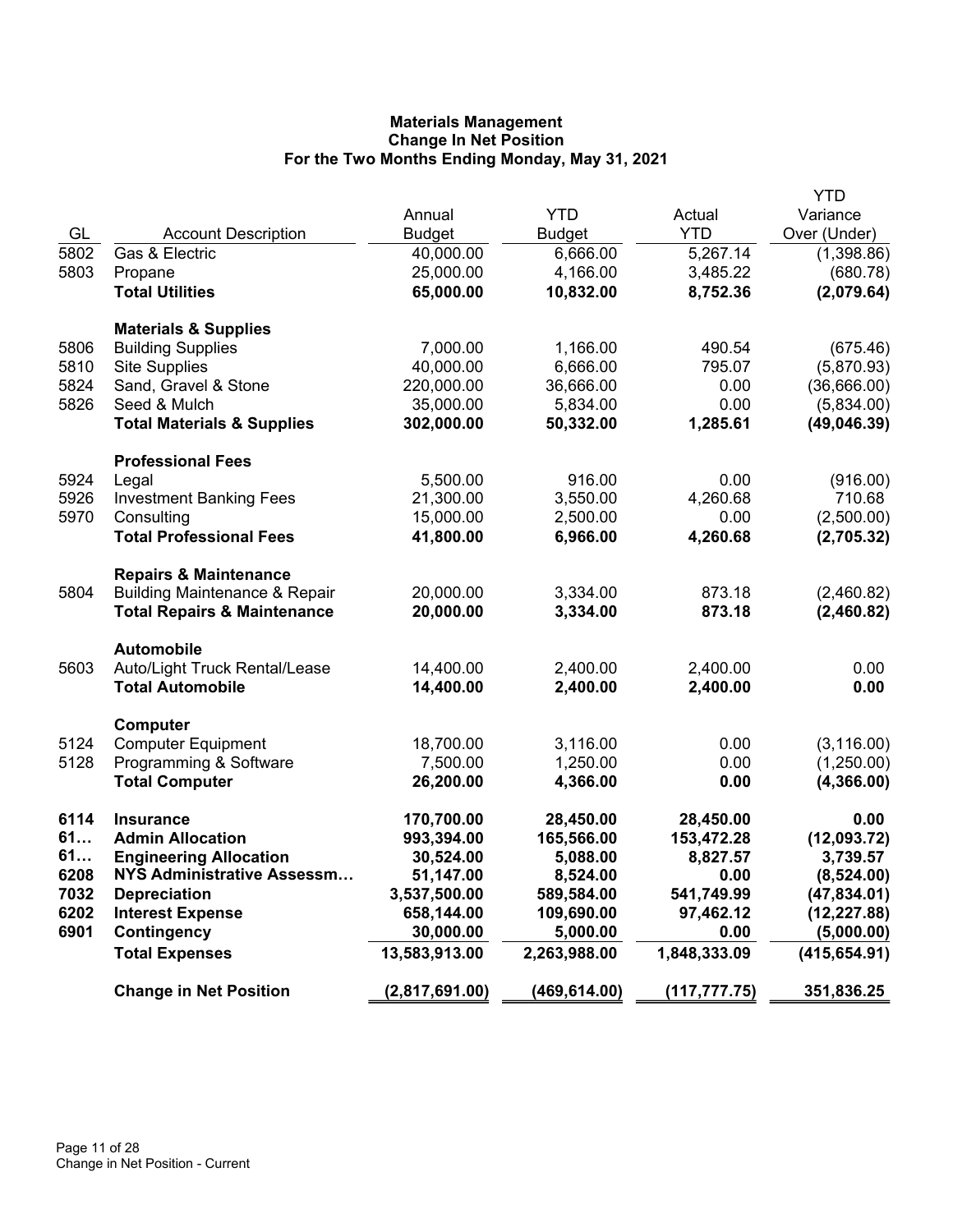|      |                                          |                |               |               | <b>YTD</b>    |
|------|------------------------------------------|----------------|---------------|---------------|---------------|
|      |                                          | Annual         | <b>YTD</b>    | Actual        | Variance      |
| GL   | <b>Account Description</b>               | <b>Budget</b>  | <b>Budget</b> | <b>YTD</b>    | Over (Under)  |
| 5802 | Gas & Electric                           | 40,000.00      | 6,666.00      | 5,267.14      | (1,398.86)    |
| 5803 | Propane                                  | 25,000.00      | 4,166.00      | 3,485.22      | (680.78)      |
|      | <b>Total Utilities</b>                   | 65,000.00      | 10,832.00     | 8,752.36      | (2,079.64)    |
|      |                                          |                |               |               |               |
|      | <b>Materials &amp; Supplies</b>          |                |               |               |               |
| 5806 | <b>Building Supplies</b>                 | 7,000.00       | 1,166.00      | 490.54        | (675.46)      |
| 5810 | <b>Site Supplies</b>                     | 40,000.00      | 6,666.00      | 795.07        | (5,870.93)    |
| 5824 | Sand, Gravel & Stone                     | 220,000.00     | 36,666.00     | 0.00          | (36,666.00)   |
| 5826 | Seed & Mulch                             | 35,000.00      | 5,834.00      | 0.00          | (5,834.00)    |
|      | <b>Total Materials &amp; Supplies</b>    | 302,000.00     | 50,332.00     | 1,285.61      | (49,046.39)   |
|      |                                          |                |               |               |               |
|      | <b>Professional Fees</b>                 |                |               |               |               |
| 5924 | Legal                                    | 5,500.00       | 916.00        | 0.00          | (916.00)      |
| 5926 | <b>Investment Banking Fees</b>           | 21,300.00      | 3,550.00      | 4,260.68      | 710.68        |
| 5970 | Consulting                               | 15,000.00      | 2,500.00      | 0.00          | (2,500.00)    |
|      | <b>Total Professional Fees</b>           | 41,800.00      | 6,966.00      | 4,260.68      | (2,705.32)    |
|      |                                          |                |               |               |               |
|      | <b>Repairs &amp; Maintenance</b>         |                |               |               |               |
| 5804 | <b>Building Maintenance &amp; Repair</b> | 20,000.00      | 3,334.00      | 873.18        | (2,460.82)    |
|      | <b>Total Repairs &amp; Maintenance</b>   | 20,000.00      | 3,334.00      | 873.18        | (2,460.82)    |
|      | <b>Automobile</b>                        |                |               |               |               |
| 5603 | Auto/Light Truck Rental/Lease            | 14,400.00      | 2,400.00      | 2,400.00      | 0.00          |
|      | <b>Total Automobile</b>                  | 14,400.00      | 2,400.00      | 2,400.00      | 0.00          |
|      |                                          |                |               |               |               |
|      | Computer                                 |                |               |               |               |
| 5124 | <b>Computer Equipment</b>                | 18,700.00      | 3,116.00      | 0.00          | (3, 116.00)   |
| 5128 | Programming & Software                   | 7,500.00       | 1,250.00      | 0.00          | (1,250.00)    |
|      | <b>Total Computer</b>                    | 26,200.00      | 4,366.00      | 0.00          | (4,366.00)    |
| 6114 | <b>Insurance</b>                         | 170,700.00     | 28,450.00     | 28,450.00     | 0.00          |
| 61   | <b>Admin Allocation</b>                  | 993,394.00     | 165,566.00    | 153,472.28    | (12,093.72)   |
| 61   | <b>Engineering Allocation</b>            | 30,524.00      | 5,088.00      | 8,827.57      | 3,739.57      |
| 6208 | <b>NYS Administrative Assessm</b>        | 51,147.00      | 8,524.00      | 0.00          | (8,524.00)    |
| 7032 | <b>Depreciation</b>                      | 3,537,500.00   | 589,584.00    | 541,749.99    | (47, 834.01)  |
| 6202 | <b>Interest Expense</b>                  | 658,144.00     | 109,690.00    | 97,462.12     | (12, 227.88)  |
| 6901 | <b>Contingency</b>                       | 30,000.00      | 5,000.00      | 0.00          | (5,000.00)    |
|      |                                          | 13,583,913.00  | 2,263,988.00  | 1,848,333.09  | (415, 654.91) |
|      | <b>Total Expenses</b>                    |                |               |               |               |
|      | <b>Change in Net Position</b>            | (2,817,691.00) | (469, 614.00) | (117, 777.75) | 351,836.25    |
|      |                                          |                |               |               |               |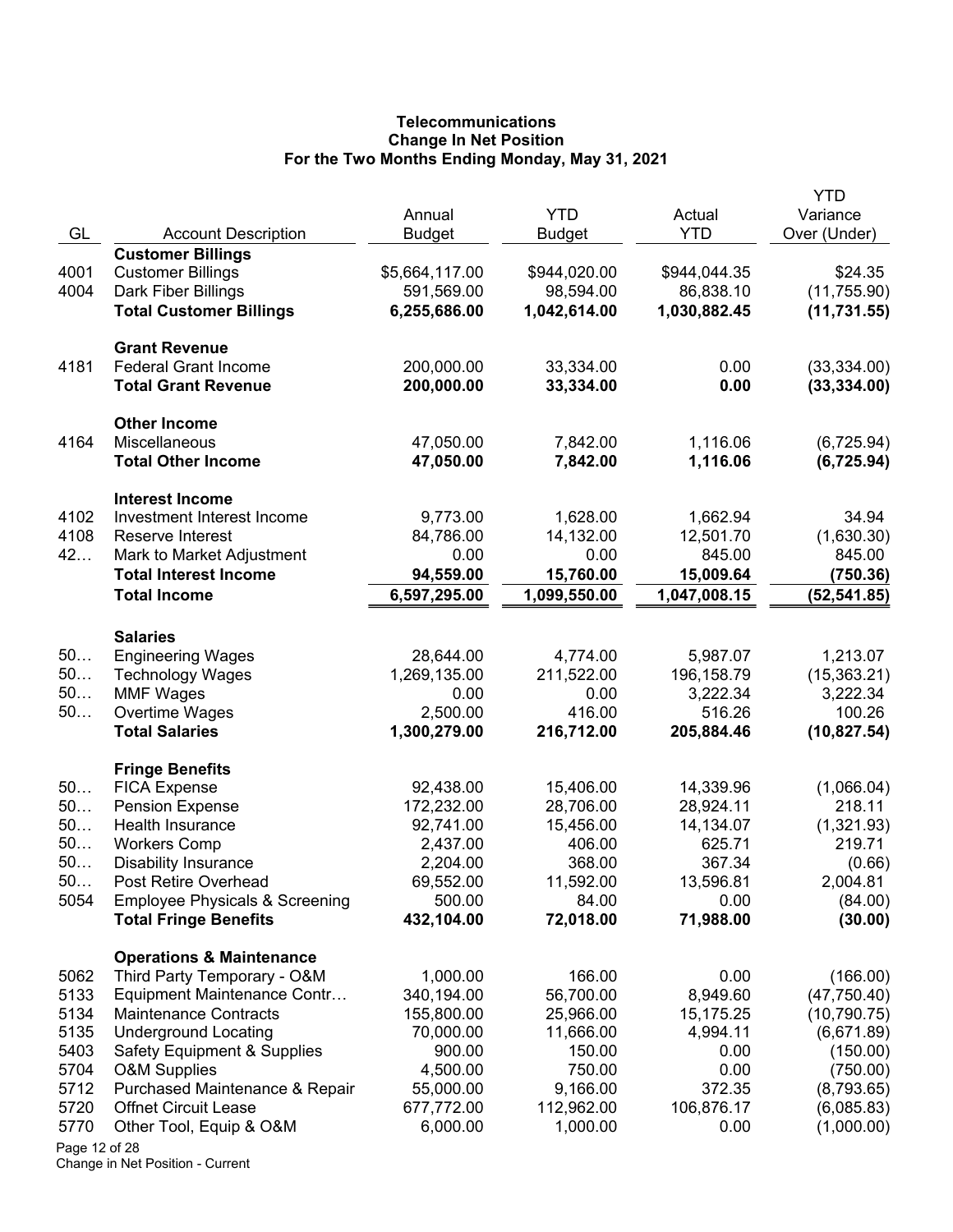# **Telecommunications Change In Net Position For the Two Months Ending Monday, May 31, 2021**

| GL            | <b>Account Description</b>                 | Annual<br><b>Budget</b> | <b>YTD</b><br><b>Budget</b> | Actual<br><b>YTD</b>   | <b>YTD</b><br>Variance<br>Over (Under) |
|---------------|--------------------------------------------|-------------------------|-----------------------------|------------------------|----------------------------------------|
|               | <b>Customer Billings</b>                   |                         |                             |                        |                                        |
| 4001          | <b>Customer Billings</b>                   | \$5,664,117.00          | \$944,020.00                | \$944,044.35           | \$24.35                                |
| 4004          | Dark Fiber Billings                        | 591,569.00              | 98,594.00                   | 86,838.10              | (11, 755.90)                           |
|               | <b>Total Customer Billings</b>             | 6,255,686.00            | 1,042,614.00                | 1,030,882.45           | (11, 731.55)                           |
|               | <b>Grant Revenue</b>                       |                         |                             |                        |                                        |
| 4181          | <b>Federal Grant Income</b>                | 200,000.00              | 33,334.00                   | 0.00                   | (33, 334.00)                           |
|               | <b>Total Grant Revenue</b>                 | 200,000.00              | 33,334.00                   | 0.00                   | (33, 334.00)                           |
|               | <b>Other Income</b>                        |                         |                             |                        |                                        |
| 4164          | Miscellaneous<br><b>Total Other Income</b> | 47,050.00<br>47,050.00  | 7,842.00<br>7,842.00        | 1,116.06<br>1,116.06   | (6,725.94)<br>(6, 725.94)              |
|               | <b>Interest Income</b>                     |                         |                             |                        |                                        |
| 4102          | Investment Interest Income                 | 9,773.00                | 1,628.00                    | 1,662.94               | 34.94                                  |
| 4108          | Reserve Interest                           | 84,786.00               | 14,132.00                   | 12,501.70              | (1,630.30)                             |
| 42            | Mark to Market Adjustment                  | 0.00                    | 0.00                        | 845.00                 | 845.00                                 |
|               | <b>Total Interest Income</b>               | 94,559.00               | 15,760.00                   | 15,009.64              | (750.36)                               |
|               | <b>Total Income</b>                        | 6,597,295.00            | 1,099,550.00                | 1,047,008.15           | (52, 541.85)                           |
|               | <b>Salaries</b>                            |                         |                             |                        |                                        |
| 50            | <b>Engineering Wages</b>                   | 28,644.00               | 4,774.00                    | 5,987.07               | 1,213.07                               |
| 50            | <b>Technology Wages</b>                    | 1,269,135.00            | 211,522.00                  | 196,158.79             | (15, 363.21)                           |
| 50            | <b>MMF Wages</b>                           | 0.00                    | 0.00                        | 3,222.34               | 3,222.34                               |
| 50            | Overtime Wages                             | 2,500.00                | 416.00                      | 516.26                 | 100.26                                 |
|               | <b>Total Salaries</b>                      | 1,300,279.00            | 216,712.00                  | 205,884.46             | (10, 827.54)                           |
|               | <b>Fringe Benefits</b>                     |                         |                             |                        |                                        |
| 50            | <b>FICA Expense</b>                        | 92,438.00               | 15,406.00                   | 14,339.96              | (1,066.04)                             |
| 50<br>50      | <b>Pension Expense</b><br>Health Insurance | 172,232.00<br>92,741.00 | 28,706.00<br>15,456.00      | 28,924.11<br>14,134.07 | 218.11                                 |
| 50            | <b>Workers Comp</b>                        | 2,437.00                | 406.00                      | 625.71                 | (1,321.93)<br>219.71                   |
| 50            | <b>Disability Insurance</b>                | 2,204.00                | 368.00                      | 367.34                 | (0.66)                                 |
| 50            | Post Retire Overhead                       | 69,552.00               | 11,592.00                   | 13,596.81              | 2,004.81                               |
| 5054          | <b>Employee Physicals &amp; Screening</b>  | 500.00                  | 84.00                       | 0.00                   | (84.00)                                |
|               | <b>Total Fringe Benefits</b>               | 432,104.00              | 72,018.00                   | 71,988.00              | (30.00)                                |
|               | <b>Operations &amp; Maintenance</b>        |                         |                             |                        |                                        |
| 5062          | Third Party Temporary - O&M                | 1,000.00                | 166.00                      | 0.00                   | (166.00)                               |
| 5133          | Equipment Maintenance Contr                | 340,194.00              | 56,700.00                   | 8,949.60               | (47, 750.40)                           |
| 5134          | <b>Maintenance Contracts</b>               | 155,800.00              | 25,966.00                   | 15,175.25              | (10, 790.75)                           |
| 5135          | <b>Underground Locating</b>                | 70,000.00               | 11,666.00                   | 4,994.11               | (6,671.89)                             |
| 5403          | Safety Equipment & Supplies                | 900.00                  | 150.00                      | 0.00                   | (150.00)                               |
| 5704          | <b>O&amp;M Supplies</b>                    | 4,500.00                | 750.00                      | 0.00                   | (750.00)                               |
| 5712          | Purchased Maintenance & Repair             | 55,000.00               | 9,166.00                    | 372.35                 | (8,793.65)                             |
| 5720<br>5770  | <b>Offnet Circuit Lease</b>                | 677,772.00<br>6,000.00  | 112,962.00<br>1,000.00      | 106,876.17<br>0.00     | (6,085.83)                             |
| Page 12 of 28 | Other Tool, Equip & O&M                    |                         |                             |                        | (1,000.00)                             |
|               |                                            |                         |                             |                        |                                        |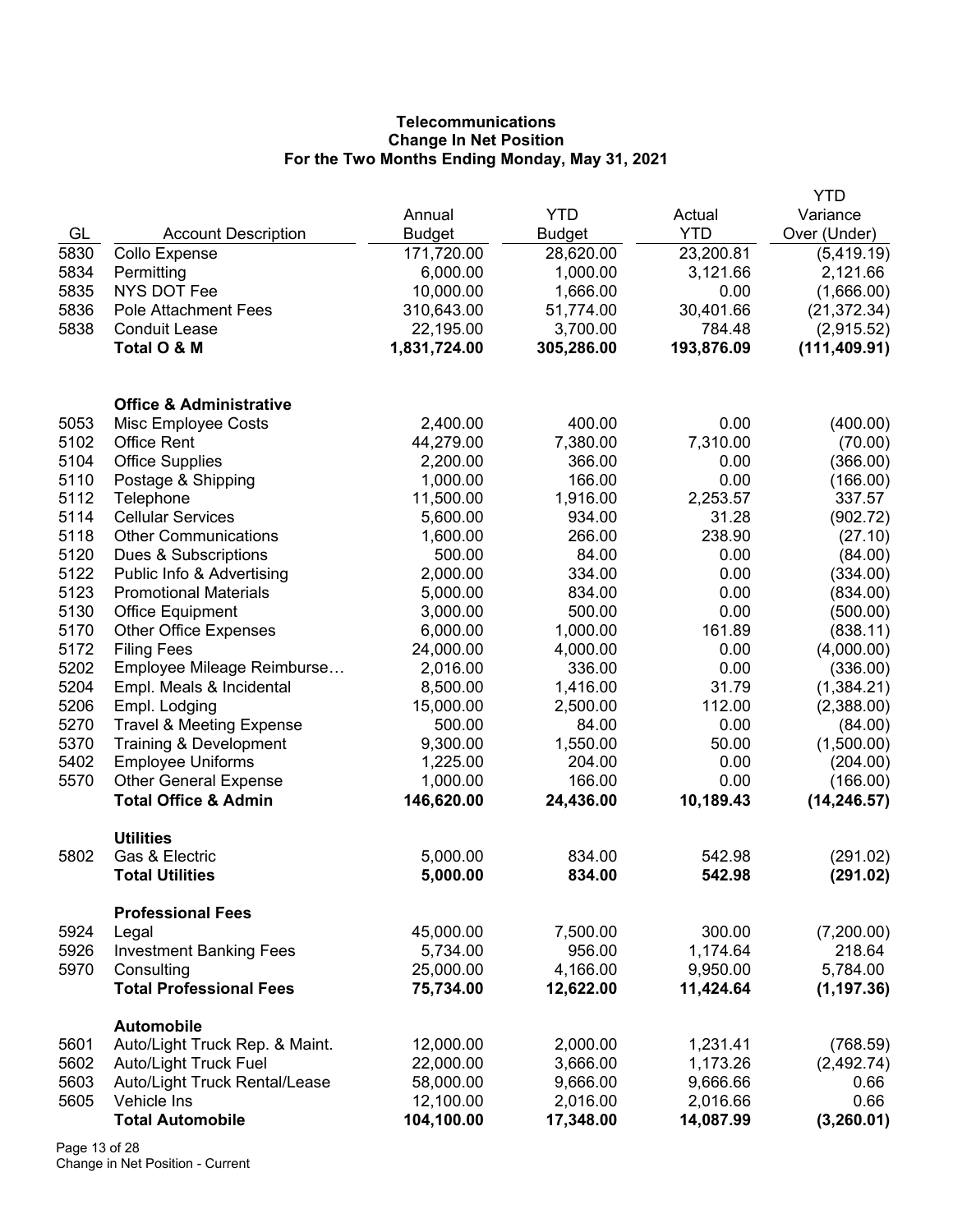# **Telecommunications Change In Net Position For the Two Months Ending Monday, May 31, 2021**

|      |                                     |               |               |            | <b>YTD</b>    |
|------|-------------------------------------|---------------|---------------|------------|---------------|
|      |                                     | Annual        | <b>YTD</b>    | Actual     | Variance      |
| GL   | <b>Account Description</b>          | <b>Budget</b> | <b>Budget</b> | <b>YTD</b> | Over (Under)  |
| 5830 | Collo Expense                       | 171,720.00    | 28,620.00     | 23,200.81  | (5,419.19)    |
| 5834 | Permitting                          | 6,000.00      | 1,000.00      | 3,121.66   | 2,121.66      |
| 5835 | <b>NYS DOT Fee</b>                  | 10,000.00     | 1,666.00      | 0.00       | (1,666.00)    |
| 5836 | <b>Pole Attachment Fees</b>         | 310,643.00    | 51,774.00     | 30,401.66  | (21, 372.34)  |
| 5838 | <b>Conduit Lease</b>                | 22,195.00     | 3,700.00      | 784.48     | (2,915.52)    |
|      | Total O & M                         | 1,831,724.00  | 305,286.00    | 193,876.09 | (111, 409.91) |
|      | <b>Office &amp; Administrative</b>  |               |               |            |               |
| 5053 | Misc Employee Costs                 | 2,400.00      | 400.00        | 0.00       | (400.00)      |
| 5102 | <b>Office Rent</b>                  | 44,279.00     | 7,380.00      | 7,310.00   | (70.00)       |
| 5104 | <b>Office Supplies</b>              | 2,200.00      | 366.00        | 0.00       | (366.00)      |
| 5110 | Postage & Shipping                  | 1,000.00      | 166.00        | 0.00       | (166.00)      |
| 5112 | Telephone                           | 11,500.00     | 1,916.00      | 2,253.57   | 337.57        |
| 5114 | <b>Cellular Services</b>            | 5,600.00      | 934.00        | 31.28      | (902.72)      |
| 5118 | <b>Other Communications</b>         | 1,600.00      | 266.00        | 238.90     | (27.10)       |
| 5120 | Dues & Subscriptions                | 500.00        | 84.00         | 0.00       | (84.00)       |
| 5122 | Public Info & Advertising           | 2,000.00      | 334.00        | 0.00       | (334.00)      |
| 5123 | <b>Promotional Materials</b>        | 5,000.00      | 834.00        | 0.00       | (834.00)      |
| 5130 | <b>Office Equipment</b>             | 3,000.00      | 500.00        | 0.00       | (500.00)      |
| 5170 | <b>Other Office Expenses</b>        | 6,000.00      | 1,000.00      | 161.89     | (838.11)      |
| 5172 | <b>Filing Fees</b>                  | 24,000.00     | 4,000.00      | 0.00       | (4,000.00)    |
| 5202 | Employee Mileage Reimburse          | 2,016.00      | 336.00        | 0.00       | (336.00)      |
| 5204 | Empl. Meals & Incidental            | 8,500.00      | 1,416.00      | 31.79      | (1,384.21)    |
| 5206 | Empl. Lodging                       | 15,000.00     | 2,500.00      | 112.00     | (2,388.00)    |
| 5270 | <b>Travel &amp; Meeting Expense</b> | 500.00        | 84.00         | 0.00       | (84.00)       |
| 5370 | Training & Development              | 9,300.00      | 1,550.00      | 50.00      | (1,500.00)    |
| 5402 | <b>Employee Uniforms</b>            | 1,225.00      | 204.00        | 0.00       | (204.00)      |
| 5570 | <b>Other General Expense</b>        | 1,000.00      | 166.00        | 0.00       | (166.00)      |
|      | <b>Total Office &amp; Admin</b>     | 146,620.00    | 24,436.00     | 10,189.43  | (14, 246.57)  |
|      |                                     |               |               |            |               |
|      | <b>Utilities</b>                    |               |               |            |               |
| 5802 | Gas & Electric                      | 5,000.00      | 834.00        | 542.98     | (291.02)      |
|      | <b>Total Utilities</b>              | 5,000.00      | 834.00        | 542.98     | (291.02)      |
|      | <b>Professional Fees</b>            |               |               |            |               |
| 5924 | Legal                               | 45,000.00     | 7,500.00      | 300.00     | (7,200.00)    |
| 5926 | <b>Investment Banking Fees</b>      | 5,734.00      | 956.00        | 1,174.64   | 218.64        |
| 5970 | Consulting                          | 25,000.00     | 4,166.00      | 9,950.00   | 5,784.00      |
|      | <b>Total Professional Fees</b>      | 75,734.00     | 12,622.00     | 11,424.64  | (1, 197.36)   |
|      | <b>Automobile</b>                   |               |               |            |               |
| 5601 | Auto/Light Truck Rep. & Maint.      | 12,000.00     | 2,000.00      | 1,231.41   | (768.59)      |
| 5602 | Auto/Light Truck Fuel               | 22,000.00     | 3,666.00      | 1,173.26   | (2,492.74)    |
| 5603 | Auto/Light Truck Rental/Lease       | 58,000.00     | 9,666.00      | 9,666.66   | 0.66          |
| 5605 | Vehicle Ins                         | 12,100.00     | 2,016.00      | 2,016.66   | 0.66          |
|      | <b>Total Automobile</b>             | 104,100.00    | 17,348.00     | 14,087.99  | (3,260.01)    |

Page 13 of 28 Change in Net Position - Current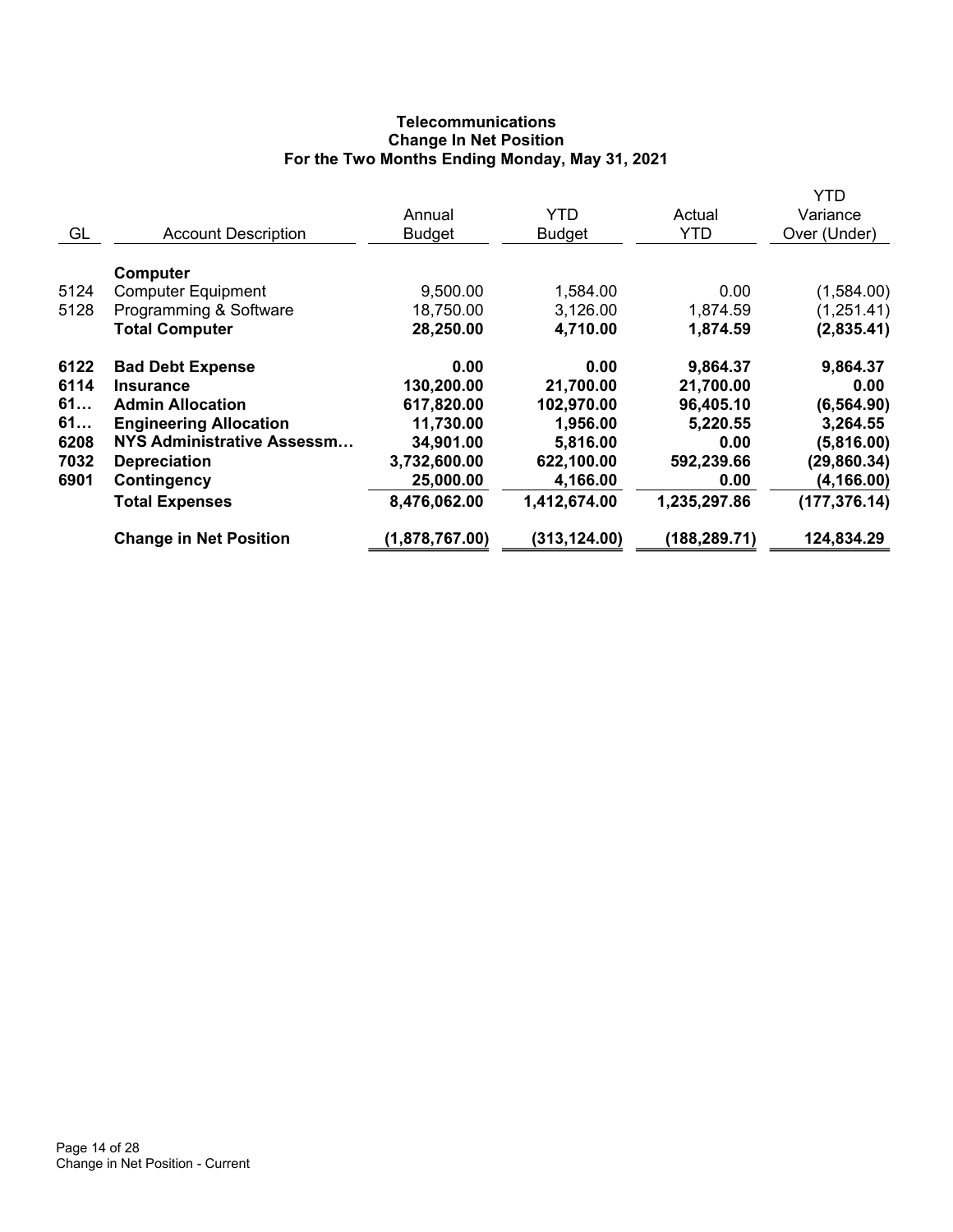# **Telecommunications Change In Net Position For the Two Months Ending Monday, May 31, 2021**

|                               |                                                                                            |                                                   |                                                 | YTD                                        |
|-------------------------------|--------------------------------------------------------------------------------------------|---------------------------------------------------|-------------------------------------------------|--------------------------------------------|
|                               | Annual                                                                                     | <b>YTD</b>                                        | Actual                                          | Variance                                   |
| <b>Account Description</b>    | <b>Budget</b>                                                                              | <b>Budget</b>                                     | <b>YTD</b>                                      | Over (Under)                               |
|                               |                                                                                            |                                                   |                                                 |                                            |
|                               |                                                                                            |                                                   |                                                 |                                            |
|                               |                                                                                            |                                                   |                                                 | (1,584.00)                                 |
|                               |                                                                                            |                                                   |                                                 | (1,251.41)                                 |
| <b>Total Computer</b>         | 28,250.00                                                                                  | 4,710.00                                          | 1,874.59                                        | (2,835.41)                                 |
|                               | 0.00                                                                                       | 0.00                                              | 9,864.37                                        | 9,864.37                                   |
| Insurance                     |                                                                                            |                                                   |                                                 | 0.00                                       |
| <b>Admin Allocation</b>       |                                                                                            |                                                   |                                                 | (6, 564.90)                                |
| <b>Engineering Allocation</b> | 11,730.00                                                                                  | 1,956.00                                          | 5,220.55                                        | 3,264.55                                   |
| NYS Administrative Assessm    | 34,901.00                                                                                  | 5,816.00                                          | 0.00                                            | (5,816.00)                                 |
| <b>Depreciation</b>           | 3,732,600.00                                                                               | 622,100.00                                        | 592,239.66                                      | (29, 860.34)                               |
| Contingency                   | 25,000.00                                                                                  | 4,166.00                                          | 0.00                                            | (4, 166.00)                                |
| <b>Total Expenses</b>         | 8,476,062.00                                                                               | 1,412,674.00                                      | 1,235,297.86                                    | (177, 376.14)                              |
| <b>Change in Net Position</b> | (1,878,767.00)                                                                             | (313, 124.00)                                     | (188, 289.71)                                   | 124,834.29                                 |
|                               | Computer<br><b>Computer Equipment</b><br>Programming & Software<br><b>Bad Debt Expense</b> | 9,500.00<br>18,750.00<br>130,200.00<br>617,820.00 | 1,584.00<br>3,126.00<br>21,700.00<br>102,970.00 | 0.00<br>1,874.59<br>21,700.00<br>96,405.10 |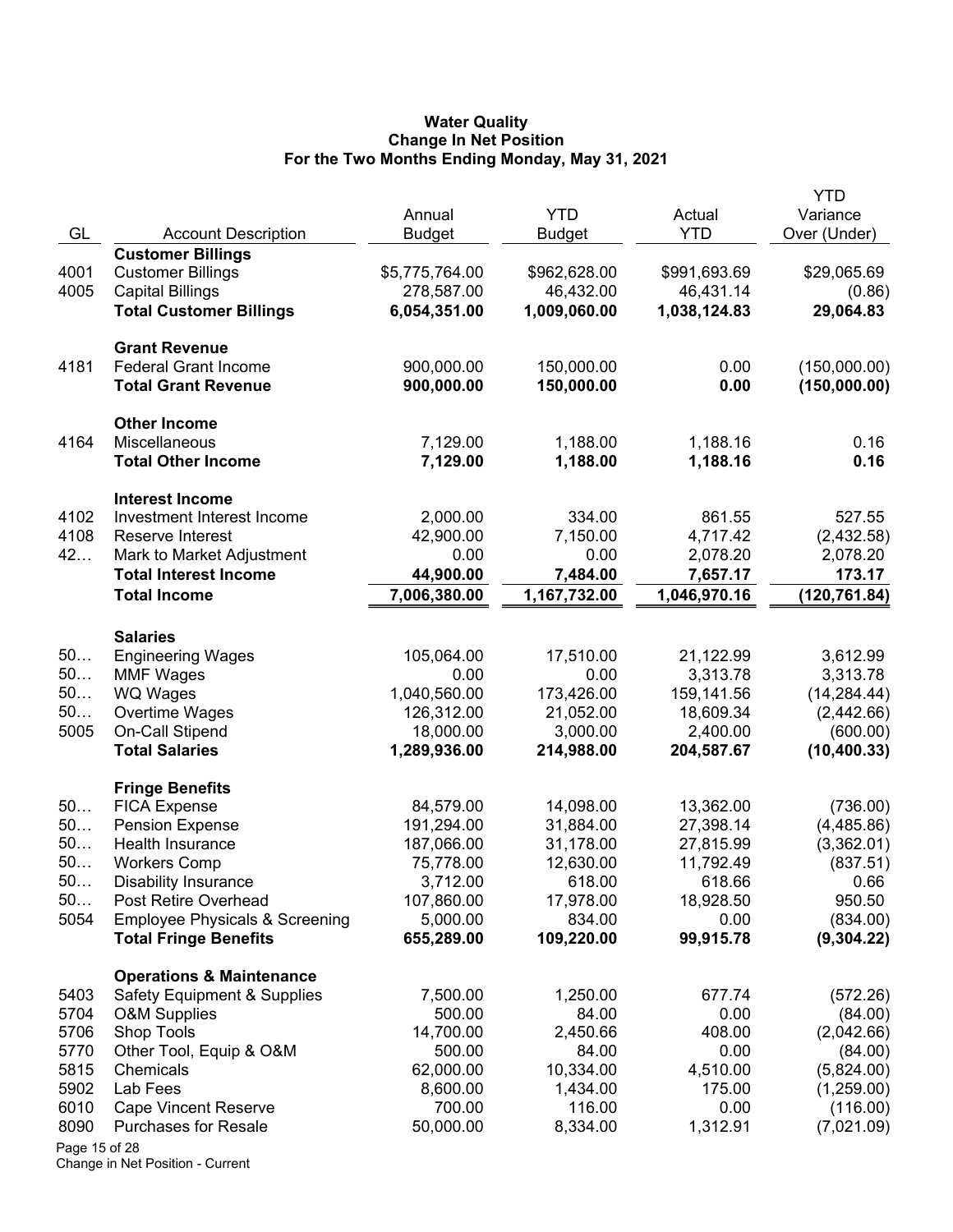#### **Water Quality Change In Net Position For the Two Months Ending Monday, May 31, 2021**

|               |                                           | Annual         | <b>YTD</b>    | Actual       | <b>YTD</b><br>Variance |
|---------------|-------------------------------------------|----------------|---------------|--------------|------------------------|
| GL            | <b>Account Description</b>                | <b>Budget</b>  | <b>Budget</b> | <b>YTD</b>   | Over (Under)           |
|               | <b>Customer Billings</b>                  |                |               |              |                        |
| 4001          | <b>Customer Billings</b>                  | \$5,775,764.00 | \$962,628.00  | \$991,693.69 | \$29,065.69            |
| 4005          | <b>Capital Billings</b>                   | 278,587.00     | 46,432.00     | 46,431.14    | (0.86)                 |
|               | <b>Total Customer Billings</b>            | 6,054,351.00   | 1,009,060.00  | 1,038,124.83 | 29,064.83              |
|               |                                           |                |               |              |                        |
|               | <b>Grant Revenue</b>                      |                |               |              |                        |
| 4181          | <b>Federal Grant Income</b>               | 900,000.00     | 150,000.00    | 0.00         | (150,000.00)           |
|               | <b>Total Grant Revenue</b>                | 900,000.00     | 150,000.00    | 0.00         | (150,000.00)           |
|               | <b>Other Income</b>                       |                |               |              |                        |
| 4164          | Miscellaneous                             | 7,129.00       | 1,188.00      | 1,188.16     | 0.16                   |
|               | <b>Total Other Income</b>                 | 7,129.00       | 1,188.00      | 1,188.16     | 0.16                   |
|               | <b>Interest Income</b>                    |                |               |              |                        |
| 4102          | Investment Interest Income                | 2,000.00       | 334.00        | 861.55       | 527.55                 |
| 4108          | Reserve Interest                          | 42,900.00      | 7,150.00      | 4,717.42     | (2,432.58)             |
| 42            | Mark to Market Adjustment                 | 0.00           | 0.00          | 2,078.20     | 2,078.20               |
|               | <b>Total Interest Income</b>              | 44,900.00      | 7,484.00      | 7,657.17     | 173.17                 |
|               | <b>Total Income</b>                       | 7,006,380.00   | 1,167,732.00  | 1,046,970.16 | (120, 761.84)          |
|               |                                           |                |               |              |                        |
|               | <b>Salaries</b>                           |                |               |              |                        |
| 50            | <b>Engineering Wages</b>                  | 105,064.00     | 17,510.00     | 21,122.99    | 3,612.99               |
| 50            | <b>MMF Wages</b>                          | 0.00           | 0.00          | 3,313.78     | 3,313.78               |
| 50            | WQ Wages                                  | 1,040,560.00   | 173,426.00    | 159,141.56   | (14, 284.44)           |
| 50            | Overtime Wages                            | 126,312.00     | 21,052.00     | 18,609.34    | (2,442.66)             |
| 5005          | On-Call Stipend                           | 18,000.00      | 3,000.00      | 2,400.00     | (600.00)               |
|               | <b>Total Salaries</b>                     | 1,289,936.00   | 214,988.00    | 204,587.67   | (10, 400.33)           |
|               | <b>Fringe Benefits</b>                    |                |               |              |                        |
| 50            | <b>FICA Expense</b>                       | 84,579.00      | 14,098.00     | 13,362.00    | (736.00)               |
| 50            | <b>Pension Expense</b>                    | 191,294.00     | 31,884.00     | 27,398.14    | (4,485.86)             |
| 50            | Health Insurance                          | 187,066.00     | 31,178.00     | 27,815.99    | (3,362.01)             |
| 50            | <b>Workers Comp</b>                       | 75,778.00      | 12,630.00     | 11,792.49    | (837.51)               |
| 50            | <b>Disability Insurance</b>               | 3,712.00       | 618.00        | 618.66       | 0.66                   |
| 50            | Post Retire Overhead                      | 107,860.00     | 17,978.00     | 18,928.50    | 950.50                 |
| 5054          | <b>Employee Physicals &amp; Screening</b> | 5,000.00       | 834.00        | 0.00         | (834.00)               |
|               | <b>Total Fringe Benefits</b>              | 655,289.00     | 109,220.00    | 99,915.78    | (9,304.22)             |
|               | <b>Operations &amp; Maintenance</b>       |                |               |              |                        |
| 5403          | Safety Equipment & Supplies               | 7,500.00       | 1,250.00      | 677.74       | (572.26)               |
| 5704          | <b>O&amp;M Supplies</b>                   | 500.00         | 84.00         | 0.00         | (84.00)                |
| 5706          | Shop Tools                                | 14,700.00      | 2,450.66      | 408.00       | (2,042.66)             |
| 5770          | Other Tool, Equip & O&M                   | 500.00         | 84.00         | 0.00         | (84.00)                |
| 5815          | Chemicals                                 | 62,000.00      | 10,334.00     | 4,510.00     | (5,824.00)             |
| 5902          | Lab Fees                                  | 8,600.00       | 1,434.00      | 175.00       | (1,259.00)             |
| 6010          | <b>Cape Vincent Reserve</b>               | 700.00         | 116.00        | 0.00         | (116.00)               |
| 8090          | <b>Purchases for Resale</b>               | 50,000.00      | 8,334.00      | 1,312.91     | (7,021.09)             |
| Page 15 of 28 |                                           |                |               |              |                        |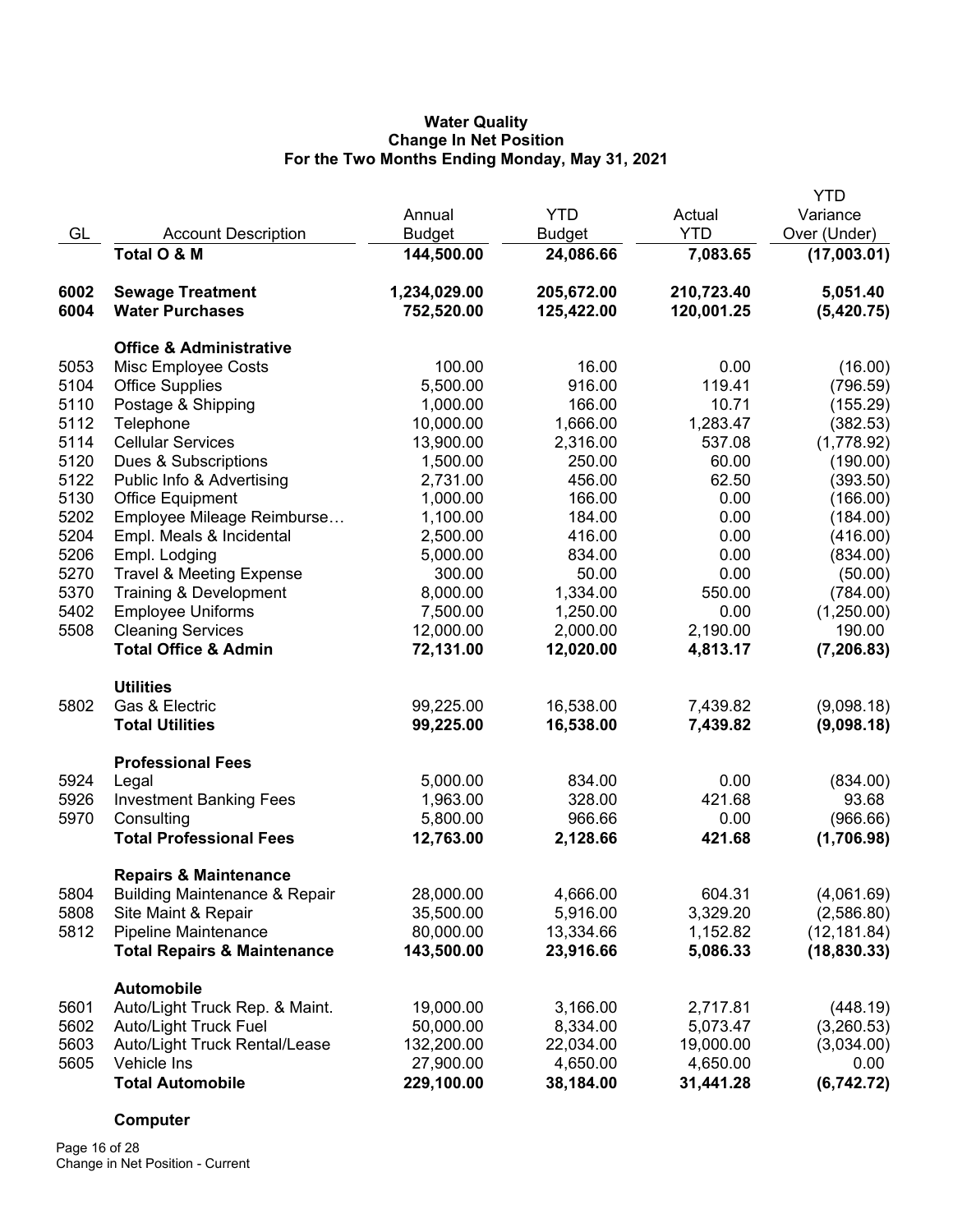## **Water Quality Change In Net Position For the Two Months Ending Monday, May 31, 2021**

|      |                                          |               |               |            | <b>YTD</b>   |
|------|------------------------------------------|---------------|---------------|------------|--------------|
|      |                                          | Annual        | <b>YTD</b>    | Actual     | Variance     |
| GL   | <b>Account Description</b>               | <b>Budget</b> | <b>Budget</b> | <b>YTD</b> | Over (Under) |
|      | Total O & M                              | 144,500.00    | 24,086.66     | 7,083.65   | (17,003.01)  |
| 6002 | <b>Sewage Treatment</b>                  | 1,234,029.00  | 205,672.00    | 210,723.40 | 5,051.40     |
| 6004 | <b>Water Purchases</b>                   | 752,520.00    | 125,422.00    | 120,001.25 | (5,420.75)   |
|      | <b>Office &amp; Administrative</b>       |               |               |            |              |
| 5053 | Misc Employee Costs                      | 100.00        | 16.00         | 0.00       | (16.00)      |
| 5104 | <b>Office Supplies</b>                   | 5,500.00      | 916.00        | 119.41     | (796.59)     |
| 5110 | Postage & Shipping                       | 1,000.00      | 166.00        | 10.71      | (155.29)     |
| 5112 | Telephone                                | 10,000.00     | 1,666.00      | 1,283.47   | (382.53)     |
| 5114 | <b>Cellular Services</b>                 | 13,900.00     | 2,316.00      | 537.08     | (1,778.92)   |
| 5120 | Dues & Subscriptions                     | 1,500.00      | 250.00        | 60.00      | (190.00)     |
| 5122 | Public Info & Advertising                | 2,731.00      | 456.00        | 62.50      | (393.50)     |
| 5130 | <b>Office Equipment</b>                  | 1,000.00      | 166.00        | 0.00       | (166.00)     |
| 5202 | Employee Mileage Reimburse               | 1,100.00      | 184.00        | 0.00       | (184.00)     |
| 5204 | Empl. Meals & Incidental                 | 2,500.00      | 416.00        | 0.00       | (416.00)     |
| 5206 | Empl. Lodging                            | 5,000.00      | 834.00        | 0.00       | (834.00)     |
| 5270 | <b>Travel &amp; Meeting Expense</b>      | 300.00        | 50.00         | 0.00       | (50.00)      |
| 5370 | Training & Development                   | 8,000.00      | 1,334.00      | 550.00     | (784.00)     |
| 5402 | <b>Employee Uniforms</b>                 | 7,500.00      | 1,250.00      | 0.00       | (1,250.00)   |
| 5508 | <b>Cleaning Services</b>                 | 12,000.00     | 2,000.00      | 2,190.00   | 190.00       |
|      | <b>Total Office &amp; Admin</b>          | 72,131.00     | 12,020.00     | 4,813.17   | (7, 206.83)  |
|      | <b>Utilities</b>                         |               |               |            |              |
| 5802 | Gas & Electric                           | 99,225.00     | 16,538.00     | 7,439.82   | (9,098.18)   |
|      | <b>Total Utilities</b>                   | 99,225.00     | 16,538.00     | 7,439.82   | (9,098.18)   |
|      | <b>Professional Fees</b>                 |               |               |            |              |
| 5924 | Legal                                    | 5,000.00      | 834.00        | 0.00       | (834.00)     |
| 5926 | <b>Investment Banking Fees</b>           | 1,963.00      | 328.00        | 421.68     | 93.68        |
| 5970 | Consulting                               | 5,800.00      | 966.66        | 0.00       | (966.66)     |
|      | <b>Total Professional Fees</b>           | 12,763.00     | 2,128.66      | 421.68     | (1,706.98)   |
|      | <b>Repairs &amp; Maintenance</b>         |               |               |            |              |
| 5804 | <b>Building Maintenance &amp; Repair</b> | 28,000.00     | 4,666.00      | 604.31     | (4,061.69)   |
| 5808 | Site Maint & Repair                      | 35,500.00     | 5,916.00      | 3,329.20   | (2,586.80)   |
| 5812 | Pipeline Maintenance                     | 80,000.00     | 13,334.66     | 1,152.82   | (12, 181.84) |
|      | <b>Total Repairs &amp; Maintenance</b>   | 143,500.00    | 23,916.66     | 5,086.33   | (18, 830.33) |
|      | <b>Automobile</b>                        |               |               |            |              |
| 5601 | Auto/Light Truck Rep. & Maint.           | 19,000.00     | 3,166.00      | 2,717.81   | (448.19)     |
| 5602 | Auto/Light Truck Fuel                    | 50,000.00     | 8,334.00      | 5,073.47   | (3,260.53)   |
| 5603 | Auto/Light Truck Rental/Lease            | 132,200.00    | 22,034.00     | 19,000.00  | (3,034.00)   |
| 5605 | Vehicle Ins                              | 27,900.00     | 4,650.00      | 4,650.00   | 0.00         |
|      | <b>Total Automobile</b>                  | 229,100.00    | 38,184.00     | 31,441.28  | (6,742.72)   |

# **Computer**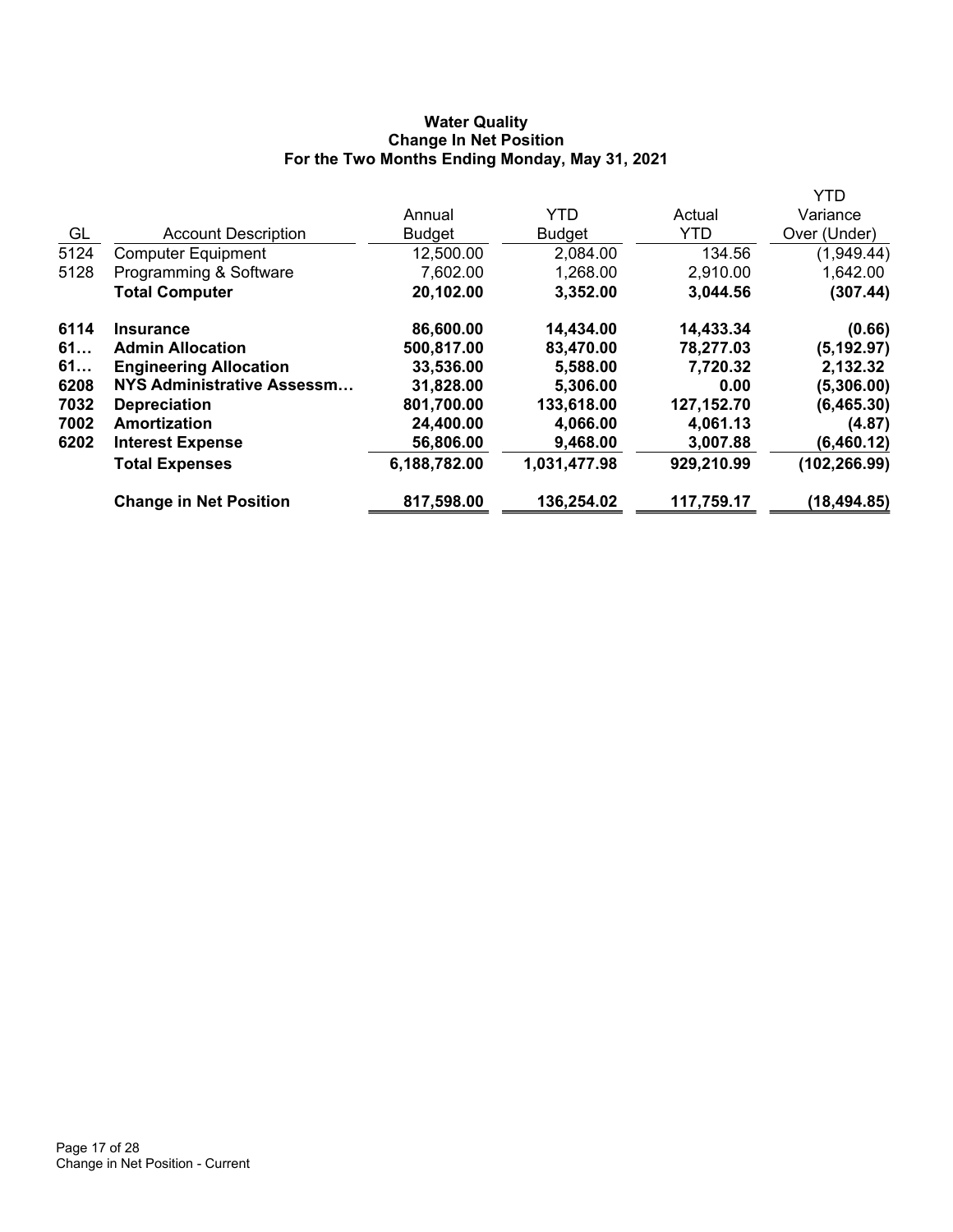# **Water Quality Change In Net Position For the Two Months Ending Monday, May 31, 2021**

|                               |               |               |              | YTD          |
|-------------------------------|---------------|---------------|--------------|--------------|
|                               | Annual        | <b>YTD</b>    | Actual       | Variance     |
| <b>Account Description</b>    | <b>Budget</b> | <b>Budget</b> | <b>YTD</b>   | Over (Under) |
| <b>Computer Equipment</b>     | 12,500.00     | 2,084.00      | 134.56       | (1,949.44)   |
| Programming & Software        | 7,602.00      | 1,268.00      | 2,910.00     | 1,642.00     |
| <b>Total Computer</b>         | 20,102.00     | 3,352.00      | 3,044.56     | (307.44)     |
| <b>Insurance</b>              | 86,600.00     | 14,434.00     | 14,433.34    | (0.66)       |
| <b>Admin Allocation</b>       | 500,817.00    | 83,470.00     | 78,277.03    | (5, 192.97)  |
| <b>Engineering Allocation</b> | 33,536.00     | 5,588.00      | 7,720.32     | 2,132.32     |
| NYS Administrative Assessm    | 31,828.00     | 5,306.00      | 0.00         | (5,306.00)   |
| <b>Depreciation</b>           | 801,700.00    | 133,618.00    | 127, 152. 70 | (6,465.30)   |
| Amortization                  | 24,400.00     | 4,066.00      | 4,061.13     | (4.87)       |
| <b>Interest Expense</b>       | 56,806.00     | 9,468.00      | 3,007.88     | (6,460.12)   |
| <b>Total Expenses</b>         | 6,188,782.00  | 1,031,477.98  | 929,210.99   | (102,266.99) |
| <b>Change in Net Position</b> | 817,598.00    | 136,254.02    | 117,759.17   | (18, 494.85) |
|                               |               |               |              |              |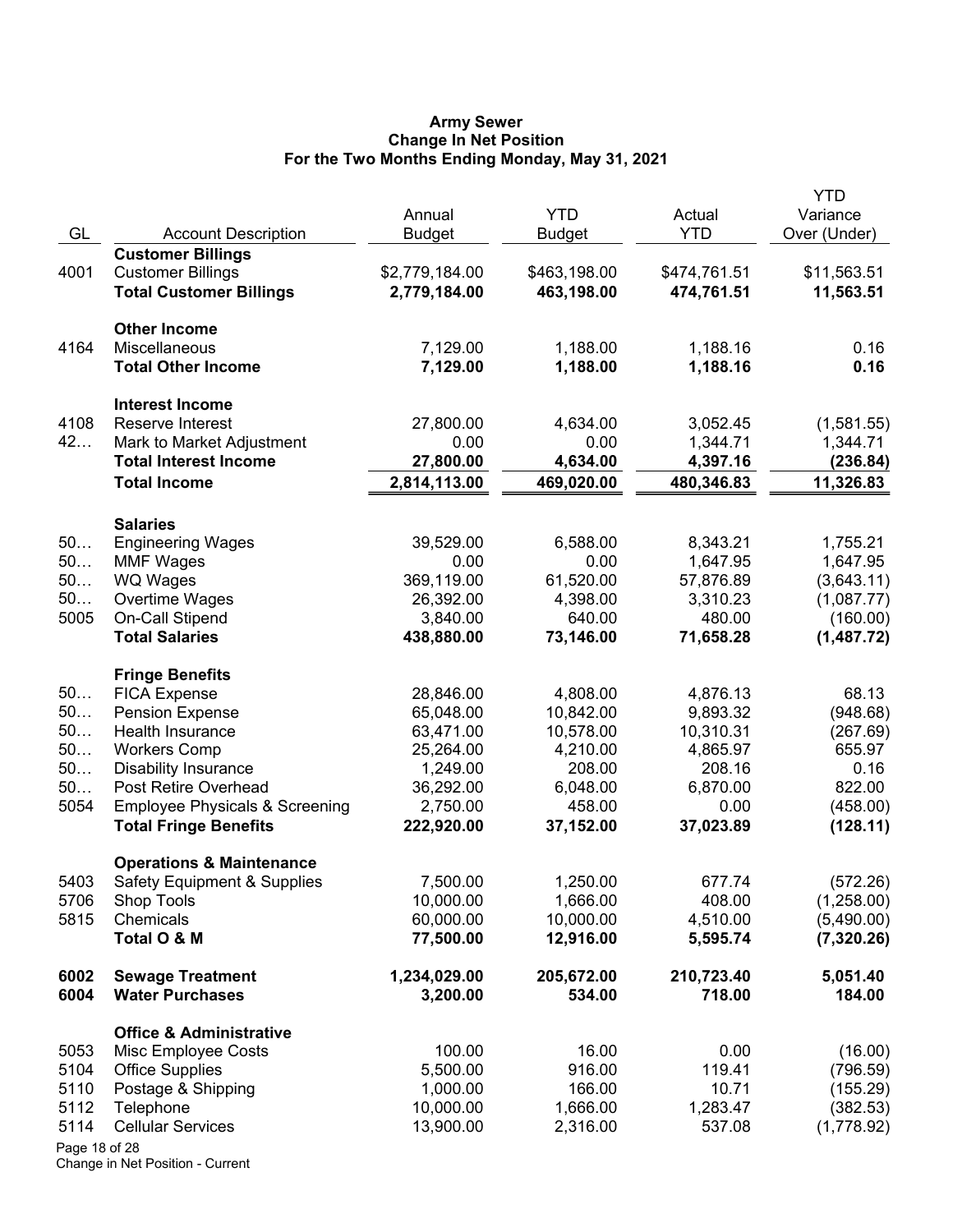#### **Army Sewer Change In Net Position For the Two Months Ending Monday, May 31, 2021**

| GL            | <b>Account Description</b>                | Annual<br><b>Budget</b> | <b>YTD</b><br><b>Budget</b> | Actual<br><b>YTD</b> | <b>YTD</b><br>Variance<br>Over (Under) |
|---------------|-------------------------------------------|-------------------------|-----------------------------|----------------------|----------------------------------------|
|               | <b>Customer Billings</b>                  |                         |                             |                      |                                        |
| 4001          | <b>Customer Billings</b>                  | \$2,779,184.00          | \$463,198.00                | \$474,761.51         | \$11,563.51                            |
|               | <b>Total Customer Billings</b>            | 2,779,184.00            | 463,198.00                  | 474,761.51           | 11,563.51                              |
|               | <b>Other Income</b>                       |                         |                             |                      |                                        |
| 4164          | Miscellaneous                             | 7,129.00                | 1,188.00                    | 1,188.16             | 0.16                                   |
|               | <b>Total Other Income</b>                 | 7,129.00                | 1,188.00                    | 1,188.16             | 0.16                                   |
|               | <b>Interest Income</b>                    |                         |                             |                      |                                        |
| 4108          | Reserve Interest                          | 27,800.00               | 4,634.00                    | 3,052.45             | (1,581.55)                             |
| 42            | Mark to Market Adjustment                 | 0.00                    | 0.00                        | 1,344.71             | 1,344.71                               |
|               | <b>Total Interest Income</b>              | 27,800.00               | 4,634.00                    | 4,397.16             | (236.84)                               |
|               | <b>Total Income</b>                       | 2,814,113.00            | 469,020.00                  | 480,346.83           | 11,326.83                              |
|               | <b>Salaries</b>                           |                         |                             |                      |                                        |
| 50            | <b>Engineering Wages</b>                  | 39,529.00               | 6,588.00                    | 8,343.21             | 1,755.21                               |
| 50            | <b>MMF Wages</b>                          | 0.00                    | 0.00                        | 1,647.95             | 1,647.95                               |
| 50            | WQ Wages                                  | 369,119.00              | 61,520.00                   | 57,876.89            | (3,643.11)                             |
| 50            | Overtime Wages                            | 26,392.00               | 4,398.00                    | 3,310.23             | (1,087.77)                             |
| 5005          | On-Call Stipend                           | 3,840.00                | 640.00                      | 480.00               | (160.00)                               |
|               | <b>Total Salaries</b>                     | 438,880.00              | 73,146.00                   | 71,658.28            | (1,487.72)                             |
|               | <b>Fringe Benefits</b>                    |                         |                             |                      |                                        |
| 50            | <b>FICA Expense</b>                       | 28,846.00               | 4,808.00                    | 4,876.13             | 68.13                                  |
| 50            | <b>Pension Expense</b>                    | 65,048.00               | 10,842.00                   | 9,893.32             | (948.68)                               |
| 50            | Health Insurance                          | 63,471.00               | 10,578.00                   | 10,310.31            | (267.69)                               |
| 50            | <b>Workers Comp</b>                       | 25,264.00               | 4,210.00                    | 4,865.97             | 655.97                                 |
| 50            | <b>Disability Insurance</b>               | 1,249.00                | 208.00                      | 208.16               | 0.16                                   |
| 50            | Post Retire Overhead                      | 36,292.00               | 6,048.00                    | 6,870.00             | 822.00                                 |
| 5054          | <b>Employee Physicals &amp; Screening</b> | 2,750.00                | 458.00                      | 0.00                 | (458.00)                               |
|               | <b>Total Fringe Benefits</b>              | 222,920.00              | 37,152.00                   | 37,023.89            | (128.11)                               |
|               | <b>Operations &amp; Maintenance</b>       |                         |                             |                      |                                        |
| 5403          | <b>Safety Equipment &amp; Supplies</b>    | 7,500.00                | 1,250.00                    | 677.74               | (572.26)                               |
| 5706          | Shop Tools                                | 10,000.00               | 1,666.00                    | 408.00               | (1,258.00)                             |
| 5815          | Chemicals<br>Total O & M                  | 60,000.00<br>77,500.00  | 10,000.00<br>12,916.00      | 4,510.00<br>5,595.74 | (5,490.00)<br>(7,320.26)               |
| 6002          | <b>Sewage Treatment</b>                   | 1,234,029.00            | 205,672.00                  | 210,723.40           | 5,051.40                               |
| 6004          | <b>Water Purchases</b>                    | 3,200.00                | 534.00                      | 718.00               | 184.00                                 |
|               | <b>Office &amp; Administrative</b>        |                         |                             |                      |                                        |
| 5053          | Misc Employee Costs                       | 100.00                  | 16.00                       | 0.00                 | (16.00)                                |
| 5104          | <b>Office Supplies</b>                    | 5,500.00                | 916.00                      | 119.41               | (796.59)                               |
| 5110          | Postage & Shipping                        | 1,000.00                | 166.00                      | 10.71                | (155.29)                               |
| 5112          | Telephone                                 | 10,000.00               | 1,666.00                    | 1,283.47             | (382.53)                               |
| 5114          | <b>Cellular Services</b>                  | 13,900.00               | 2,316.00                    | 537.08               | (1,778.92)                             |
| Page 18 of 28 |                                           |                         |                             |                      |                                        |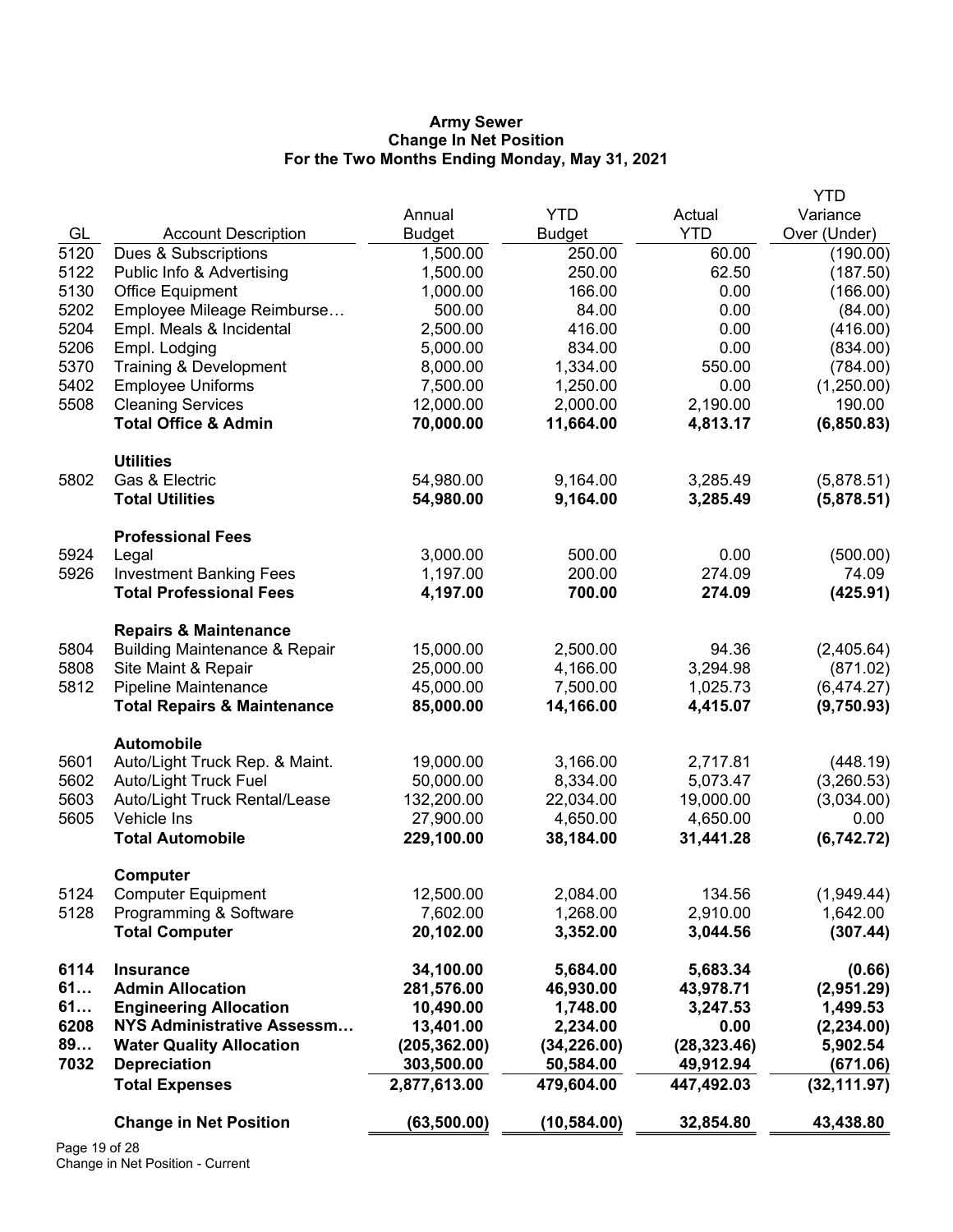#### **Army Sewer Change In Net Position For the Two Months Ending Monday, May 31, 2021**

|            |                                                                      |                            |                         |                         | <b>YTD</b>               |
|------------|----------------------------------------------------------------------|----------------------------|-------------------------|-------------------------|--------------------------|
|            |                                                                      | Annual                     | <b>YTD</b>              | Actual                  | Variance                 |
| GL         | <b>Account Description</b>                                           | <b>Budget</b>              | <b>Budget</b>           | <b>YTD</b>              | Over (Under)             |
| 5120       | Dues & Subscriptions                                                 | 1,500.00                   | 250.00                  | 60.00                   | (190.00)                 |
| 5122       | Public Info & Advertising                                            | 1,500.00                   | 250.00                  | 62.50                   | (187.50)                 |
| 5130       | <b>Office Equipment</b>                                              | 1,000.00                   | 166.00                  | 0.00                    | (166.00)                 |
| 5202       | Employee Mileage Reimburse                                           | 500.00                     | 84.00                   | 0.00                    | (84.00)                  |
| 5204       | Empl. Meals & Incidental                                             | 2,500.00                   | 416.00                  | 0.00                    | (416.00)                 |
| 5206       | Empl. Lodging                                                        | 5,000.00                   | 834.00                  | 0.00                    | (834.00)                 |
| 5370       | Training & Development                                               | 8,000.00                   | 1,334.00                | 550.00                  | (784.00)                 |
| 5402       | <b>Employee Uniforms</b>                                             | 7,500.00                   | 1,250.00                | 0.00                    | (1,250.00)               |
| 5508       | <b>Cleaning Services</b>                                             | 12,000.00                  | 2,000.00                | 2,190.00                | 190.00                   |
|            | <b>Total Office &amp; Admin</b>                                      | 70,000.00                  | 11,664.00               | 4,813.17                | (6,850.83)               |
|            | <b>Utilities</b>                                                     |                            |                         |                         |                          |
| 5802       | Gas & Electric                                                       | 54,980.00                  | 9,164.00                | 3,285.49                | (5,878.51)               |
|            | <b>Total Utilities</b>                                               | 54,980.00                  | 9,164.00                | 3,285.49                | (5,878.51)               |
|            | <b>Professional Fees</b>                                             |                            |                         |                         |                          |
| 5924       | Legal                                                                | 3,000.00                   | 500.00                  | 0.00                    | (500.00)                 |
| 5926       | <b>Investment Banking Fees</b>                                       | 1,197.00                   | 200.00                  | 274.09                  | 74.09                    |
|            | <b>Total Professional Fees</b>                                       | 4,197.00                   | 700.00                  | 274.09                  | (425.91)                 |
|            | <b>Repairs &amp; Maintenance</b>                                     |                            |                         |                         |                          |
| 5804       | <b>Building Maintenance &amp; Repair</b>                             | 15,000.00                  | 2,500.00                | 94.36                   | (2,405.64)               |
| 5808       | Site Maint & Repair                                                  | 25,000.00                  | 4,166.00                | 3,294.98                | (871.02)                 |
| 5812       | Pipeline Maintenance                                                 | 45,000.00                  | 7,500.00                | 1,025.73                | (6,474.27)               |
|            | <b>Total Repairs &amp; Maintenance</b>                               | 85,000.00                  | 14,166.00               | 4,415.07                | (9,750.93)               |
|            | Automobile                                                           |                            |                         |                         |                          |
| 5601       | Auto/Light Truck Rep. & Maint.                                       | 19,000.00                  | 3,166.00                | 2,717.81                | (448.19)                 |
| 5602       | <b>Auto/Light Truck Fuel</b>                                         | 50,000.00                  | 8,334.00                | 5,073.47                | (3,260.53)               |
| 5603       | Auto/Light Truck Rental/Lease                                        | 132,200.00                 | 22,034.00               | 19,000.00               | (3,034.00)               |
| 5605       | Vehicle Ins                                                          | 27,900.00                  | 4,650.00                | 4,650.00                | 0.00                     |
|            | <b>Total Automobile</b>                                              | 229,100.00                 | 38,184.00               | 31,441.28               | (6,742.72)               |
|            | Computer                                                             |                            |                         |                         |                          |
| 5124       | <b>Computer Equipment</b>                                            | 12,500.00                  | 2,084.00                | 134.56                  | (1,949.44)               |
| 5128       | Programming & Software                                               | 7,602.00                   | 1,268.00                | 2,910.00                | 1,642.00                 |
|            | <b>Total Computer</b>                                                | 20,102.00                  | 3,352.00                | 3,044.56                | (307.44)                 |
| 6114       | <b>Insurance</b>                                                     | 34,100.00                  | 5,684.00                | 5,683.34                | (0.66)                   |
| 61         | <b>Admin Allocation</b>                                              | 281,576.00                 | 46,930.00               | 43,978.71               | (2,951.29)               |
| 61         | <b>Engineering Allocation</b>                                        | 10,490.00                  | 1,748.00                | 3,247.53                | 1,499.53                 |
| 6208<br>89 | <b>NYS Administrative Assessm</b><br><b>Water Quality Allocation</b> | 13,401.00                  | 2,234.00                | 0.00                    | (2, 234.00)              |
| 7032       |                                                                      | (205, 362.00)              | (34, 226.00)            | (28, 323.46)            | 5,902.54                 |
|            | <b>Depreciation</b><br><b>Total Expenses</b>                         | 303,500.00<br>2,877,613.00 | 50,584.00<br>479,604.00 | 49,912.94<br>447,492.03 | (671.06)<br>(32, 111.97) |
|            |                                                                      |                            |                         |                         |                          |
|            | <b>Change in Net Position</b>                                        | (63, 500.00)               | (10, 584.00)            | 32,854.80               | 43,438.80                |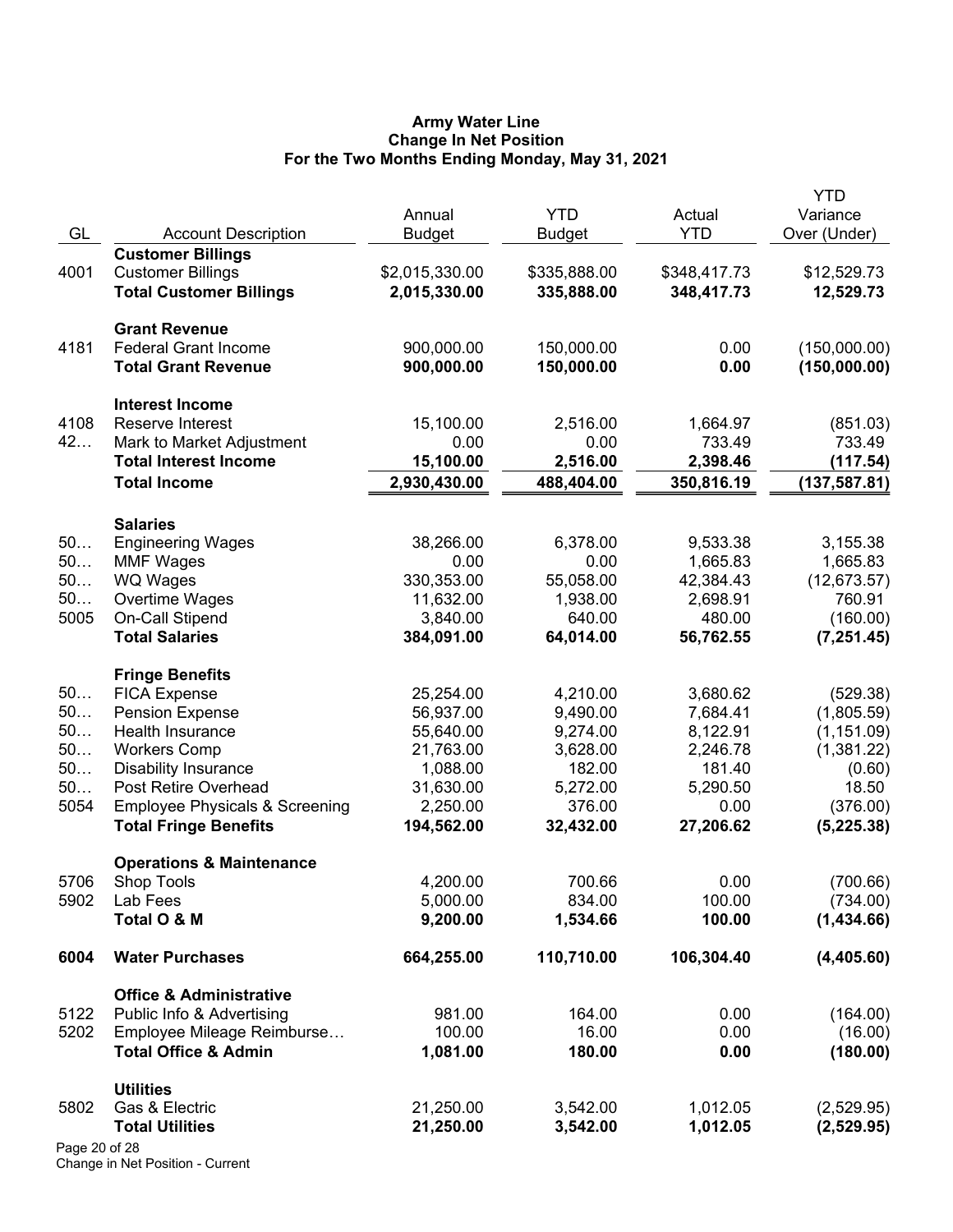#### **Army Water Line Change In Net Position For the Two Months Ending Monday, May 31, 2021**

|               |                                           | Annual         | <b>YTD</b>    | Actual       | <b>YTD</b><br>Variance |
|---------------|-------------------------------------------|----------------|---------------|--------------|------------------------|
| GL            | <b>Account Description</b>                | <b>Budget</b>  | <b>Budget</b> | <b>YTD</b>   | Over (Under)           |
|               | <b>Customer Billings</b>                  |                |               |              |                        |
| 4001          | <b>Customer Billings</b>                  | \$2,015,330.00 | \$335,888.00  | \$348,417.73 | \$12,529.73            |
|               | <b>Total Customer Billings</b>            | 2,015,330.00   | 335,888.00    | 348,417.73   | 12,529.73              |
|               | <b>Grant Revenue</b>                      |                |               |              |                        |
| 4181          | <b>Federal Grant Income</b>               | 900,000.00     | 150,000.00    | 0.00         | (150,000.00)           |
|               | <b>Total Grant Revenue</b>                | 900,000.00     | 150,000.00    | 0.00         | (150,000.00)           |
|               | <b>Interest Income</b>                    |                |               |              |                        |
| 4108          | Reserve Interest                          | 15,100.00      | 2,516.00      | 1,664.97     | (851.03)               |
| 42            | Mark to Market Adjustment                 | 0.00           | 0.00          | 733.49       | 733.49                 |
|               | <b>Total Interest Income</b>              | 15,100.00      | 2,516.00      | 2,398.46     | (117.54)               |
|               | <b>Total Income</b>                       | 2,930,430.00   | 488,404.00    | 350,816.19   | (137, 587.81)          |
|               | <b>Salaries</b>                           |                |               |              |                        |
| 50            | <b>Engineering Wages</b>                  | 38,266.00      | 6,378.00      | 9,533.38     | 3,155.38               |
| 50            | <b>MMF Wages</b>                          | 0.00           | 0.00          | 1,665.83     | 1,665.83               |
| 50            | <b>WQ Wages</b>                           | 330,353.00     | 55,058.00     | 42,384.43    | (12, 673.57)           |
| 50            | Overtime Wages                            | 11,632.00      | 1,938.00      | 2,698.91     | 760.91                 |
| 5005          | On-Call Stipend                           | 3,840.00       | 640.00        | 480.00       | (160.00)               |
|               | <b>Total Salaries</b>                     | 384,091.00     | 64,014.00     | 56,762.55    | (7, 251.45)            |
|               | <b>Fringe Benefits</b>                    |                |               |              |                        |
| 50            | <b>FICA Expense</b>                       | 25,254.00      | 4,210.00      | 3,680.62     | (529.38)               |
| 50            | <b>Pension Expense</b>                    | 56,937.00      | 9,490.00      | 7,684.41     | (1,805.59)             |
| 50            | Health Insurance                          | 55,640.00      | 9,274.00      | 8,122.91     | (1, 151.09)            |
| 50            | <b>Workers Comp</b>                       | 21,763.00      | 3,628.00      | 2,246.78     | (1,381.22)             |
| 50            | <b>Disability Insurance</b>               | 1,088.00       | 182.00        | 181.40       | (0.60)                 |
| 50            | Post Retire Overhead                      | 31,630.00      | 5,272.00      | 5,290.50     | 18.50                  |
| 5054          | <b>Employee Physicals &amp; Screening</b> | 2,250.00       | 376.00        | 0.00         | (376.00)               |
|               | <b>Total Fringe Benefits</b>              | 194,562.00     | 32,432.00     | 27,206.62    | (5, 225.38)            |
| 5706          | <b>Operations &amp; Maintenance</b>       | 4,200.00       | 700.66        | 0.00         | (700.66)               |
| 5902          | <b>Shop Tools</b><br>Lab Fees             | 5,000.00       | 834.00        | 100.00       | (734.00)               |
|               | Total O & M                               | 9,200.00       | 1,534.66      | 100.00       | (1,434.66)             |
| 6004          | <b>Water Purchases</b>                    | 664,255.00     | 110,710.00    | 106,304.40   | (4,405.60)             |
|               | <b>Office &amp; Administrative</b>        |                |               |              |                        |
| 5122          | Public Info & Advertising                 | 981.00         | 164.00        | 0.00         | (164.00)               |
| 5202          | Employee Mileage Reimburse                | 100.00         | 16.00         | 0.00         | (16.00)                |
|               | <b>Total Office &amp; Admin</b>           | 1,081.00       | 180.00        | 0.00         | (180.00)               |
|               | <b>Utilities</b>                          |                |               |              |                        |
| 5802          | Gas & Electric                            | 21,250.00      | 3,542.00      | 1,012.05     | (2,529.95)             |
|               | <b>Total Utilities</b>                    | 21,250.00      | 3,542.00      | 1,012.05     | (2,529.95)             |
| Page 20 of 28 |                                           |                |               |              |                        |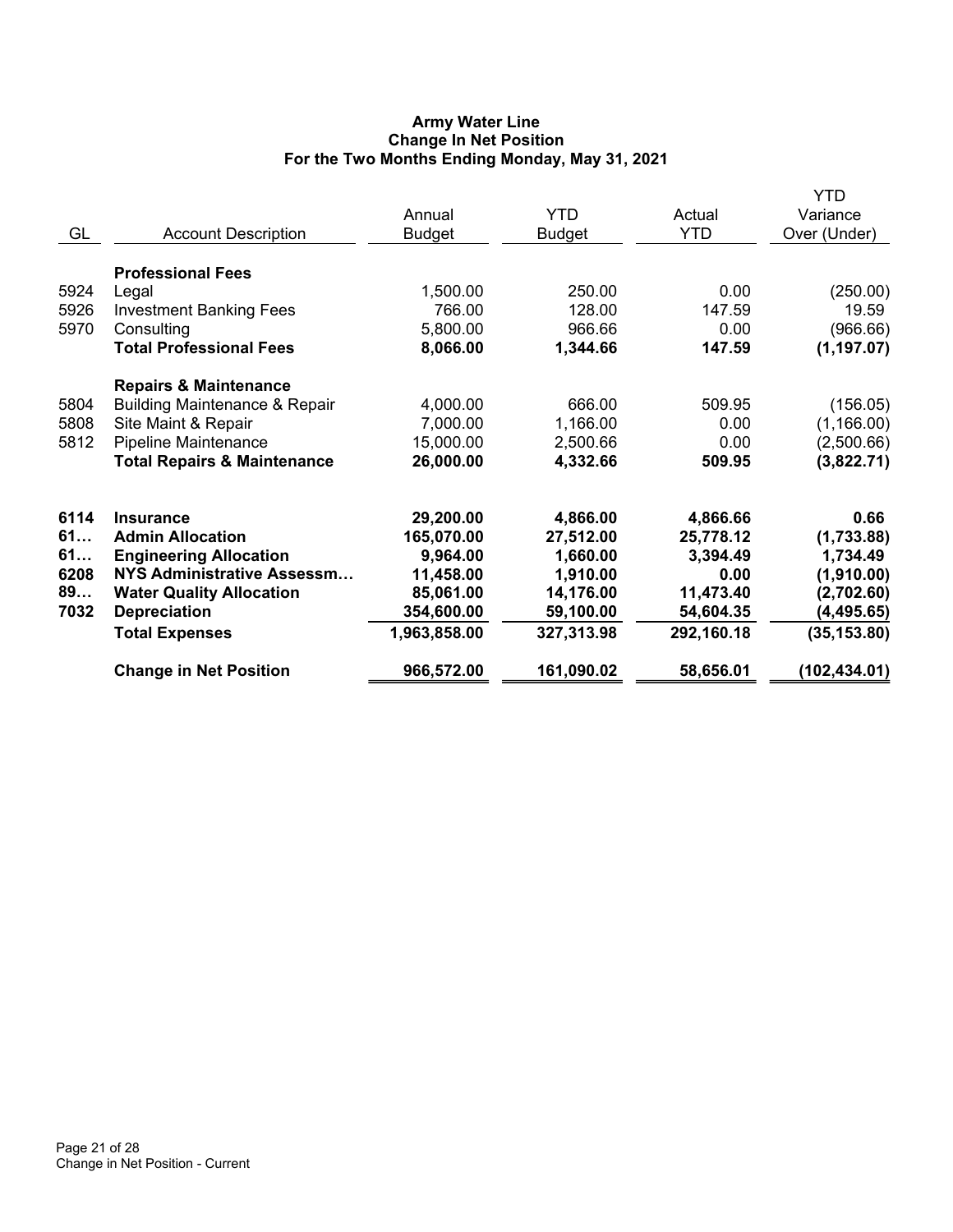# **Army Water Line Change In Net Position For the Two Months Ending Monday, May 31, 2021**

|      |                                          |               |               |            | <b>YTD</b>    |
|------|------------------------------------------|---------------|---------------|------------|---------------|
|      |                                          | Annual        | <b>YTD</b>    | Actual     | Variance      |
| GL   | <b>Account Description</b>               | <b>Budget</b> | <b>Budget</b> | <b>YTD</b> | Over (Under)  |
|      | <b>Professional Fees</b>                 |               |               |            |               |
| 5924 | Legal                                    | 1,500.00      | 250.00        | 0.00       | (250.00)      |
| 5926 | <b>Investment Banking Fees</b>           | 766.00        | 128.00        | 147.59     | 19.59         |
| 5970 | Consulting                               | 5,800.00      | 966.66        | 0.00       | (966.66)      |
|      | <b>Total Professional Fees</b>           | 8,066.00      | 1,344.66      | 147.59     | (1, 197.07)   |
|      | <b>Repairs &amp; Maintenance</b>         |               |               |            |               |
| 5804 | <b>Building Maintenance &amp; Repair</b> | 4,000.00      | 666.00        | 509.95     | (156.05)      |
| 5808 | Site Maint & Repair                      | 7,000.00      | 1,166.00      | 0.00       | (1, 166.00)   |
| 5812 | <b>Pipeline Maintenance</b>              | 15,000.00     | 2,500.66      | 0.00       | (2,500.66)    |
|      | <b>Total Repairs &amp; Maintenance</b>   | 26,000.00     | 4,332.66      | 509.95     | (3,822.71)    |
| 6114 | <b>Insurance</b>                         | 29,200.00     | 4,866.00      | 4,866.66   | 0.66          |
| 61   | <b>Admin Allocation</b>                  | 165,070.00    | 27,512.00     | 25,778.12  | (1,733.88)    |
| 61   | <b>Engineering Allocation</b>            | 9,964.00      | 1,660.00      | 3,394.49   | 1,734.49      |
| 6208 | NYS Administrative Assessm               | 11,458.00     | 1,910.00      | 0.00       | (1,910.00)    |
| 89   | <b>Water Quality Allocation</b>          | 85,061.00     | 14,176.00     | 11,473.40  | (2,702.60)    |
| 7032 | <b>Depreciation</b>                      | 354,600.00    | 59,100.00     | 54,604.35  | (4, 495.65)   |
|      | <b>Total Expenses</b>                    | 1,963,858.00  | 327,313.98    | 292,160.18 | (35, 153.80)  |
|      | <b>Change in Net Position</b>            | 966,572.00    | 161,090.02    | 58,656.01  | (102, 434.01) |
|      |                                          |               |               |            |               |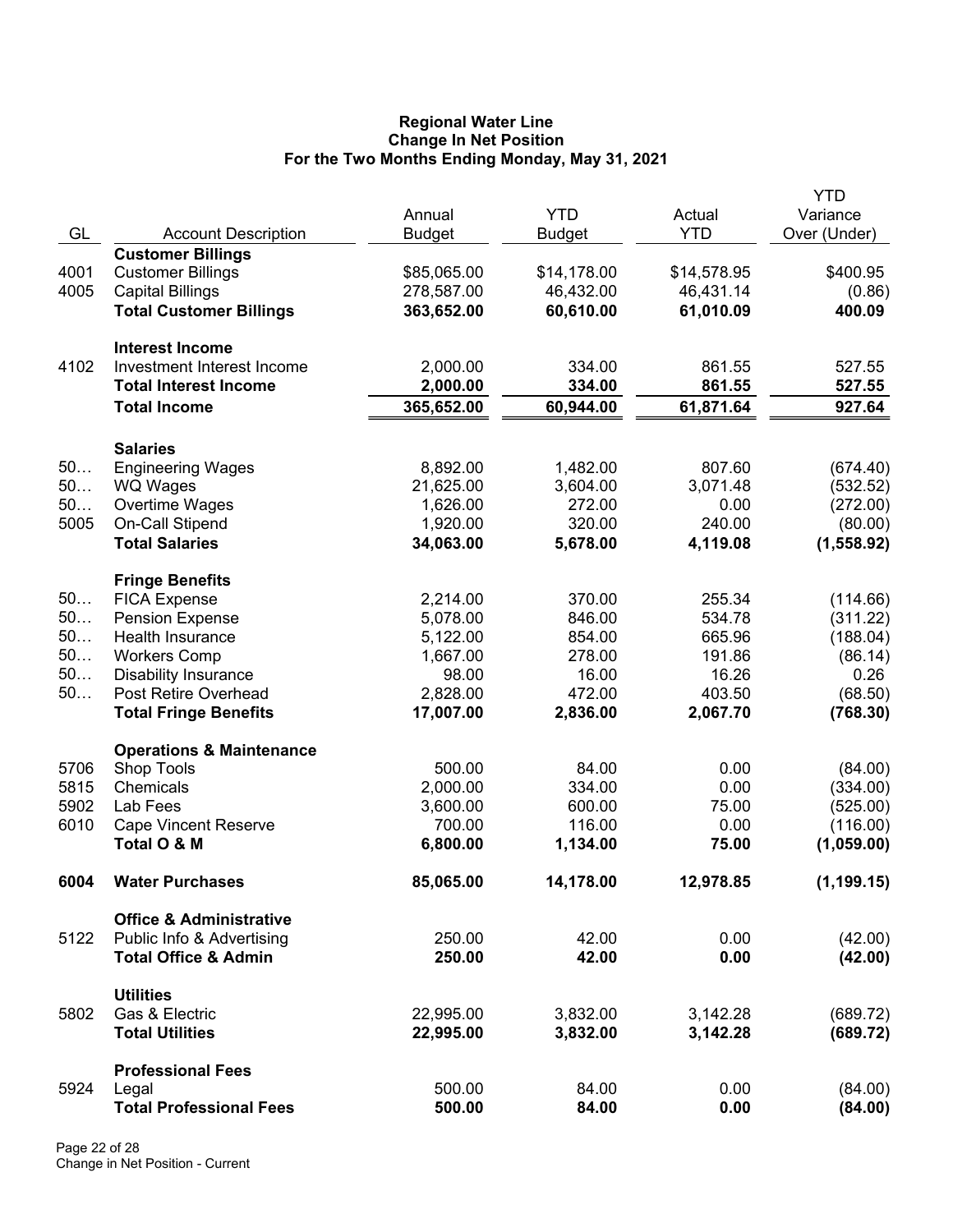#### **Regional Water Line Change In Net Position For the Two Months Ending Monday, May 31, 2021**

|      |                                                   | Annual        | <b>YTD</b>  | Actual      | YTD<br>Variance |
|------|---------------------------------------------------|---------------|-------------|-------------|-----------------|
| GL   | <b>Account Description</b>                        | <b>Budget</b> | Budget      | <b>YTD</b>  | Over (Under)    |
|      | <b>Customer Billings</b>                          |               |             |             |                 |
| 4001 | <b>Customer Billings</b>                          | \$85,065.00   | \$14,178.00 | \$14,578.95 | \$400.95        |
| 4005 | <b>Capital Billings</b>                           | 278,587.00    | 46,432.00   | 46,431.14   | (0.86)          |
|      | <b>Total Customer Billings</b>                    | 363,652.00    | 60,610.00   | 61,010.09   | 400.09          |
|      |                                                   |               |             |             |                 |
|      | <b>Interest Income</b>                            |               |             |             |                 |
| 4102 | Investment Interest Income                        | 2,000.00      | 334.00      | 861.55      | 527.55          |
|      | <b>Total Interest Income</b>                      | 2,000.00      | 334.00      | 861.55      | 527.55          |
|      | <b>Total Income</b>                               | 365,652.00    | 60,944.00   | 61,871.64   | 927.64          |
|      |                                                   |               |             |             |                 |
|      | <b>Salaries</b>                                   |               |             |             |                 |
| 50   | <b>Engineering Wages</b>                          | 8,892.00      | 1,482.00    | 807.60      | (674.40)        |
| 50   | <b>WQ Wages</b>                                   | 21,625.00     | 3,604.00    | 3,071.48    | (532.52)        |
| 50   | Overtime Wages                                    | 1,626.00      | 272.00      | 0.00        | (272.00)        |
| 5005 | On-Call Stipend                                   | 1,920.00      | 320.00      | 240.00      | (80.00)         |
|      | <b>Total Salaries</b>                             | 34,063.00     | 5,678.00    | 4,119.08    | (1,558.92)      |
|      |                                                   |               |             |             |                 |
| 50   | <b>Fringe Benefits</b><br><b>FICA Expense</b>     | 2,214.00      | 370.00      | 255.34      | (114.66)        |
| 50   |                                                   | 5,078.00      | 846.00      | 534.78      | (311.22)        |
| 50   | <b>Pension Expense</b><br><b>Health Insurance</b> |               |             |             |                 |
| 50   |                                                   | 5,122.00      | 854.00      | 665.96      | (188.04)        |
| 50   | <b>Workers Comp</b>                               | 1,667.00      | 278.00      | 191.86      | (86.14)         |
|      | <b>Disability Insurance</b>                       | 98.00         | 16.00       | 16.26       | 0.26            |
| 50   | Post Retire Overhead                              | 2,828.00      | 472.00      | 403.50      | (68.50)         |
|      | <b>Total Fringe Benefits</b>                      | 17,007.00     | 2,836.00    | 2,067.70    | (768.30)        |
|      | <b>Operations &amp; Maintenance</b>               |               |             |             |                 |
| 5706 | Shop Tools                                        | 500.00        | 84.00       | 0.00        | (84.00)         |
| 5815 | Chemicals                                         | 2,000.00      | 334.00      | 0.00        | (334.00)        |
| 5902 | Lab Fees                                          | 3,600.00      | 600.00      | 75.00       | (525.00)        |
| 6010 | <b>Cape Vincent Reserve</b>                       | 700.00        | 116.00      | 0.00        | (116.00)        |
|      | Total O & M                                       | 6,800.00      | 1,134.00    | 75.00       | (1,059.00)      |
|      |                                                   |               |             |             |                 |
| 6004 | <b>Water Purchases</b>                            | 85,065.00     | 14,178.00   | 12,978.85   | (1, 199.15)     |
|      | <b>Office &amp; Administrative</b>                |               |             |             |                 |
| 5122 | Public Info & Advertising                         | 250.00        | 42.00       | 0.00        | (42.00)         |
|      | <b>Total Office &amp; Admin</b>                   | 250.00        | 42.00       | 0.00        | (42.00)         |
|      |                                                   |               |             |             |                 |
| 5802 | <b>Utilities</b><br>Gas & Electric                | 22,995.00     | 3,832.00    | 3,142.28    | (689.72)        |
|      | <b>Total Utilities</b>                            | 22,995.00     | 3,832.00    | 3,142.28    |                 |
|      |                                                   |               |             |             | (689.72)        |
|      | <b>Professional Fees</b>                          |               |             |             |                 |
| 5924 | Legal                                             | 500.00        | 84.00       | 0.00        | (84.00)         |
|      | <b>Total Professional Fees</b>                    | 500.00        | 84.00       | 0.00        | (84.00)         |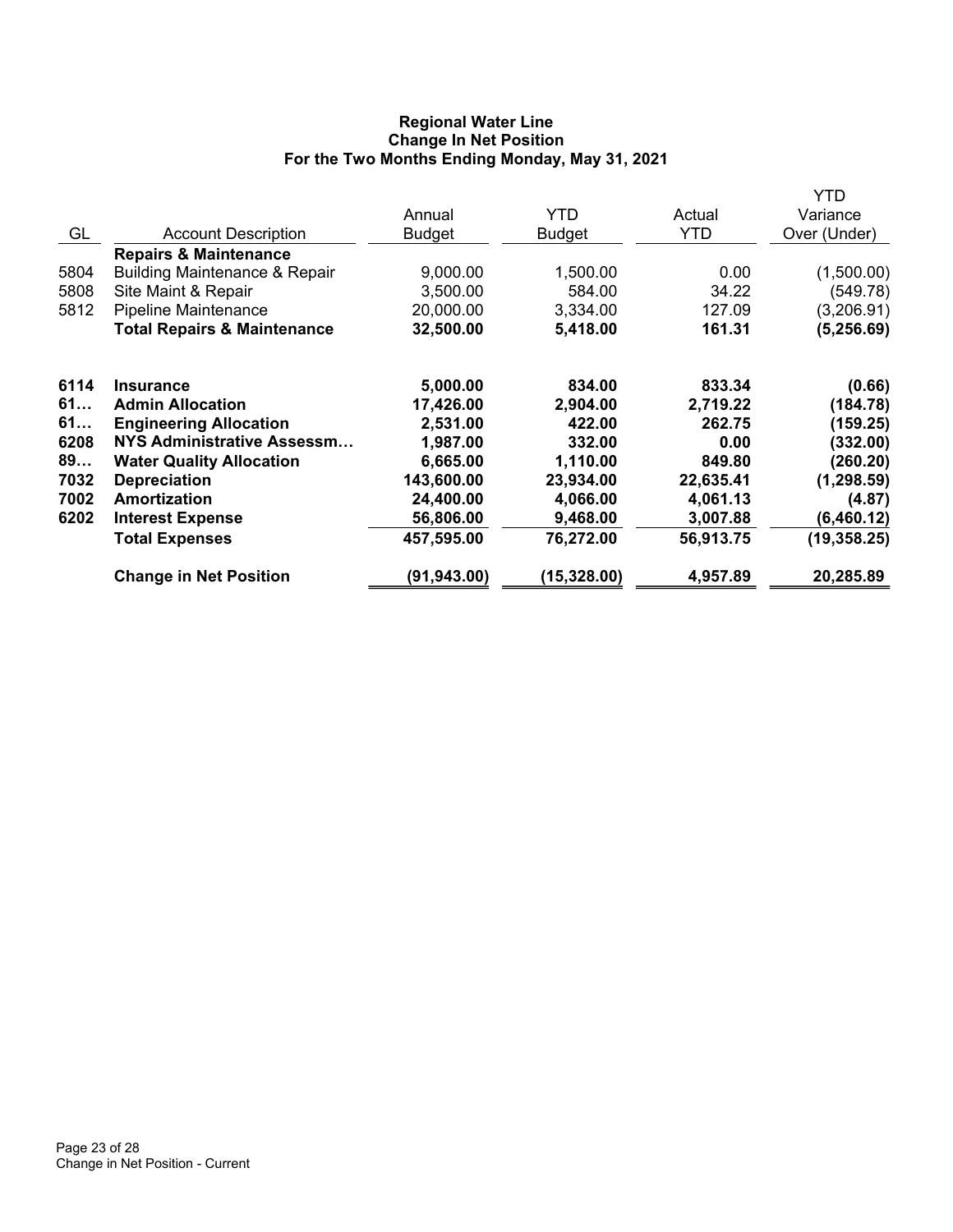# **Regional Water Line Change In Net Position For the Two Months Ending Monday, May 31, 2021**

|      |                                          |               |              |           | YTD          |
|------|------------------------------------------|---------------|--------------|-----------|--------------|
|      |                                          | Annual        | YTD.         | Actual    | Variance     |
| GL   | <b>Account Description</b>               | <b>Budget</b> | Budget       | YTD       | Over (Under) |
|      | <b>Repairs &amp; Maintenance</b>         |               |              |           |              |
| 5804 | <b>Building Maintenance &amp; Repair</b> | 9,000.00      | 1,500.00     | 0.00      | (1,500.00)   |
| 5808 | Site Maint & Repair                      | 3,500.00      | 584.00       | 34.22     | (549.78)     |
| 5812 | <b>Pipeline Maintenance</b>              | 20,000.00     | 3,334.00     | 127.09    | (3,206.91)   |
|      | <b>Total Repairs &amp; Maintenance</b>   | 32,500.00     | 5,418.00     | 161.31    | (5, 256.69)  |
| 6114 | <b>Insurance</b>                         | 5,000.00      | 834.00       | 833.34    | (0.66)       |
| 61   | <b>Admin Allocation</b>                  | 17,426.00     | 2,904.00     | 2,719.22  | (184.78)     |
| 61   | <b>Engineering Allocation</b>            | 2,531.00      | 422.00       | 262.75    | (159.25)     |
| 6208 | NYS Administrative Assessm               | 1,987.00      | 332.00       | 0.00      | (332.00)     |
| 89   | <b>Water Quality Allocation</b>          | 6,665.00      | 1,110.00     | 849.80    | (260.20)     |
| 7032 | <b>Depreciation</b>                      | 143,600.00    | 23,934.00    | 22,635.41 | (1, 298.59)  |
| 7002 | Amortization                             | 24,400.00     | 4,066.00     | 4,061.13  | (4.87)       |
| 6202 | <b>Interest Expense</b>                  | 56,806.00     | 9,468.00     | 3,007.88  | (6,460.12)   |
|      | <b>Total Expenses</b>                    | 457,595.00    | 76,272.00    | 56,913.75 | (19, 358.25) |
|      | <b>Change in Net Position</b>            | (91, 943.00)  | (15, 328.00) | 4,957.89  | 20,285.89    |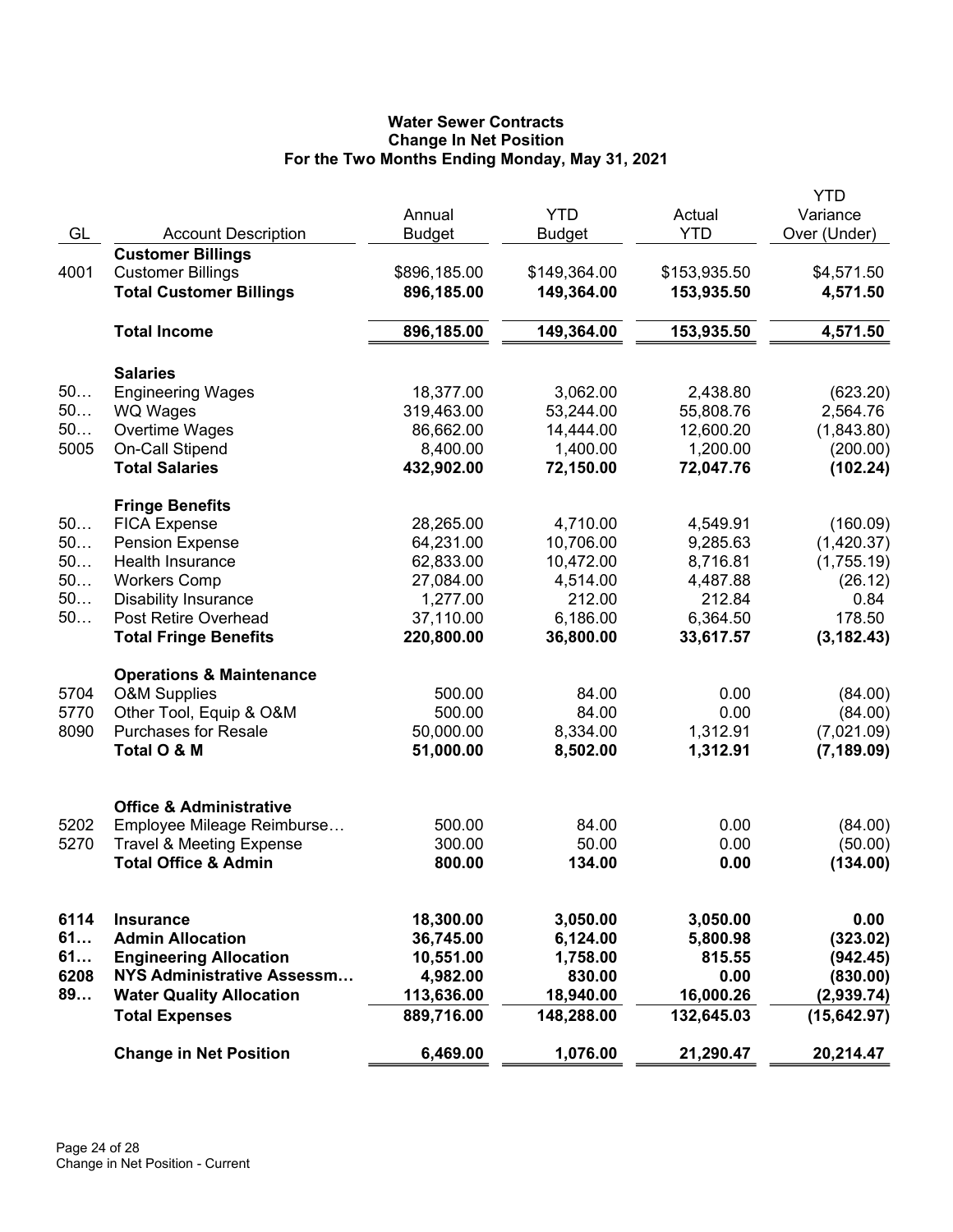# **Water Sewer Contracts Change In Net Position For the Two Months Ending Monday, May 31, 2021**

|      |                                                      | Annual        | <b>YTD</b>    | Actual       | YTD<br>Variance |
|------|------------------------------------------------------|---------------|---------------|--------------|-----------------|
| GL   | <b>Account Description</b>                           | <b>Budget</b> | <b>Budget</b> | <b>YTD</b>   | Over (Under)    |
| 4001 | <b>Customer Billings</b><br><b>Customer Billings</b> | \$896,185.00  | \$149,364.00  | \$153,935.50 | \$4,571.50      |
|      | <b>Total Customer Billings</b>                       | 896,185.00    | 149,364.00    | 153,935.50   | 4,571.50        |
|      |                                                      |               |               |              |                 |
|      | <b>Total Income</b>                                  | 896,185.00    | 149,364.00    | 153,935.50   | 4,571.50        |
|      | <b>Salaries</b>                                      |               |               |              |                 |
| 50   | <b>Engineering Wages</b>                             | 18,377.00     | 3,062.00      | 2,438.80     | (623.20)        |
| 50   | <b>WQ Wages</b>                                      | 319,463.00    | 53,244.00     | 55,808.76    | 2,564.76        |
| 50   | Overtime Wages                                       | 86,662.00     | 14,444.00     | 12,600.20    | (1,843.80)      |
| 5005 | On-Call Stipend                                      | 8,400.00      | 1,400.00      | 1,200.00     | (200.00)        |
|      | <b>Total Salaries</b>                                | 432,902.00    | 72,150.00     | 72,047.76    | (102.24)        |
|      | <b>Fringe Benefits</b>                               |               |               |              |                 |
| 50   | <b>FICA Expense</b>                                  | 28,265.00     | 4,710.00      | 4,549.91     | (160.09)        |
| 50   | <b>Pension Expense</b>                               | 64,231.00     | 10,706.00     | 9,285.63     | (1,420.37)      |
| 50   | <b>Health Insurance</b>                              | 62,833.00     | 10,472.00     | 8,716.81     | (1,755.19)      |
| 50   | <b>Workers Comp</b>                                  | 27,084.00     | 4,514.00      | 4,487.88     | (26.12)         |
| 50   | <b>Disability Insurance</b>                          | 1,277.00      | 212.00        | 212.84       | 0.84            |
| 50   | Post Retire Overhead                                 | 37,110.00     | 6,186.00      | 6,364.50     | 178.50          |
|      | <b>Total Fringe Benefits</b>                         | 220,800.00    | 36,800.00     | 33,617.57    | (3, 182.43)     |
|      | <b>Operations &amp; Maintenance</b>                  |               |               |              |                 |
| 5704 | <b>O&amp;M Supplies</b>                              | 500.00        | 84.00         | 0.00         | (84.00)         |
| 5770 | Other Tool, Equip & O&M                              | 500.00        | 84.00         | 0.00         | (84.00)         |
| 8090 | <b>Purchases for Resale</b>                          | 50,000.00     | 8,334.00      | 1,312.91     | (7,021.09)      |
|      | Total O & M                                          | 51,000.00     | 8,502.00      | 1,312.91     | (7, 189.09)     |
|      | <b>Office &amp; Administrative</b>                   |               |               |              |                 |
| 5202 | Employee Mileage Reimburse                           | 500.00        | 84.00         | 0.00         | (84.00)         |
| 5270 | <b>Travel &amp; Meeting Expense</b>                  | 300.00        | 50.00         | 0.00         | (50.00)         |
|      | <b>Total Office &amp; Admin</b>                      | 800.00        | 134.00        | 0.00         | (134.00)        |
|      |                                                      |               |               |              |                 |
| 6114 | <b>Insurance</b>                                     | 18,300.00     | 3,050.00      | 3,050.00     | 0.00            |
| 61   | <b>Admin Allocation</b>                              | 36,745.00     | 6,124.00      | 5,800.98     | (323.02)        |
| 61   | <b>Engineering Allocation</b>                        | 10,551.00     | 1,758.00      | 815.55       | (942.45)        |
| 6208 | NYS Administrative Assessm                           | 4,982.00      | 830.00        | 0.00         | (830.00)        |
| 89   | <b>Water Quality Allocation</b>                      | 113,636.00    | 18,940.00     | 16,000.26    | (2,939.74)      |
|      | <b>Total Expenses</b>                                | 889,716.00    | 148,288.00    | 132,645.03   | (15, 642.97)    |
|      | <b>Change in Net Position</b>                        | 6,469.00      | 1,076.00      | 21,290.47    | 20,214.47       |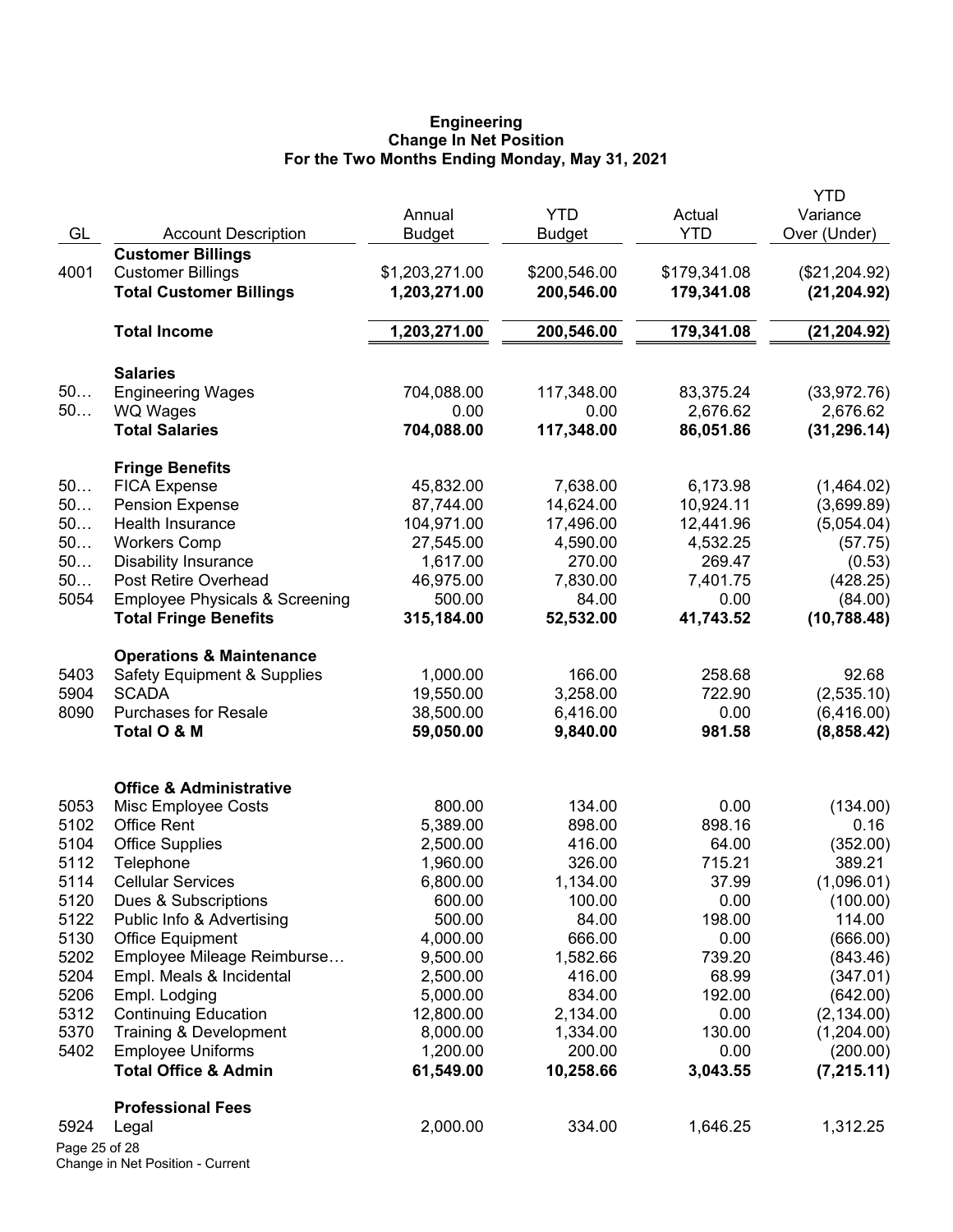#### **Engineering Change In Net Position For the Two Months Ending Monday, May 31, 2021**

| GL            | <b>Account Description</b>                | Annual<br><b>Budget</b> | <b>YTD</b><br><b>Budget</b> | Actual<br><b>YTD</b> | YTD<br>Variance<br>Over (Under) |
|---------------|-------------------------------------------|-------------------------|-----------------------------|----------------------|---------------------------------|
|               | <b>Customer Billings</b>                  |                         |                             |                      |                                 |
| 4001          | <b>Customer Billings</b>                  | \$1,203,271.00          | \$200,546.00                | \$179,341.08         | (\$21,204.92)                   |
|               | <b>Total Customer Billings</b>            | 1,203,271.00            | 200,546.00                  | 179,341.08           | (21, 204.92)                    |
|               | <b>Total Income</b>                       | 1,203,271.00            | 200,546.00                  | 179,341.08           | (21, 204.92)                    |
|               | <b>Salaries</b>                           |                         |                             |                      |                                 |
| 50            | <b>Engineering Wages</b>                  | 704,088.00              | 117,348.00                  | 83,375.24            | (33,972.76)                     |
| 50            | <b>WQ Wages</b>                           | 0.00                    | 0.00                        | 2,676.62             | 2,676.62                        |
|               | <b>Total Salaries</b>                     | 704,088.00              | 117,348.00                  | 86,051.86            | (31, 296.14)                    |
|               | <b>Fringe Benefits</b>                    |                         |                             |                      |                                 |
| 50            | <b>FICA Expense</b>                       | 45,832.00               | 7,638.00                    | 6,173.98             | (1,464.02)                      |
| 50            | <b>Pension Expense</b>                    | 87,744.00               | 14,624.00                   | 10,924.11            | (3,699.89)                      |
| 50            | <b>Health Insurance</b>                   | 104,971.00              | 17,496.00                   | 12,441.96            | (5,054.04)                      |
| 50            | <b>Workers Comp</b>                       | 27,545.00               | 4,590.00                    | 4,532.25             | (57.75)                         |
| 50            | <b>Disability Insurance</b>               | 1,617.00                | 270.00                      | 269.47               | (0.53)                          |
| 50            | Post Retire Overhead                      | 46,975.00               | 7,830.00                    | 7,401.75             | (428.25)                        |
| 5054          | <b>Employee Physicals &amp; Screening</b> | 500.00                  | 84.00                       | 0.00                 | (84.00)                         |
|               | <b>Total Fringe Benefits</b>              | 315,184.00              | 52,532.00                   | 41,743.52            | (10, 788.48)                    |
|               | <b>Operations &amp; Maintenance</b>       |                         |                             |                      |                                 |
| 5403          | <b>Safety Equipment &amp; Supplies</b>    | 1,000.00                | 166.00                      | 258.68               | 92.68                           |
| 5904          | <b>SCADA</b>                              | 19,550.00               | 3,258.00                    | 722.90               | (2,535.10)                      |
| 8090          | <b>Purchases for Resale</b>               | 38,500.00               | 6,416.00                    | 0.00                 | (6,416.00)                      |
|               | Total O & M                               | 59,050.00               | 9,840.00                    | 981.58               | (8,858.42)                      |
|               | <b>Office &amp; Administrative</b>        |                         |                             |                      |                                 |
| 5053          | Misc Employee Costs                       | 800.00                  | 134.00                      | 0.00                 | (134.00)                        |
| 5102          | <b>Office Rent</b>                        | 5,389.00                | 898.00                      | 898.16               | 0.16                            |
| 5104          | <b>Office Supplies</b>                    | 2,500.00                | 416.00                      | 64.00                | (352.00)                        |
| 5112          | Telephone                                 | 1,960.00                | 326.00                      | 715.21               | 389.21                          |
| 5114          | <b>Cellular Services</b>                  | 6,800.00                | 1,134.00                    | 37.99                | (1,096.01)                      |
| 5120          | Dues & Subscriptions                      | 600.00                  | 100.00                      | 0.00                 | (100.00)                        |
| 5122          | Public Info & Advertising                 | 500.00                  | 84.00                       | 198.00               | 114.00                          |
| 5130          | <b>Office Equipment</b>                   | 4,000.00                | 666.00                      | 0.00                 | (666.00)                        |
| 5202          | Employee Mileage Reimburse                | 9,500.00                | 1,582.66                    | 739.20               | (843.46)                        |
| 5204          | Empl. Meals & Incidental                  | 2,500.00                | 416.00                      | 68.99                | (347.01)                        |
| 5206          | Empl. Lodging                             | 5,000.00                | 834.00                      | 192.00               | (642.00)                        |
| 5312          | <b>Continuing Education</b>               | 12,800.00               | 2,134.00                    | 0.00                 | (2, 134.00)                     |
| 5370          | Training & Development                    | 8,000.00                | 1,334.00                    | 130.00               | (1,204.00)                      |
| 5402          | <b>Employee Uniforms</b>                  | 1,200.00                | 200.00                      | 0.00                 | (200.00)                        |
|               | <b>Total Office &amp; Admin</b>           | 61,549.00               | 10,258.66                   | 3,043.55             | (7, 215.11)                     |
|               | <b>Professional Fees</b>                  |                         |                             |                      |                                 |
| 5924          | Legal                                     | 2,000.00                | 334.00                      | 1,646.25             | 1,312.25                        |
| Page 25 of 28 |                                           |                         |                             |                      |                                 |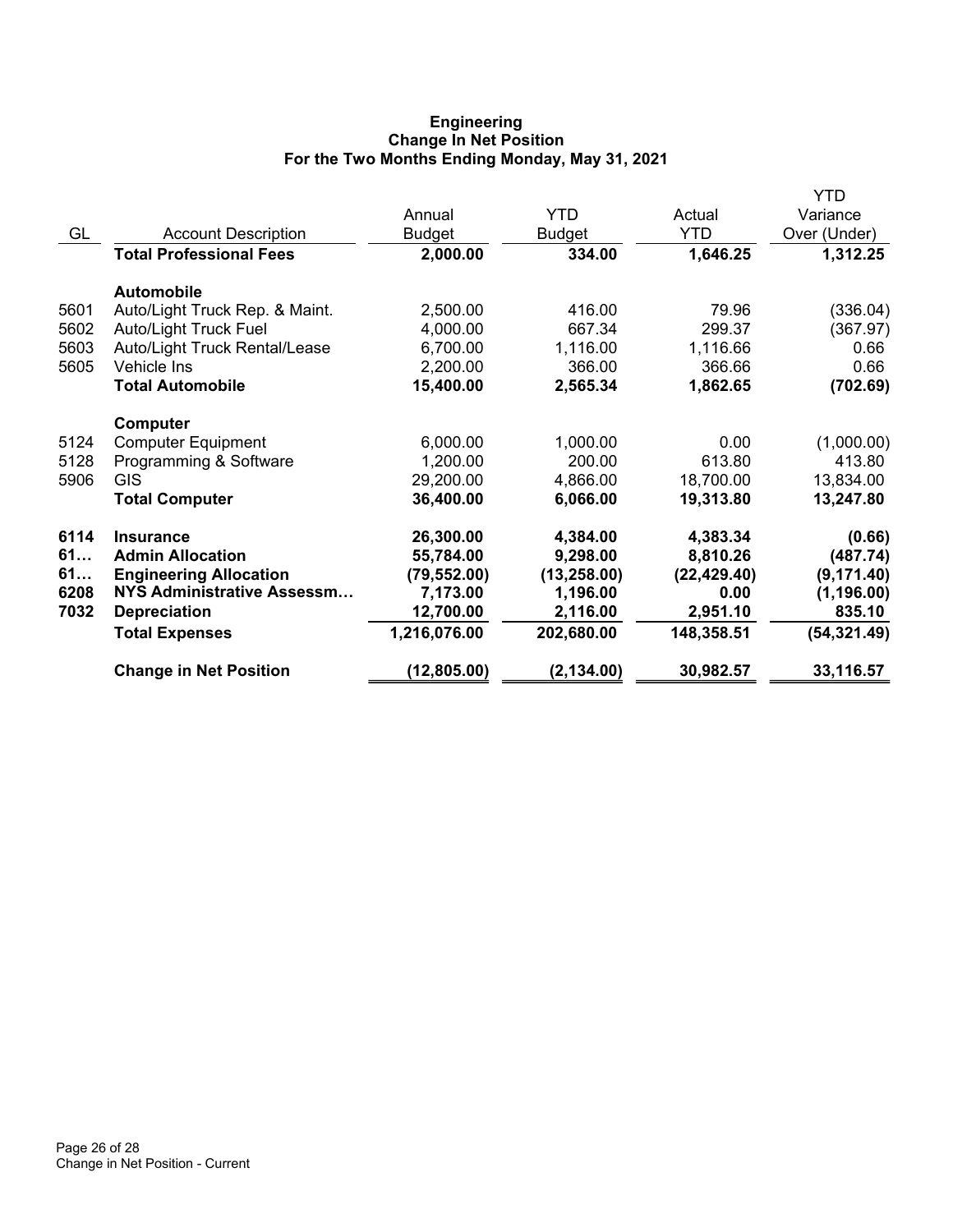## **Engineering Change In Net Position For the Two Months Ending Monday, May 31, 2021**

|                                |               |               |              | YTD          |
|--------------------------------|---------------|---------------|--------------|--------------|
|                                | Annual        | <b>YTD</b>    | Actual       | Variance     |
| <b>Account Description</b>     | <b>Budget</b> | <b>Budget</b> | <b>YTD</b>   | Over (Under) |
| <b>Total Professional Fees</b> | 2,000.00      | 334.00        | 1,646.25     | 1,312.25     |
| Automobile                     |               |               |              |              |
| Auto/Light Truck Rep. & Maint. | 2,500.00      | 416.00        | 79.96        | (336.04)     |
| <b>Auto/Light Truck Fuel</b>   | 4,000.00      | 667.34        | 299.37       | (367.97)     |
| Auto/Light Truck Rental/Lease  | 6,700.00      | 1,116.00      | 1,116.66     | 0.66         |
| Vehicle Ins                    | 2,200.00      | 366.00        | 366.66       | 0.66         |
| <b>Total Automobile</b>        | 15,400.00     | 2,565.34      | 1,862.65     | (702.69)     |
| Computer                       |               |               |              |              |
| <b>Computer Equipment</b>      | 6,000.00      | 1,000.00      | 0.00         | (1,000.00)   |
| Programming & Software         | 1,200.00      | 200.00        | 613.80       | 413.80       |
| <b>GIS</b>                     | 29,200.00     | 4,866.00      | 18,700.00    | 13,834.00    |
| <b>Total Computer</b>          | 36,400.00     | 6,066.00      | 19,313.80    | 13,247.80    |
| <b>Insurance</b>               | 26,300.00     | 4,384.00      | 4,383.34     | (0.66)       |
| <b>Admin Allocation</b>        | 55,784.00     | 9,298.00      | 8,810.26     | (487.74)     |
| <b>Engineering Allocation</b>  | (79, 552.00)  | (13, 258.00)  | (22, 429.40) | (9, 171.40)  |
| NYS Administrative Assessm     | 7,173.00      | 1,196.00      | 0.00         | (1, 196.00)  |
| <b>Depreciation</b>            | 12,700.00     | 2,116.00      | 2,951.10     | 835.10       |
| <b>Total Expenses</b>          | 1,216,076.00  | 202,680.00    | 148,358.51   | (54, 321.49) |
| <b>Change in Net Position</b>  | (12, 805.00)  | (2, 134.00)   | 30,982.57    | 33,116.57    |
|                                |               |               |              |              |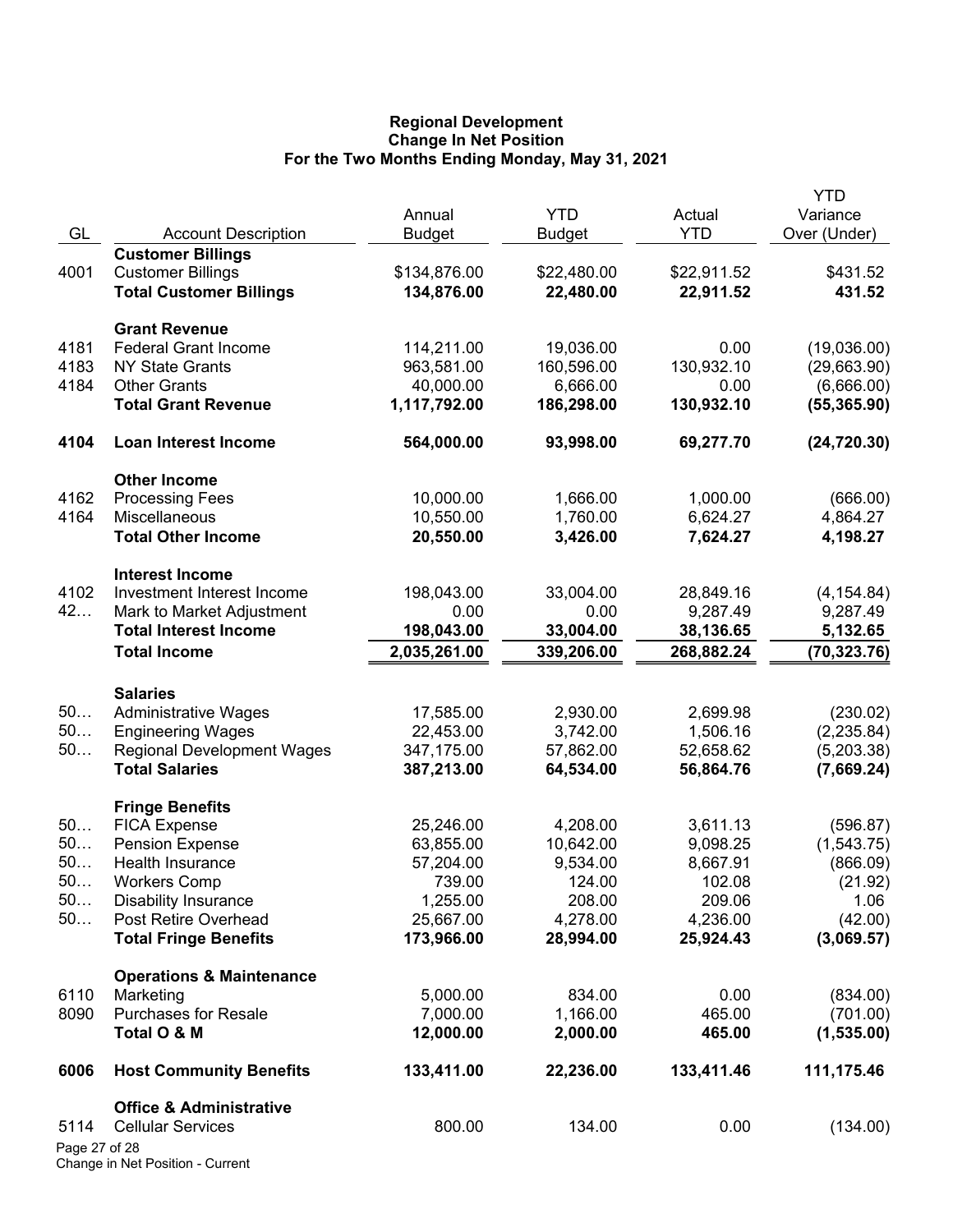## **Regional Development Change In Net Position For the Two Months Ending Monday, May 31, 2021**

|               |                                                    | Annual              | <b>YTD</b>       | Actual           | <b>YTD</b><br>Variance |
|---------------|----------------------------------------------------|---------------------|------------------|------------------|------------------------|
| GL            | <b>Account Description</b>                         | <b>Budget</b>       | <b>Budget</b>    | <b>YTD</b>       | Over (Under)           |
|               | <b>Customer Billings</b>                           |                     |                  |                  |                        |
| 4001          | <b>Customer Billings</b>                           | \$134,876.00        | \$22,480.00      | \$22,911.52      | \$431.52               |
|               | <b>Total Customer Billings</b>                     | 134,876.00          | 22,480.00        | 22,911.52        | 431.52                 |
|               | <b>Grant Revenue</b>                               |                     |                  |                  |                        |
| 4181          | <b>Federal Grant Income</b>                        | 114,211.00          | 19,036.00        | 0.00             | (19,036.00)            |
| 4183          | <b>NY State Grants</b>                             | 963,581.00          | 160,596.00       | 130,932.10       | (29,663.90)            |
| 4184          | <b>Other Grants</b>                                | 40,000.00           | 6,666.00         | 0.00             | (6,666.00)             |
|               | <b>Total Grant Revenue</b>                         | 1,117,792.00        | 186,298.00       | 130,932.10       | (55, 365.90)           |
| 4104          | <b>Loan Interest Income</b>                        | 564,000.00          | 93,998.00        | 69,277.70        | (24, 720.30)           |
|               | <b>Other Income</b>                                |                     |                  |                  |                        |
| 4162          | <b>Processing Fees</b>                             | 10,000.00           | 1,666.00         | 1,000.00         | (666.00)               |
| 4164          | <b>Miscellaneous</b>                               | 10,550.00           | 1,760.00         | 6,624.27         | 4,864.27               |
|               | <b>Total Other Income</b>                          | 20,550.00           | 3,426.00         | 7,624.27         | 4,198.27               |
|               | <b>Interest Income</b>                             |                     |                  |                  |                        |
| 4102          | Investment Interest Income                         | 198,043.00          | 33,004.00        | 28,849.16        | (4, 154.84)            |
| 42            | Mark to Market Adjustment                          | 0.00                | 0.00             | 9,287.49         | 9,287.49               |
|               | <b>Total Interest Income</b>                       | 198,043.00          | 33,004.00        | 38,136.65        | 5,132.65               |
|               | <b>Total Income</b>                                | 2,035,261.00        | 339,206.00       | 268,882.24       | (70, 323.76)           |
|               | <b>Salaries</b>                                    |                     |                  |                  |                        |
| 50            | <b>Administrative Wages</b>                        | 17,585.00           | 2,930.00         | 2,699.98         | (230.02)               |
| 50            | <b>Engineering Wages</b>                           | 22,453.00           | 3,742.00         | 1,506.16         | (2, 235.84)            |
| 50            | <b>Regional Development Wages</b>                  | 347,175.00          | 57,862.00        | 52,658.62        | (5,203.38)             |
|               | <b>Total Salaries</b>                              | 387,213.00          | 64,534.00        | 56,864.76        | (7,669.24)             |
|               | <b>Fringe Benefits</b>                             |                     |                  |                  |                        |
| 50            | <b>FICA Expense</b>                                | 25,246.00           | 4,208.00         | 3,611.13         | (596.87)               |
| 50            | <b>Pension Expense</b>                             | 63,855.00           | 10,642.00        | 9,098.25         | (1,543.75)             |
| 50<br>50.     | Health Insurance                                   | 57,204.00<br>739.00 | 9,534.00         | 8,667.91         | (866.09)               |
| 50            | <b>Workers Comp</b><br><b>Disability Insurance</b> | 1,255.00            | 124.00<br>208.00 | 102.08<br>209.06 | (21.92)<br>1.06        |
| 50            | Post Retire Overhead                               | 25,667.00           | 4,278.00         | 4,236.00         | (42.00)                |
|               | <b>Total Fringe Benefits</b>                       | 173,966.00          | 28,994.00        | 25,924.43        | (3,069.57)             |
|               | <b>Operations &amp; Maintenance</b>                |                     |                  |                  |                        |
| 6110          | Marketing                                          | 5,000.00            | 834.00           | 0.00             | (834.00)               |
| 8090          | <b>Purchases for Resale</b>                        | 7,000.00            | 1,166.00         | 465.00           | (701.00)               |
|               | Total O & M                                        | 12,000.00           | 2,000.00         | 465.00           | (1,535.00)             |
| 6006          | <b>Host Community Benefits</b>                     | 133,411.00          | 22,236.00        | 133,411.46       | 111,175.46             |
|               | <b>Office &amp; Administrative</b>                 |                     |                  |                  |                        |
| 5114          | <b>Cellular Services</b>                           | 800.00              | 134.00           | 0.00             | (134.00)               |
| Page 27 of 28 |                                                    |                     |                  |                  |                        |